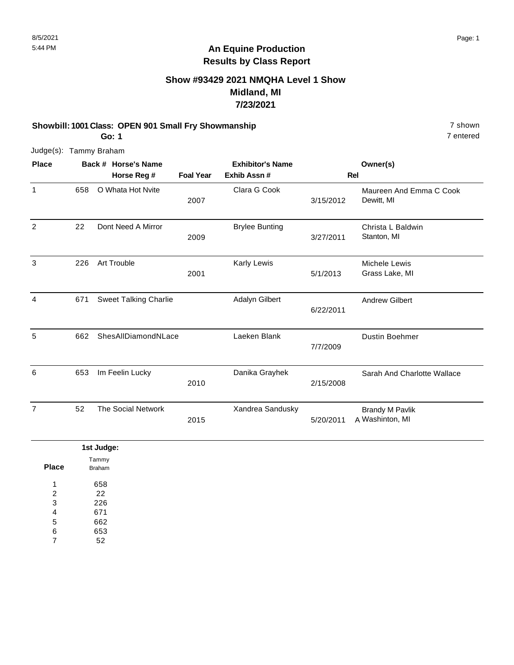#### **Show #93429 2021 NMQHA Level 1 Show Midland, MI 7/23/2021**

#### **Showbill: 1001 Class: OPEN 901 Small Fry Showmanship** 7 shown **Go: 1**

7 entered

| <b>Place</b>   |     | Back # Horse's Name<br>Horse Reg # | <b>Foal Year</b> | <b>Exhibitor's Name</b><br>Exhib Assn# |           | Owner(s)<br>Rel                           |
|----------------|-----|------------------------------------|------------------|----------------------------------------|-----------|-------------------------------------------|
| $\mathbf{1}$   | 658 | O Whata Hot Nvite                  | 2007             | Clara G Cook                           | 3/15/2012 | Maureen And Emma C Cook<br>Dewitt, MI     |
| 2              | 22  | Dont Need A Mirror                 | 2009             | <b>Brylee Bunting</b>                  | 3/27/2011 | Christa L Baldwin<br>Stanton, MI          |
| 3              | 226 | Art Trouble                        | 2001             | Karly Lewis                            | 5/1/2013  | Michele Lewis<br>Grass Lake, MI           |
| 4              | 671 | <b>Sweet Talking Charlie</b>       |                  | <b>Adalyn Gilbert</b>                  | 6/22/2011 | <b>Andrew Gilbert</b>                     |
| 5              | 662 | ShesAllDiamondNLace                |                  | Laeken Blank                           | 7/7/2009  | Dustin Boehmer                            |
| 6              | 653 | Im Feelin Lucky                    | 2010             | Danika Grayhek                         | 2/15/2008 | Sarah And Charlotte Wallace               |
| $\overline{7}$ | 52  | <b>The Social Network</b>          | 2015             | Xandrea Sandusky                       | 5/20/2011 | <b>Brandy M Pavlik</b><br>A Washinton, MI |
|                |     | 1st Judge:<br>$\sim$ .             |                  |                                        |           |                                           |

| Place | Tammy<br><b>Braham</b> |
|-------|------------------------|
| 1     | 658                    |
| 2     | 22                     |
| 3     | 226                    |
| 4     | 671                    |
| 5     | 662                    |
| 6     | 653                    |
|       | 52                     |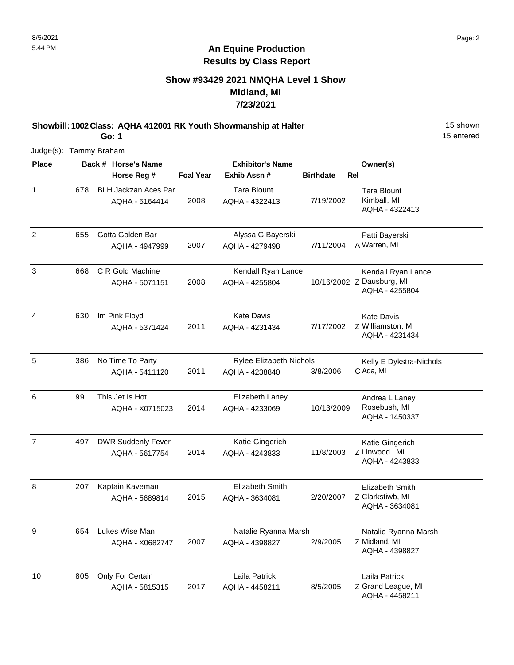### **Show #93429 2021 NMQHA Level 1 Show Midland, MI 7/23/2021**

**Showbill: 1002 Class: AQHA 412001 RK Youth Showmanship at Halter** 15 Shown 15 shown

15 entered

Judge(s): Tammy Braham

**Go: 1**

| <b>Place</b>   |     | Back # Horse's Name                           |                  | <b>Exhibitor's Name</b>                   |                  | Owner(s)                                                          |
|----------------|-----|-----------------------------------------------|------------------|-------------------------------------------|------------------|-------------------------------------------------------------------|
|                |     | Horse Reg #                                   | <b>Foal Year</b> | Exhib Assn #                              | <b>Birthdate</b> | Rel                                                               |
| $\mathbf{1}$   | 678 | <b>BLH Jackzan Aces Par</b><br>AQHA - 5164414 | 2008             | <b>Tara Blount</b><br>AQHA - 4322413      | 7/19/2002        | <b>Tara Blount</b><br>Kimball, MI<br>AQHA - 4322413               |
| $\overline{2}$ | 655 | Gotta Golden Bar<br>AQHA - 4947999            | 2007             | Alyssa G Bayerski<br>AQHA - 4279498       | 7/11/2004        | Patti Bayerski<br>A Warren, MI                                    |
| 3              | 668 | C R Gold Machine<br>AQHA - 5071151            | 2008             | Kendall Ryan Lance<br>AQHA - 4255804      |                  | Kendall Ryan Lance<br>10/16/2002 Z Dausburg, MI<br>AQHA - 4255804 |
| 4              | 630 | Im Pink Floyd<br>AQHA - 5371424               | 2011             | <b>Kate Davis</b><br>AQHA - 4231434       | 7/17/2002        | <b>Kate Davis</b><br>Z Williamston, MI<br>AQHA - 4231434          |
| 5              | 386 | No Time To Party<br>AQHA - 5411120            | 2011             | Rylee Elizabeth Nichols<br>AQHA - 4238840 | 3/8/2006         | Kelly E Dykstra-Nichols<br>C Ada, MI                              |
| 6              | 99  | This Jet Is Hot<br>AQHA - X0715023            | 2014             | Elizabeth Laney<br>AQHA - 4233069         | 10/13/2009       | Andrea L Laney<br>Rosebush, MI<br>AQHA - 1450337                  |
| $\overline{7}$ | 497 | <b>DWR Suddenly Fever</b><br>AQHA - 5617754   | 2014             | Katie Gingerich<br>AQHA - 4243833         | 11/8/2003        | Katie Gingerich<br>Z Linwood, MI<br>AQHA - 4243833                |
| 8              | 207 | Kaptain Kaveman<br>AQHA - 5689814             | 2015             | Elizabeth Smith<br>AQHA - 3634081         | 2/20/2007        | Elizabeth Smith<br>Z Clarkstiwb, MI<br>AQHA - 3634081             |
| 9              | 654 | Lukes Wise Man<br>AQHA - X0682747             | 2007             | Natalie Ryanna Marsh<br>AQHA - 4398827    | 2/9/2005         | Natalie Ryanna Marsh<br>Z Midland, MI<br>AQHA - 4398827           |
| 10             | 805 | Only For Certain<br>AQHA - 5815315            | 2017             | Laila Patrick<br>AQHA - 4458211           | 8/5/2005         | Laila Patrick<br>Z Grand League, MI<br>AQHA - 4458211             |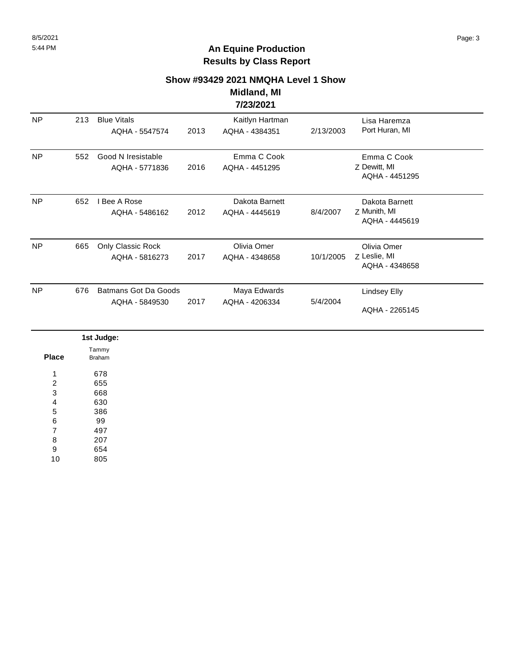#### **Show #93429 2021 NMQHA Level 1 Show Midland, MI**

**7/23/2021**

| <b>NP</b> | 213 | <b>Blue Vitals</b><br>AQHA - 5547574          | 2013 | Kaitlyn Hartman<br>AQHA - 4384351 | 2/13/2003 | Lisa Haremza<br>Port Huran, MI                   |  |
|-----------|-----|-----------------------------------------------|------|-----------------------------------|-----------|--------------------------------------------------|--|
| <b>NP</b> | 552 | Good N Iresistable<br>AQHA - 5771836          | 2016 | Emma C Cook<br>AQHA - 4451295     |           | Emma C Cook<br>Z Dewitt, MI<br>AQHA - 4451295    |  |
| <b>NP</b> | 652 | I Bee A Rose<br>AQHA - 5486162                | 2012 | Dakota Barnett<br>AQHA - 4445619  | 8/4/2007  | Dakota Barnett<br>Z Munith, MI<br>AQHA - 4445619 |  |
| NP        | 665 | Only Classic Rock<br>AQHA - 5816273           | 2017 | Olivia Omer<br>AQHA - 4348658     | 10/1/2005 | Olivia Omer<br>Z Leslie, MI<br>AQHA - 4348658    |  |
| <b>NP</b> | 676 | <b>Batmans Got Da Goods</b><br>AQHA - 5849530 | 2017 | Maya Edwards<br>AQHA - 4206334    | 5/4/2004  | <b>Lindsey Elly</b><br>AQHA - 2265145            |  |
|           |     | 1st Judge:<br>Tammy                           |      |                                   |           |                                                  |  |

|                         | ist Judge.      |
|-------------------------|-----------------|
| <b>Place</b>            | Tammy<br>Braham |
| $\overline{\mathbf{A}}$ | 678             |
| 2                       | 655             |
| 3                       | 668             |
| 4                       | 630             |
| 5                       | 386             |
| 6                       | 99              |
| $\overline{ }$          | 497             |
| 8                       | 207             |
| 9                       | 654             |
| 10                      | 805             |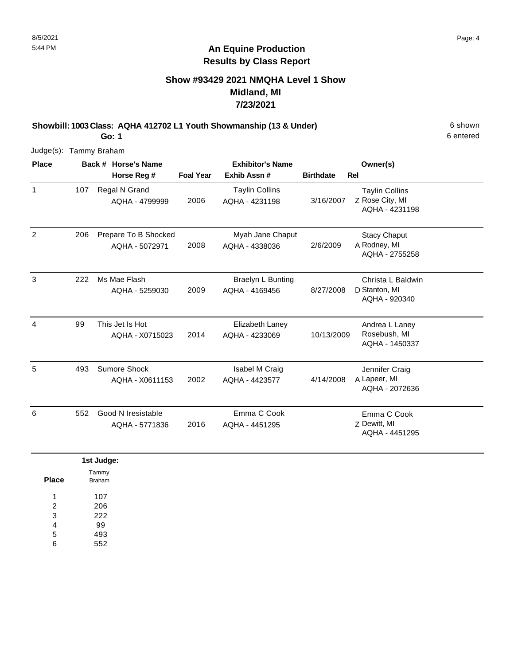### **Show #93429 2021 NMQHA Level 1 Show Midland, MI 7/23/2021**

**Showbill: 1003 Class: AQHA 412702 L1 Youth Showmanship (13 & Under)** 6 shown

6 entered

Judge(s): Tammy Braham

**Go: 1**

| <b>Place</b>   |     | Back # Horse's Name                    |                  | <b>Exhibitor's Name</b>                    |                  | Owner(s)                                                   |
|----------------|-----|----------------------------------------|------------------|--------------------------------------------|------------------|------------------------------------------------------------|
|                |     | Horse Reg #                            | <b>Foal Year</b> | Exhib Assn#                                | <b>Birthdate</b> | <b>Rel</b>                                                 |
| $\mathbf{1}$   | 107 | Regal N Grand<br>AQHA - 4799999        | 2006             | <b>Taylin Collins</b><br>AQHA - 4231198    | 3/16/2007        | <b>Taylin Collins</b><br>Z Rose City, MI<br>AQHA - 4231198 |
| $\overline{2}$ | 206 | Prepare To B Shocked<br>AQHA - 5072971 | 2008             | Myah Jane Chaput<br>AQHA - 4338036         | 2/6/2009         | <b>Stacy Chaput</b><br>A Rodney, MI<br>AQHA - 2755258      |
| 3              | 222 | Ms Mae Flash<br>AQHA - 5259030         | 2009             | <b>Braelyn L Bunting</b><br>AQHA - 4169456 | 8/27/2008        | Christa L Baldwin<br>D Stanton, MI<br>AQHA - 920340        |
| 4              | 99  | This Jet Is Hot<br>AQHA - X0715023     | 2014             | Elizabeth Laney<br>AQHA - 4233069          | 10/13/2009       | Andrea L Laney<br>Rosebush, MI<br>AQHA - 1450337           |
| 5              | 493 | Sumore Shock<br>AQHA - X0611153        | 2002             | Isabel M Craig<br>AQHA - 4423577           | 4/14/2008        | Jennifer Craig<br>A Lapeer, MI<br>AQHA - 2072636           |
| 6              | 552 | Good N Iresistable<br>AQHA - 5771836   | 2016             | Emma C Cook<br>AQHA - 4451295              |                  | Emma C Cook<br>Z Dewitt, MI<br>AQHA - 4451295              |

|                | 1st Judge:      |
|----------------|-----------------|
| <b>Place</b>   | Tammy<br>Braham |
| ٠              | 107             |
| $\overline{2}$ | 206             |
| 3              | 222             |
| 4              | 99              |
| 5              | 493             |
| 6              | 552             |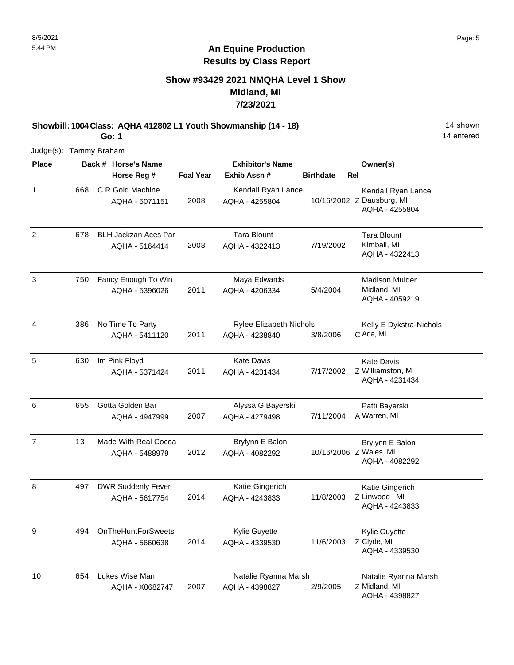### **Show #93429 2021 NMQHA Level 1 Show Midland, MI 7/23/2021**

**Showbill: 1004 Class: AQHA 412802 L1 Youth Showmanship (14 - 18)** 14 Shown **Go: 1**

14 entered

| <b>Place</b>   |     | Back # Horse's Name                           |                  | <b>Exhibitor's Name</b>                          |                  | Owner(s)                                                          |
|----------------|-----|-----------------------------------------------|------------------|--------------------------------------------------|------------------|-------------------------------------------------------------------|
|                |     | Horse Reg #                                   | <b>Foal Year</b> | Exhib Assn#                                      | <b>Birthdate</b> | Rel                                                               |
| $\mathbf{1}$   | 668 | C R Gold Machine<br>AQHA - 5071151            | 2008             | Kendall Ryan Lance<br>AQHA - 4255804             |                  | Kendall Ryan Lance<br>10/16/2002 Z Dausburg, MI<br>AQHA - 4255804 |
| $\overline{c}$ | 678 | <b>BLH Jackzan Aces Par</b><br>AQHA - 5164414 | 2008             | <b>Tara Blount</b><br>AQHA - 4322413             | 7/19/2002        | <b>Tara Blount</b><br>Kimball, MI<br>AQHA - 4322413               |
| $\mathbf{3}$   | 750 | Fancy Enough To Win<br>AQHA - 5396026         | 2011             | Maya Edwards<br>AQHA - 4206334                   | 5/4/2004         | <b>Madison Mulder</b><br>Midland, MI<br>AQHA - 4059219            |
| $\overline{4}$ | 386 | No Time To Party<br>AQHA - 5411120            | 2011             | <b>Rylee Elizabeth Nichols</b><br>AQHA - 4238840 | 3/8/2006         | Kelly E Dykstra-Nichols<br>C Ada, MI                              |
| 5              | 630 | Im Pink Floyd<br>AQHA - 5371424               | 2011             | <b>Kate Davis</b><br>AQHA - 4231434              | 7/17/2002        | <b>Kate Davis</b><br>Z Williamston, MI<br>AQHA - 4231434          |
| 6              | 655 | Gotta Golden Bar<br>AQHA - 4947999            | 2007             | Alyssa G Bayerski<br>AQHA - 4279498              | 7/11/2004        | Patti Bayerski<br>A Warren, MI                                    |
| $\overline{7}$ | 13  | Made With Real Cocoa<br>AQHA - 5488979        | 2012             | Brylynn E Balon<br>AQHA - 4082292                |                  | Brylynn E Balon<br>10/16/2006 Z Wales, MI<br>AQHA - 4082292       |
| $\, 8$         | 497 | <b>DWR Suddenly Fever</b><br>AQHA - 5617754   | 2014             | Katie Gingerich<br>AQHA - 4243833                | 11/8/2003        | Katie Gingerich<br>Z Linwood, MI<br>AQHA - 4243833                |
| 9              | 494 | <b>OnTheHuntForSweets</b><br>AQHA - 5660638   | 2014             | Kylie Guyette<br>AQHA - 4339530                  | 11/6/2003        | Kylie Guyette<br>Z Clyde, MI<br>AQHA - 4339530                    |
| 10             | 654 | Lukes Wise Man<br>AQHA - X0682747             | 2007             | Natalie Ryanna Marsh<br>AQHA - 4398827           | 2/9/2005         | Natalie Ryanna Marsh<br>Z Midland, MI<br>AQHA - 4398827           |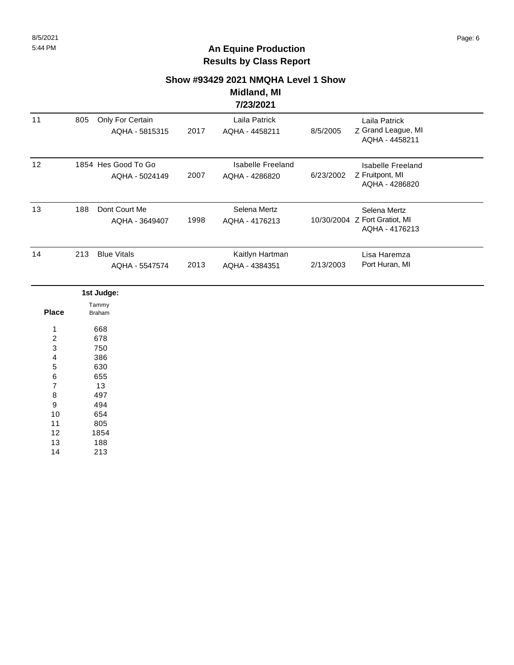#### **Show #93429 2021 NMQHA Level 1 Show**

#### **Midland, MI 7/23/2021**

|                         |     |                                       |      | 772372021                                  |           |                                                                 |  |
|-------------------------|-----|---------------------------------------|------|--------------------------------------------|-----------|-----------------------------------------------------------------|--|
| 11                      | 805 | Only For Certain<br>AQHA - 5815315    | 2017 | Laila Patrick<br>AQHA - 4458211            | 8/5/2005  | Laila Patrick<br>Z Grand League, MI<br>AQHA - 4458211           |  |
| 12                      |     | 1854 Hes Good To Go<br>AQHA - 5024149 | 2007 | <b>Isabelle Freeland</b><br>AQHA - 4286820 | 6/23/2002 | <b>Isabelle Freeland</b><br>Z Fruitpont, MI<br>AQHA - 4286820   |  |
| 13                      | 188 | Dont Court Me<br>AQHA - 3649407       | 1998 | Selena Mertz<br>AQHA - 4176213             |           | Selena Mertz<br>10/30/2004 Z Fort Gratiot, MI<br>AQHA - 4176213 |  |
| 14                      | 213 | <b>Blue Vitals</b><br>AQHA - 5547574  | 2013 | Kaitlyn Hartman<br>AQHA - 4384351          | 2/13/2003 | Lisa Haremza<br>Port Huran, MI                                  |  |
|                         |     | 1st Judge:                            |      |                                            |           |                                                                 |  |
| <b>Place</b>            |     | Tammy<br><b>Braham</b>                |      |                                            |           |                                                                 |  |
| 1                       |     | 668                                   |      |                                            |           |                                                                 |  |
| $\overline{\mathbf{c}}$ |     | 678                                   |      |                                            |           |                                                                 |  |
| 3                       |     | 750                                   |      |                                            |           |                                                                 |  |
| 4                       |     | 386                                   |      |                                            |           |                                                                 |  |
| 5                       |     | 630                                   |      |                                            |           |                                                                 |  |
| 6                       |     | 655                                   |      |                                            |           |                                                                 |  |
| 7                       |     | 13                                    |      |                                            |           |                                                                 |  |
| 8                       |     | 497                                   |      |                                            |           |                                                                 |  |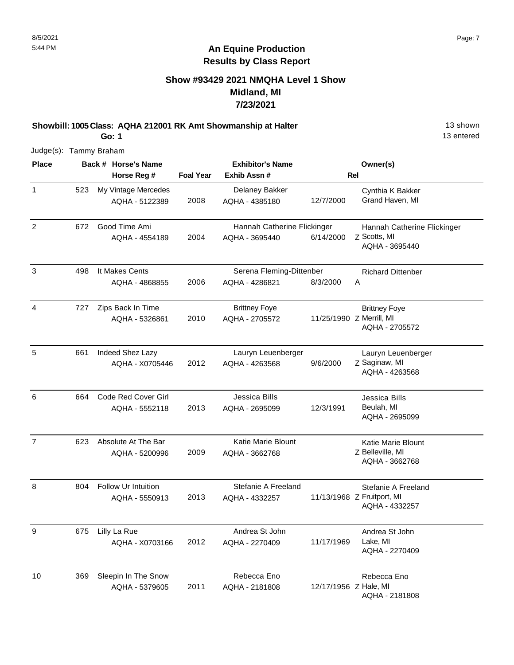### **Show #93429 2021 NMQHA Level 1 Show Midland, MI 7/23/2021**

**Showbill: 1005 Class: AQHA 212001 RK Amt Showmanship at Halter** 13 Shown

13 entered

Judge(s): Tammy Braham

**Go: 1**

| <b>Place</b>   |     | Back # Horse's Name                   |                  | <b>Exhibitor's Name</b>                       |                       | Owner(s)                                                            |
|----------------|-----|---------------------------------------|------------------|-----------------------------------------------|-----------------------|---------------------------------------------------------------------|
|                |     | Horse Reg #                           | <b>Foal Year</b> | Exhib Assn #                                  |                       | Rel                                                                 |
| $\mathbf{1}$   | 523 | My Vintage Mercedes<br>AQHA - 5122389 | 2008             | Delaney Bakker<br>AQHA - 4385180              | 12/7/2000             | Cynthia K Bakker<br>Grand Haven, MI                                 |
| $\overline{2}$ | 672 | Good Time Ami<br>AQHA - 4554189       | 2004             | Hannah Catherine Flickinger<br>AQHA - 3695440 | 6/14/2000             | Hannah Catherine Flickinger<br>Z Scotts, MI<br>AQHA - 3695440       |
| $\mathbf{3}$   | 498 | It Makes Cents<br>AQHA - 4868855      | 2006             | Serena Fleming-Dittenber<br>AQHA - 4286821    | 8/3/2000              | <b>Richard Dittenber</b><br>Α                                       |
| $\overline{4}$ | 727 | Zips Back In Time<br>AQHA - 5326861   | 2010             | <b>Brittney Foye</b><br>AQHA - 2705572        |                       | <b>Brittney Foye</b><br>11/25/1990 Z Merrill, MI<br>AQHA - 2705572  |
| $\sqrt{5}$     | 661 | Indeed Shez Lazy<br>AQHA - X0705446   | 2012             | Lauryn Leuenberger<br>AQHA - 4263568          | 9/6/2000              | Lauryn Leuenberger<br>Z Saginaw, MI<br>AQHA - 4263568               |
| 6              | 664 | Code Red Cover Girl<br>AQHA - 5552118 | 2013             | Jessica Bills<br>AQHA - 2695099               | 12/3/1991             | Jessica Bills<br>Beulah, MI<br>AQHA - 2695099                       |
| $\overline{7}$ | 623 | Absolute At The Bar<br>AQHA - 5200996 | 2009             | <b>Katie Marie Blount</b><br>AQHA - 3662768   |                       | Katie Marie Blount<br>Z Belleville, MI<br>AQHA - 3662768            |
| 8              | 804 | Follow Ur Intuition<br>AQHA - 5550913 | 2013             | Stefanie A Freeland<br>AQHA - 4332257         |                       | Stefanie A Freeland<br>11/13/1968 Z Fruitport, MI<br>AQHA - 4332257 |
| 9              | 675 | Lilly La Rue<br>AQHA - X0703166       | 2012             | Andrea St John<br>AQHA - 2270409              | 11/17/1969            | Andrea St John<br>Lake, MI<br>AQHA - 2270409                        |
| 10             | 369 | Sleepin In The Snow<br>AQHA - 5379605 | 2011             | Rebecca Eno<br>AQHA - 2181808                 | 12/17/1956 Z Hale, MI | Rebecca Eno<br>AQHA - 2181808                                       |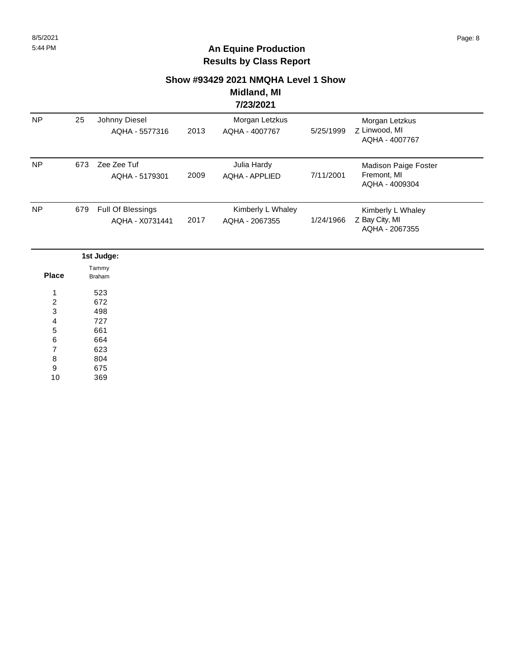## **Show #93429 2021 NMQHA Level 1 Show**

#### **Midland, MI 7/23/2021**

|           |     |                                             |      | . <i>.</i>                           |           |                                                              |  |
|-----------|-----|---------------------------------------------|------|--------------------------------------|-----------|--------------------------------------------------------------|--|
| <b>NP</b> | 25  | Johnny Diesel<br>AQHA - 5577316             | 2013 | Morgan Letzkus<br>AQHA - 4007767     | 5/25/1999 | Morgan Letzkus<br>Z Linwood, MI<br>AQHA - 4007767            |  |
| <b>NP</b> | 673 | Zee Zee Tuf<br>AQHA - 5179301               | 2009 | Julia Hardy<br><b>AQHA - APPLIED</b> | 7/11/2001 | <b>Madison Paige Foster</b><br>Fremont, MI<br>AQHA - 4009304 |  |
| <b>NP</b> | 679 | <b>Full Of Blessings</b><br>AQHA - X0731441 | 2017 | Kimberly L Whaley<br>AQHA - 2067355  | 1/24/1966 | Kimberly L Whaley<br>Z Bay City, MI<br>AQHA - 2067355        |  |

|                | 1st Judge:      |
|----------------|-----------------|
| <b>Place</b>   | Tammy<br>Braham |
|                |                 |
| 1              | 523             |
| $\overline{2}$ | 672             |
| 3              | 498             |
| $\overline{4}$ | 727             |
| 5              | 661             |
| 6              | 664             |
| $\overline{7}$ | 623             |
| 8              | 804             |
| 9              | 675             |

369 10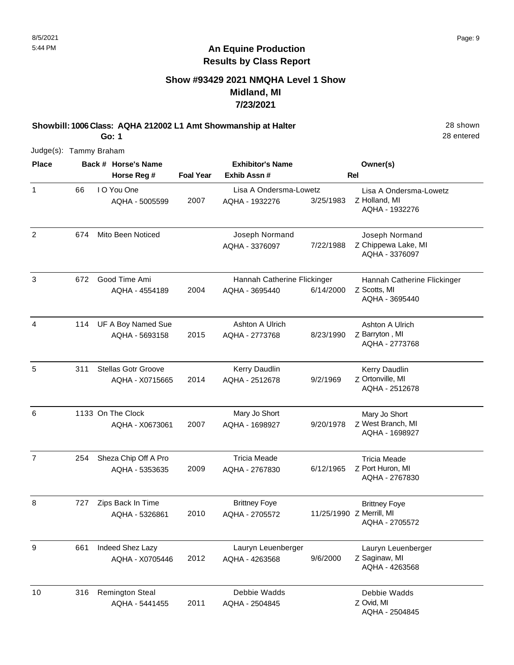### **Show #93429 2021 NMQHA Level 1 Show Midland, MI 7/23/2021**

**Showbill: 1006 Class: AQHA 212002 L1 Amt Showmanship at Halter** 28 Shown

28 entered

Judge(s): Tammy Braham

**Go: 1**

| <b>Place</b>   |     | Back # Horse's Name           |                  | <b>Exhibitor's Name</b>                  |           | Owner(s)                                                  |
|----------------|-----|-------------------------------|------------------|------------------------------------------|-----------|-----------------------------------------------------------|
|                |     | Horse Reg #                   | <b>Foal Year</b> | Exhib Assn#                              |           | Rel                                                       |
| $\mathbf{1}$   | 66  | I O You One<br>AQHA - 5005599 | 2007             | Lisa A Ondersma-Lowetz<br>AQHA - 1932276 | 3/25/1983 | Lisa A Ondersma-Lowetz<br>Z Holland, MI<br>AQHA - 1932276 |
| $\overline{c}$ | 674 | Mito Been Noticed             |                  | Joseph Normand<br>AQHA - 3376097         | 7/22/1988 | Joseph Normand<br>Z Chippewa Lake, MI<br>AQHA - 3376097   |
| 3              | 672 | Good Time Ami                 |                  | Hannah Catherine Flickinger              |           | Hannah Catherine Flickinger                               |
|                |     | AQHA - 4554189                | 2004             | AQHA - 3695440                           | 6/14/2000 | Z Scotts, MI<br>AQHA - 3695440                            |
| $\overline{4}$ | 114 | UF A Boy Named Sue            |                  | Ashton A Ulrich                          |           | Ashton A Ulrich                                           |
|                |     | AQHA - 5693158                | 2015             | AQHA - 2773768                           | 8/23/1990 | Z Barryton, MI<br>AQHA - 2773768                          |
| 5              | 311 | <b>Stellas Gotr Groove</b>    |                  | Kerry Daudlin                            |           | Kerry Daudlin                                             |
|                |     | AQHA - X0715665               | 2014             | AQHA - 2512678                           | 9/2/1969  | Z Ortonville, MI<br>AQHA - 2512678                        |
| 6              |     | 1133 On The Clock             |                  | Mary Jo Short                            |           | Mary Jo Short                                             |
|                |     | AQHA - X0673061               | 2007             | AQHA - 1698927                           | 9/20/1978 | Z West Branch, MI<br>AQHA - 1698927                       |
| $\overline{7}$ | 254 | Sheza Chip Off A Pro          |                  | <b>Tricia Meade</b>                      |           | <b>Tricia Meade</b>                                       |
|                |     | AQHA - 5353635                | 2009             | AQHA - 2767830                           | 6/12/1965 | Z Port Huron, MI<br>AQHA - 2767830                        |
| 8              | 727 | Zips Back In Time             |                  | <b>Brittney Foye</b>                     |           | <b>Brittney Foye</b>                                      |
|                |     | AQHA - 5326861                | 2010             | AQHA - 2705572                           |           | 11/25/1990 Z Merrill, MI<br>AQHA - 2705572                |
| 9              | 661 | Indeed Shez Lazy              |                  | Lauryn Leuenberger                       |           | Lauryn Leuenberger                                        |
|                |     | AQHA - X0705446               | 2012             | AQHA - 4263568                           | 9/6/2000  | Z Saginaw, MI<br>AQHA - 4263568                           |
| 10             | 316 | <b>Remington Steal</b>        |                  | Debbie Wadds                             |           | Debbie Wadds                                              |
|                |     | AQHA - 5441455                | 2011             | AQHA - 2504845                           |           | Z Ovid, MI<br>AQHA - 2504845                              |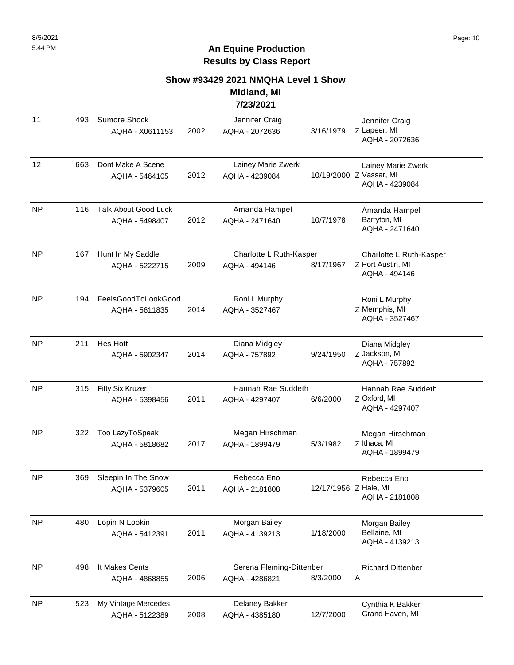#### **Show #93429 2021 NMQHA Level 1 Show Midland, MI**

**7/23/2021**

| 11        | 493 | Sumore Shock<br>AQHA - X0611153               | 2002 | Jennifer Craig<br>AQHA - 2072636           | 3/16/1979             | Jennifer Craig<br>Z Lapeer, MI<br>AQHA - 2072636                |
|-----------|-----|-----------------------------------------------|------|--------------------------------------------|-----------------------|-----------------------------------------------------------------|
| 12        | 663 | Dont Make A Scene<br>AQHA - 5464105           | 2012 | Lainey Marie Zwerk<br>AQHA - 4239084       |                       | Lainey Marie Zwerk<br>10/19/2000 Z Vassar, MI<br>AQHA - 4239084 |
| <b>NP</b> | 116 | <b>Talk About Good Luck</b><br>AQHA - 5498407 | 2012 | Amanda Hampel<br>AQHA - 2471640            | 10/7/1978             | Amanda Hampel<br>Barryton, MI<br>AQHA - 2471640                 |
| <b>NP</b> | 167 | Hunt In My Saddle<br>AQHA - 5222715           | 2009 | Charlotte L Ruth-Kasper<br>AQHA - 494146   | 8/17/1967             | Charlotte L Ruth-Kasper<br>Z Port Austin, MI<br>AQHA - 494146   |
| <b>NP</b> | 194 | FeelsGoodToLookGood<br>AQHA - 5611835         | 2014 | Roni L Murphy<br>AQHA - 3527467            |                       | Roni L Murphy<br>Z Memphis, MI<br>AQHA - 3527467                |
| NP        | 211 | Hes Hott<br>AQHA - 5902347                    | 2014 | Diana Midgley<br>AQHA - 757892             | 9/24/1950             | Diana Midgley<br>Z Jackson, MI<br>AQHA - 757892                 |
| NP        | 315 | Fifty Six Kruzer<br>AQHA - 5398456            | 2011 | Hannah Rae Suddeth<br>AQHA - 4297407       | 6/6/2000              | Hannah Rae Suddeth<br>Z Oxford, MI<br>AQHA - 4297407            |
| <b>NP</b> | 322 | Too LazyToSpeak<br>AQHA - 5818682             | 2017 | Megan Hirschman<br>AQHA - 1899479          | 5/3/1982              | Megan Hirschman<br>Z Ithaca, MI<br>AQHA - 1899479               |
| <b>NP</b> | 369 | Sleepin In The Snow<br>AQHA - 5379605         | 2011 | Rebecca Eno<br>AQHA - 2181808              | 12/17/1956 Z Hale, MI | Rebecca Eno<br>AQHA - 2181808                                   |
| <b>NP</b> | 480 | Lopin N Lookin<br>AQHA - 5412391              | 2011 | Morgan Bailey<br>AQHA - 4139213            | 1/18/2000             | Morgan Bailey<br>Bellaine, MI<br>AQHA - 4139213                 |
| NP        | 498 | It Makes Cents<br>AQHA - 4868855              | 2006 | Serena Fleming-Dittenber<br>AQHA - 4286821 | 8/3/2000              | <b>Richard Dittenber</b><br>A                                   |
| <b>NP</b> | 523 | My Vintage Mercedes<br>AQHA - 5122389         | 2008 | Delaney Bakker<br>AQHA - 4385180           | 12/7/2000             | Cynthia K Bakker<br>Grand Haven, MI                             |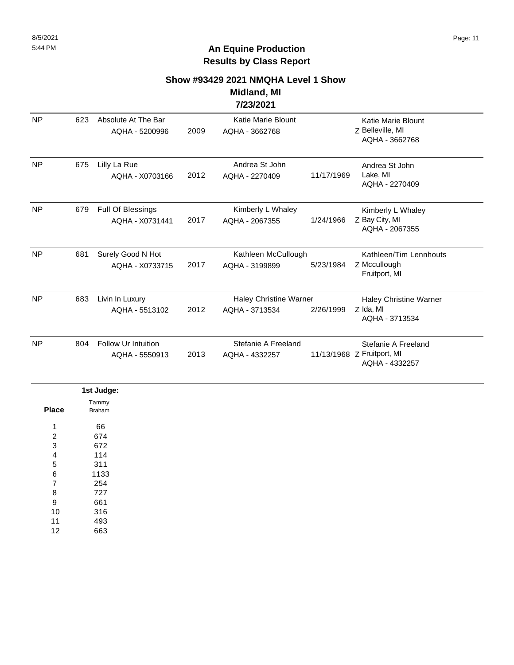## **Show #93429 2021 NMQHA Level 1 Show**

#### **Midland, MI 7/23/2021**

| <b>NP</b> | 623 | Absolute At The Bar<br>AQHA - 5200996        | 2009 | <b>Katie Marie Blount</b><br>AQHA - 3662768     |            | Katie Marie Blount<br>Z Belleville, MI<br>AQHA - 3662768            |
|-----------|-----|----------------------------------------------|------|-------------------------------------------------|------------|---------------------------------------------------------------------|
| <b>NP</b> | 675 | Lilly La Rue<br>AQHA - X0703166              | 2012 | Andrea St John<br>AQHA - 2270409                | 11/17/1969 | Andrea St John<br>Lake, MI<br>AQHA - 2270409                        |
| <b>NP</b> | 679 | Full Of Blessings<br>AQHA - X0731441         | 2017 | Kimberly L Whaley<br>AQHA - 2067355             | 1/24/1966  | Kimberly L Whaley<br>Z Bay City, MI<br>AQHA - 2067355               |
| <b>NP</b> | 681 | Surely Good N Hot<br>AQHA - X0733715         | 2017 | Kathleen McCullough<br>AQHA - 3199899           | 5/23/1984  | Kathleen/Tim Lennhouts<br>Z Mccullough<br>Fruitport, MI             |
| <b>NP</b> | 683 | Livin In Luxury<br>AQHA - 5513102            | 2012 | <b>Haley Christine Warner</b><br>AQHA - 3713534 | 2/26/1999  | Haley Christine Warner<br>Z Ida, MI<br>AQHA - 3713534               |
| <b>NP</b> | 804 | <b>Follow Ur Intuition</b><br>AQHA - 5550913 | 2013 | Stefanie A Freeland<br>AQHA - 4332257           |            | Stefanie A Freeland<br>11/13/1968 Z Fruitport, MI<br>AQHA - 4332257 |

|                | 1st Judge:             |
|----------------|------------------------|
| Place          | Tammy<br><b>Braham</b> |
| 1              | 66                     |
| $\overline{c}$ | 674                    |
| 3              | 672                    |
| 4              | 114                    |
| 5              | 311                    |
| 6              | 1133                   |
| 7              | 254                    |
| 8              | 727                    |
| 9              | 661                    |
| 10             | 316                    |
| 11             | 493                    |
| 12             | 663                    |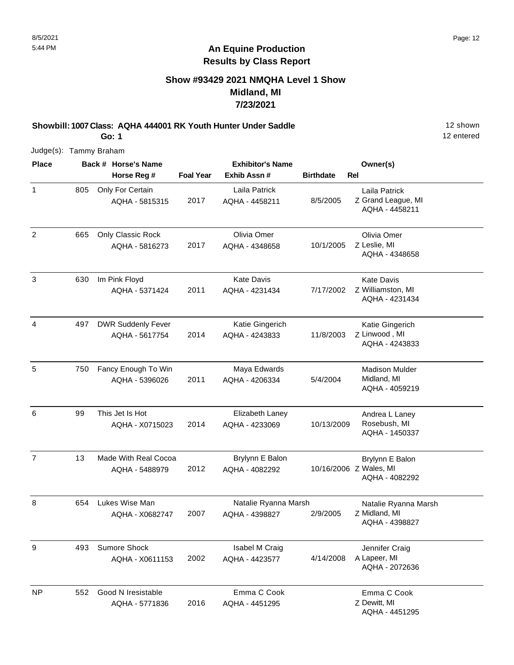### **Show #93429 2021 NMQHA Level 1 Show Midland, MI 7/23/2021**

**Showbill: 1007 Class: AQHA 444001 RK Youth Hunter Under Saddle** 12 Shown **Go: 1**

12 entered

| <b>Place</b>   |     | Back # Horse's Name                         |                  | <b>Exhibitor's Name</b>                |                  | Owner(s)                                                    |
|----------------|-----|---------------------------------------------|------------------|----------------------------------------|------------------|-------------------------------------------------------------|
|                |     | Horse Reg #                                 | <b>Foal Year</b> | Exhib Assn#                            | <b>Birthdate</b> | <b>Rel</b>                                                  |
| 1              | 805 | Only For Certain<br>AQHA - 5815315          | 2017             | Laila Patrick<br>AQHA - 4458211        | 8/5/2005         | Laila Patrick<br>Z Grand League, MI<br>AQHA - 4458211       |
| $\overline{2}$ | 665 | Only Classic Rock<br>AQHA - 5816273         | 2017             | Olivia Omer<br>AQHA - 4348658          | 10/1/2005        | Olivia Omer<br>Z Leslie, MI<br>AQHA - 4348658               |
| 3              | 630 | Im Pink Floyd<br>AQHA - 5371424             | 2011             | <b>Kate Davis</b><br>AQHA - 4231434    | 7/17/2002        | <b>Kate Davis</b><br>Z Williamston, MI<br>AQHA - 4231434    |
| 4              | 497 | <b>DWR Suddenly Fever</b><br>AQHA - 5617754 | 2014             | Katie Gingerich<br>AQHA - 4243833      | 11/8/2003        | Katie Gingerich<br>Z Linwood, MI<br>AQHA - 4243833          |
| 5              | 750 | Fancy Enough To Win<br>AQHA - 5396026       | 2011             | Maya Edwards<br>AQHA - 4206334         | 5/4/2004         | <b>Madison Mulder</b><br>Midland, MI<br>AQHA - 4059219      |
| 6              | 99  | This Jet Is Hot<br>AQHA - X0715023          | 2014             | Elizabeth Laney<br>AQHA - 4233069      | 10/13/2009       | Andrea L Laney<br>Rosebush, MI<br>AQHA - 1450337            |
| $\overline{7}$ | 13  | Made With Real Cocoa<br>AQHA - 5488979      | 2012             | Brylynn E Balon<br>AQHA - 4082292      |                  | Brylynn E Balon<br>10/16/2006 Z Wales, MI<br>AQHA - 4082292 |
| 8              | 654 | Lukes Wise Man<br>AQHA - X0682747           | 2007             | Natalie Ryanna Marsh<br>AQHA - 4398827 | 2/9/2005         | Natalie Ryanna Marsh<br>Z Midland, MI<br>AQHA - 4398827     |
| 9              | 493 | Sumore Shock<br>AQHA - X0611153             | 2002             | Isabel M Craig<br>AQHA - 4423577       | 4/14/2008        | Jennifer Craig<br>A Lapeer, MI<br>AQHA - 2072636            |
| NP             | 552 | Good N Iresistable<br>AQHA - 5771836        | 2016             | Emma C Cook<br>AQHA - 4451295          |                  | Emma C Cook<br>Z Dewitt, MI<br>AQHA - 4451295               |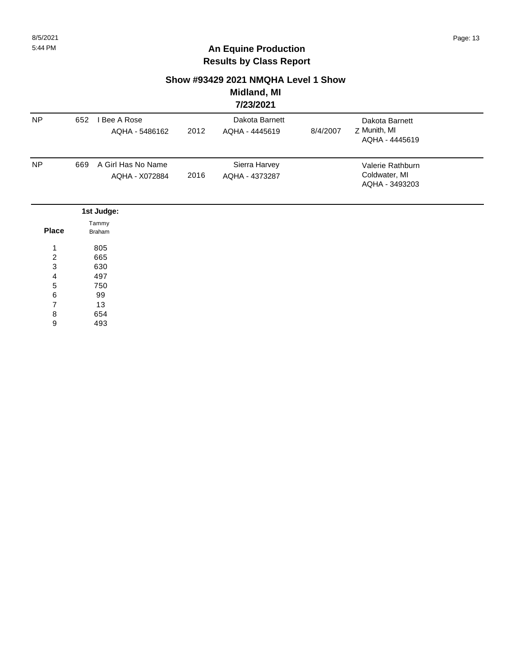### **Show #93429 2021 NMQHA Level 1 Show**

#### **Midland, MI 7/23/2021**

|                  |                        |                                      |      | 772372021                        |          |                                                     |  |
|------------------|------------------------|--------------------------------------|------|----------------------------------|----------|-----------------------------------------------------|--|
| <b>NP</b>        | 652                    | I Bee A Rose<br>AQHA - 5486162       | 2012 | Dakota Barnett<br>AQHA - 4445619 | 8/4/2007 | Dakota Barnett<br>Z Munith, MI<br>AQHA - 4445619    |  |
| <b>NP</b>        | 669                    | A Girl Has No Name<br>AQHA - X072884 | 2016 | Sierra Harvey<br>AQHA - 4373287  |          | Valerie Rathburn<br>Coldwater, MI<br>AQHA - 3493203 |  |
|                  |                        | 1st Judge:                           |      |                                  |          |                                                     |  |
| <b>Place</b>     | Tammy<br><b>Braham</b> |                                      |      |                                  |          |                                                     |  |
| 1                |                        | 805                                  |      |                                  |          |                                                     |  |
| $\boldsymbol{2}$ |                        | 665                                  |      |                                  |          |                                                     |  |
| $\mathbf{3}$     |                        | 630                                  |      |                                  |          |                                                     |  |
| 4                |                        | 497                                  |      |                                  |          |                                                     |  |
| $\mathbf 5$      |                        | 750                                  |      |                                  |          |                                                     |  |
| 6                |                        | 99                                   |      |                                  |          |                                                     |  |
| 7                |                        | 13                                   |      |                                  |          |                                                     |  |
| 8                |                        | 654                                  |      |                                  |          |                                                     |  |
| 9                |                        | 493                                  |      |                                  |          |                                                     |  |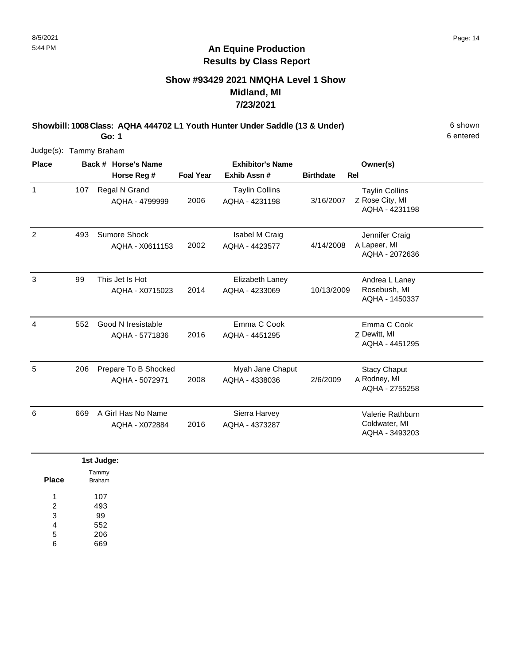### **Show #93429 2021 NMQHA Level 1 Show Midland, MI 7/23/2021**

**Showbill: 1008 Class: AQHA 444702 L1 Youth Hunter Under Saddle (13 & Under)** 6 shown

6 entered

**Go: 1** Judge(s): Tammy Braham

| <b>Place</b>   | Back # Horse's Name |                                        | <b>Exhibitor's Name</b> |                                         |                  | Owner(s)                                                   |
|----------------|---------------------|----------------------------------------|-------------------------|-----------------------------------------|------------------|------------------------------------------------------------|
|                |                     | Horse Reg #                            | <b>Foal Year</b>        | Exhib Assn#                             | <b>Birthdate</b> | Rel                                                        |
| $\mathbf{1}$   | 107                 | Regal N Grand<br>AQHA - 4799999        | 2006                    | <b>Taylin Collins</b><br>AQHA - 4231198 | 3/16/2007        | <b>Taylin Collins</b><br>Z Rose City, MI<br>AQHA - 4231198 |
| $\overline{2}$ | 493                 | Sumore Shock<br>AQHA - X0611153        | 2002                    | Isabel M Craig<br>AQHA - 4423577        | 4/14/2008        | Jennifer Craig<br>A Lapeer, MI<br>AQHA - 2072636           |
| 3              | 99                  | This Jet Is Hot<br>AQHA - X0715023     | 2014                    | Elizabeth Laney<br>AQHA - 4233069       | 10/13/2009       | Andrea L Laney<br>Rosebush, MI<br>AQHA - 1450337           |
| 4              | 552                 | Good N Iresistable<br>AQHA - 5771836   | 2016                    | Emma C Cook<br>AQHA - 4451295           |                  | Emma C Cook<br>Z Dewitt, MI<br>AQHA - 4451295              |
| 5              | 206                 | Prepare To B Shocked<br>AQHA - 5072971 | 2008                    | Myah Jane Chaput<br>AQHA - 4338036      | 2/6/2009         | <b>Stacy Chaput</b><br>A Rodney, MI<br>AQHA - 2755258      |
| 6              | 669                 | A Girl Has No Name<br>AQHA - X072884   | 2016                    | Sierra Harvey<br>AQHA - 4373287         |                  | Valerie Rathburn<br>Coldwater, MI<br>AQHA - 3493203        |
|                |                     | 1st Judge:<br>Tammy                    |                         |                                         |                  |                                                            |

| <b>Braham</b> |
|---------------|
| 107           |
| 493           |
| 99            |
| 552           |
| 206           |
| 669           |
|               |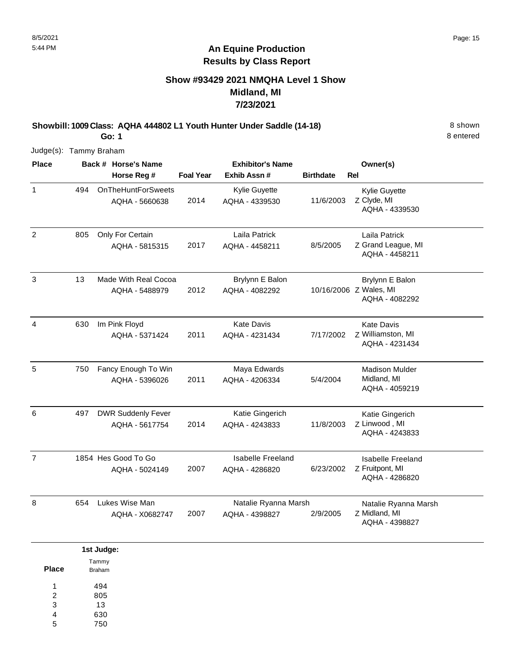### **Show #93429 2021 NMQHA Level 1 Show Midland, MI 7/23/2021**

**Showbill: 1009 Class: AQHA 444802 L1 Youth Hunter Under Saddle (14-18)** 8 shown **Go: 1**

8 entered

| <b>Place</b>   |     | Back # Horse's Name                         |                  | <b>Exhibitor's Name</b>                    |                  | Owner(s)                                                    |
|----------------|-----|---------------------------------------------|------------------|--------------------------------------------|------------------|-------------------------------------------------------------|
|                |     | Horse Reg #                                 | <b>Foal Year</b> | Exhib Assn #                               | <b>Birthdate</b> | Rel                                                         |
| 1              | 494 | <b>OnTheHuntForSweets</b><br>AQHA - 5660638 | 2014             | Kylie Guyette<br>AQHA - 4339530            | 11/6/2003        | Kylie Guyette<br>Z Clyde, MI<br>AQHA - 4339530              |
| $\overline{c}$ | 805 | Only For Certain<br>AQHA - 5815315          | 2017             | Laila Patrick<br>AQHA - 4458211            | 8/5/2005         | Laila Patrick<br>Z Grand League, MI<br>AQHA - 4458211       |
| $\mathfrak{S}$ | 13  | Made With Real Cocoa<br>AQHA - 5488979      | 2012             | Brylynn E Balon<br>AQHA - 4082292          |                  | Brylynn E Balon<br>10/16/2006 Z Wales, MI<br>AQHA - 4082292 |
| $\overline{4}$ | 630 | Im Pink Floyd<br>AQHA - 5371424             | 2011             | <b>Kate Davis</b><br>AQHA - 4231434        | 7/17/2002        | <b>Kate Davis</b><br>Z Williamston, MI<br>AQHA - 4231434    |
| 5              | 750 | Fancy Enough To Win<br>AQHA - 5396026       | 2011             | Maya Edwards<br>AQHA - 4206334             | 5/4/2004         | <b>Madison Mulder</b><br>Midland, MI<br>AQHA - 4059219      |
| 6              | 497 | <b>DWR Suddenly Fever</b><br>AQHA - 5617754 | 2014             | Katie Gingerich<br>AQHA - 4243833          | 11/8/2003        | Katie Gingerich<br>Z Linwood, MI<br>AQHA - 4243833          |
| $\overline{7}$ |     | 1854 Hes Good To Go<br>AQHA - 5024149       | 2007             | <b>Isabelle Freeland</b><br>AQHA - 4286820 | 6/23/2002        | Isabelle Freeland<br>Z Fruitpont, MI<br>AQHA - 4286820      |
| 8              | 654 | Lukes Wise Man<br>AQHA - X0682747           | 2007             | Natalie Ryanna Marsh<br>AQHA - 4398827     | 2/9/2005         | Natalie Ryanna Marsh<br>Z Midland, MI<br>AQHA - 4398827     |

|       | 1st Judge:    |
|-------|---------------|
|       | Tammy         |
| Place | <b>Braham</b> |
| 1     | 494           |
| 2     | 805           |
| 3     | 13            |
| 4     | 630           |
| 5     | 750           |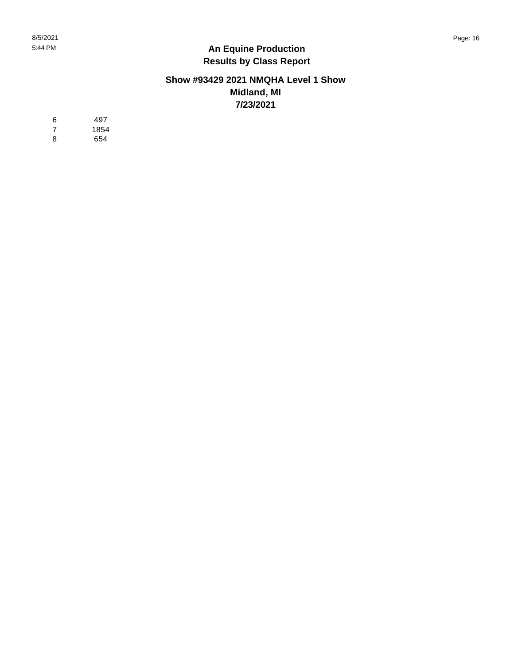#### **Show #93429 2021 NMQHA Level 1 Show Midland, MI 7/23/2021**

 $\,6\,$ 497 6<br>7<br>8  $\boldsymbol{7}$ 1854  $\bf 8$ 654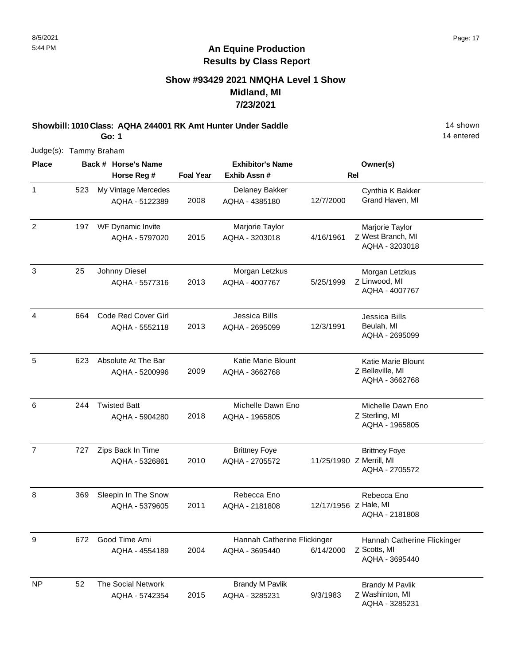### **Show #93429 2021 NMQHA Level 1 Show Midland, MI 7/23/2021**

**Showbill: 1010 Class: AQHA 244001 RK Amt Hunter Under Saddle** 14 shown **Go: 1**

14 entered

| <b>Place</b>   |     | Back # Horse's Name                         |                  | <b>Exhibitor's Name</b>                       |                       | Owner(s)                                                           |
|----------------|-----|---------------------------------------------|------------------|-----------------------------------------------|-----------------------|--------------------------------------------------------------------|
|                |     | Horse Reg #                                 | <b>Foal Year</b> | Exhib Assn#                                   |                       | <b>Rel</b>                                                         |
| $\mathbf{1}$   | 523 | My Vintage Mercedes<br>AQHA - 5122389       | 2008             | Delaney Bakker<br>AQHA - 4385180              | 12/7/2000             | Cynthia K Bakker<br>Grand Haven, MI                                |
| $\overline{2}$ | 197 | WF Dynamic Invite<br>AQHA - 5797020         | 2015             | Marjorie Taylor<br>AQHA - 3203018             | 4/16/1961             | Marjorie Taylor<br>Z West Branch, MI<br>AQHA - 3203018             |
| $\mathbf{3}$   | 25  | Johnny Diesel<br>AQHA - 5577316             | 2013             | Morgan Letzkus<br>AQHA - 4007767              | 5/25/1999             | Morgan Letzkus<br>Z Linwood, MI<br>AQHA - 4007767                  |
| 4              | 664 | Code Red Cover Girl<br>AQHA - 5552118       | 2013             | Jessica Bills<br>AQHA - 2695099               | 12/3/1991             | Jessica Bills<br>Beulah, MI<br>AQHA - 2695099                      |
| 5              | 623 | Absolute At The Bar<br>AQHA - 5200996       | 2009             | <b>Katie Marie Blount</b><br>AQHA - 3662768   |                       | <b>Katie Marie Blount</b><br>Z Belleville, MI<br>AQHA - 3662768    |
| 6              | 244 | <b>Twisted Batt</b><br>AQHA - 5904280       | 2018             | Michelle Dawn Eno<br>AQHA - 1965805           |                       | Michelle Dawn Eno<br>Z Sterling, MI<br>AQHA - 1965805              |
| $\overline{7}$ | 727 | Zips Back In Time<br>AQHA - 5326861         | 2010             | <b>Brittney Foye</b><br>AQHA - 2705572        |                       | <b>Brittney Foye</b><br>11/25/1990 Z Merrill, MI<br>AQHA - 2705572 |
| 8              | 369 | Sleepin In The Snow<br>AQHA - 5379605       | 2011             | Rebecca Eno<br>AQHA - 2181808                 | 12/17/1956 Z Hale, MI | Rebecca Eno<br>AQHA - 2181808                                      |
| 9              |     | 672 Good Time Ami<br>AQHA - 4554189         | 2004             | Hannah Catherine Flickinger<br>AQHA - 3695440 | 6/14/2000             | Hannah Catherine Flickinger<br>Z Scotts, MI<br>AQHA - 3695440      |
| <b>NP</b>      | 52  | <b>The Social Network</b><br>AQHA - 5742354 | 2015             | <b>Brandy M Pavlik</b><br>AQHA - 3285231      | 9/3/1983              | <b>Brandy M Pavlik</b><br>Z Washinton, MI<br>AQHA - 3285231        |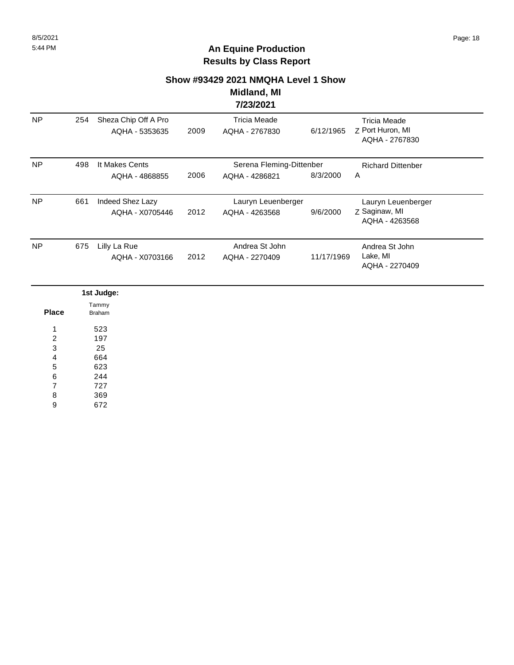#### **Show #93429 2021 NMQHA Level 1 Show**

#### **Midland, MI 7/23/2021**

|           |     |                                        |      | 1749/474                                   |            |                                                           |  |
|-----------|-----|----------------------------------------|------|--------------------------------------------|------------|-----------------------------------------------------------|--|
| <b>NP</b> | 254 | Sheza Chip Off A Pro<br>AQHA - 5353635 | 2009 | Tricia Meade<br>AQHA - 2767830             | 6/12/1965  | <b>Tricia Meade</b><br>Z Port Huron, MI<br>AQHA - 2767830 |  |
| <b>NP</b> | 498 | It Makes Cents<br>AQHA - 4868855       | 2006 | Serena Fleming-Dittenber<br>AQHA - 4286821 | 8/3/2000   | <b>Richard Dittenber</b><br>A                             |  |
| <b>NP</b> | 661 | Indeed Shez Lazy<br>AQHA - X0705446    | 2012 | Lauryn Leuenberger<br>AQHA - 4263568       | 9/6/2000   | Lauryn Leuenberger<br>Z Saginaw, MI<br>AQHA - 4263568     |  |
| <b>NP</b> | 675 | Lilly La Rue<br>AQHA - X0703166        | 2012 | Andrea St John<br>AQHA - 2270409           | 11/17/1969 | Andrea St John<br>Lake, MI<br>AQHA - 2270409              |  |

|                  | 1st Judge:      |
|------------------|-----------------|
| <b>Place</b>     | Tammy<br>Braham |
| 4                | 523             |
| 2                | 197             |
| $\sqrt{3}$       | 25              |
| $\overline{4}$   | 664             |
| $\sqrt{5}$       | 623             |
| $6\phantom{1}6$  | 244             |
| 7                | 727             |
| 8                | 369             |
| $\boldsymbol{9}$ | 672             |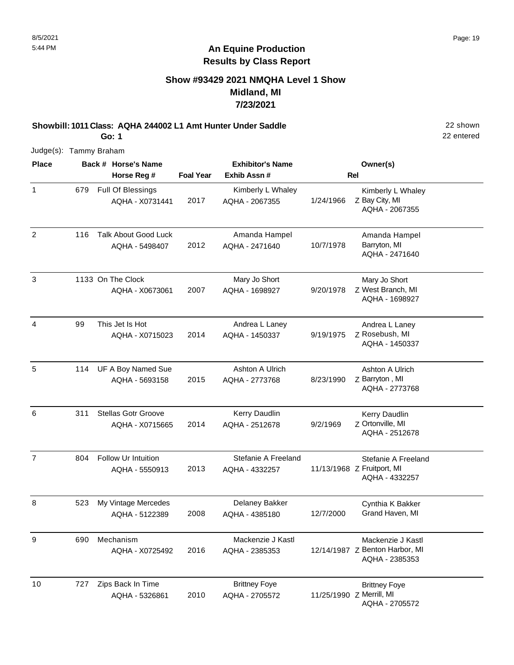#### **Show #93429 2021 NMQHA Level 1 Show Midland, MI 7/23/2021**

**Showbill: 1011 Class: AQHA 244002 L1 Amt Hunter Under Saddle** 22 shown **Go: 1**

Judge(s): Tammy Braham

| <b>Place</b>   |     | Back # Horse's Name                           |                  | <b>Exhibitor's Name</b>                |           | Owner(s)                                                              |
|----------------|-----|-----------------------------------------------|------------------|----------------------------------------|-----------|-----------------------------------------------------------------------|
|                |     | Horse Reg #                                   | <b>Foal Year</b> | Exhib Assn#                            |           | <b>Rel</b>                                                            |
| $\mathbf{1}$   | 679 | Full Of Blessings<br>AQHA - X0731441          | 2017             | Kimberly L Whaley<br>AQHA - 2067355    | 1/24/1966 | Kimberly L Whaley<br>Z Bay City, MI<br>AQHA - 2067355                 |
| $\overline{2}$ | 116 | <b>Talk About Good Luck</b><br>AQHA - 5498407 | 2012             | Amanda Hampel<br>AQHA - 2471640        | 10/7/1978 | Amanda Hampel<br>Barryton, MI<br>AQHA - 2471640                       |
| 3              |     | 1133 On The Clock<br>AQHA - X0673061          | 2007             | Mary Jo Short<br>AQHA - 1698927        | 9/20/1978 | Mary Jo Short<br>Z West Branch, MI<br>AQHA - 1698927                  |
| 4              | 99  | This Jet Is Hot<br>AQHA - X0715023            | 2014             | Andrea L Laney<br>AQHA - 1450337       | 9/19/1975 | Andrea L Laney<br>Z Rosebush, MI<br>AQHA - 1450337                    |
| $\sqrt{5}$     | 114 | UF A Boy Named Sue<br>AQHA - 5693158          | 2015             | Ashton A Ulrich<br>AQHA - 2773768      | 8/23/1990 | Ashton A Ulrich<br>Z Barryton, MI<br>AQHA - 2773768                   |
| 6              | 311 | <b>Stellas Gotr Groove</b><br>AQHA - X0715665 | 2014             | Kerry Daudlin<br>AQHA - 2512678        | 9/2/1969  | Kerry Daudlin<br>Z Ortonville, MI<br>AQHA - 2512678                   |
| $\overline{7}$ | 804 | Follow Ur Intuition<br>AQHA - 5550913         | 2013             | Stefanie A Freeland<br>AQHA - 4332257  |           | Stefanie A Freeland<br>11/13/1968 Z Fruitport, MI<br>AQHA - 4332257   |
| $\, 8$         | 523 | My Vintage Mercedes<br>AQHA - 5122389         | 2008             | Delaney Bakker<br>AQHA - 4385180       | 12/7/2000 | Cynthia K Bakker<br>Grand Haven, MI                                   |
| y              | 690 | Mechanism<br>AQHA - X0725492                  | 2016             | Mackenzie J Kastl<br>AQHA - 2385353    |           | Mackenzie J Kastl<br>12/14/1987 Z Benton Harbor, MI<br>AQHA - 2385353 |
| 10             | 727 | Zips Back In Time<br>AQHA - 5326861           | 2010             | <b>Brittney Foye</b><br>AQHA - 2705572 |           | <b>Brittney Foye</b><br>11/25/1990 Z Merrill, MI<br>AQHA - 2705572    |

22 entered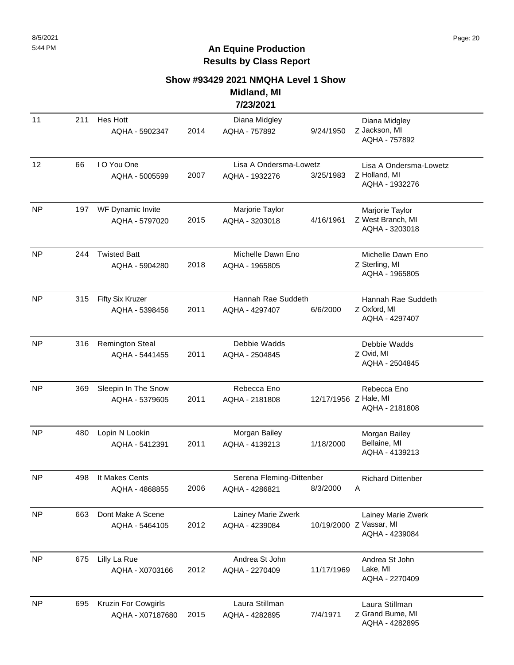#### **Show #93429 2021 NMQHA Level 1 Show**

**Midland, MI 7/23/2021**

| 11        | 211 | Hes Hott<br>AQHA - 5902347                                                           | 2014 | Diana Midgley<br>AQHA - 757892                        | 9/24/1950             | Diana Midgley<br>Z Jackson, MI<br>AQHA - 757892                 |
|-----------|-----|--------------------------------------------------------------------------------------|------|-------------------------------------------------------|-----------------------|-----------------------------------------------------------------|
| 12        | 66  | I O You One<br>AQHA - 5005599                                                        | 2007 | Lisa A Ondersma-Lowetz<br>AQHA - 1932276              | 3/25/1983             | Lisa A Ondersma-Lowetz<br>Z Holland, MI<br>AQHA - 1932276       |
| <b>NP</b> | 197 | WF Dynamic Invite<br>AQHA - 5797020                                                  | 2015 | Marjorie Taylor<br>AQHA - 3203018                     | 4/16/1961             | Marjorie Taylor<br>Z West Branch, MI<br>AQHA - 3203018          |
| <b>NP</b> | 244 | <b>Twisted Batt</b><br>Michelle Dawn Eno<br>2018<br>AQHA - 5904280<br>AQHA - 1965805 |      | Michelle Dawn Eno<br>Z Sterling, MI<br>AQHA - 1965805 |                       |                                                                 |
| <b>NP</b> | 315 | Fifty Six Kruzer<br>AQHA - 5398456                                                   | 2011 | Hannah Rae Suddeth<br>AQHA - 4297407                  | 6/6/2000              | Hannah Rae Suddeth<br>Z Oxford, MI<br>AQHA - 4297407            |
| <b>NP</b> | 316 | <b>Remington Steal</b><br>AQHA - 5441455                                             | 2011 | Debbie Wadds<br>AQHA - 2504845                        |                       | Debbie Wadds<br>Z Ovid, MI<br>AQHA - 2504845                    |
| <b>NP</b> | 369 | Sleepin In The Snow<br>AQHA - 5379605                                                | 2011 | Rebecca Eno<br>AQHA - 2181808                         | 12/17/1956 Z Hale, MI | Rebecca Eno<br>AQHA - 2181808                                   |
| <b>NP</b> | 480 | Lopin N Lookin<br>AQHA - 5412391                                                     | 2011 | Morgan Bailey<br>AQHA - 4139213                       | 1/18/2000             | Morgan Bailey<br>Bellaine, MI<br>AQHA - 4139213                 |
| <b>NP</b> | 498 | It Makes Cents<br>AQHA - 4868855                                                     | 2006 | Serena Fleming-Dittenber<br>AQHA - 4286821            | 8/3/2000              | <b>Richard Dittenber</b><br>Α                                   |
| <b>NP</b> | 663 | Dont Make A Scene<br>AQHA - 5464105                                                  | 2012 | Lainey Marie Zwerk<br>AQHA - 4239084                  |                       | Lainey Marie Zwerk<br>10/19/2000 Z Vassar, MI<br>AQHA - 4239084 |
| <b>NP</b> | 675 | Lilly La Rue<br>AQHA - X0703166                                                      | 2012 | Andrea St John<br>AQHA - 2270409                      | 11/17/1969            | Andrea St John<br>Lake, MI<br>AQHA - 2270409                    |
| <b>NP</b> | 695 | Kruzin For Cowgirls<br>AQHA - X07187680                                              | 2015 | Laura Stillman<br>AQHA - 4282895                      | 7/4/1971              | Laura Stillman<br>Z Grand Bume, MI<br>AQHA - 4282895            |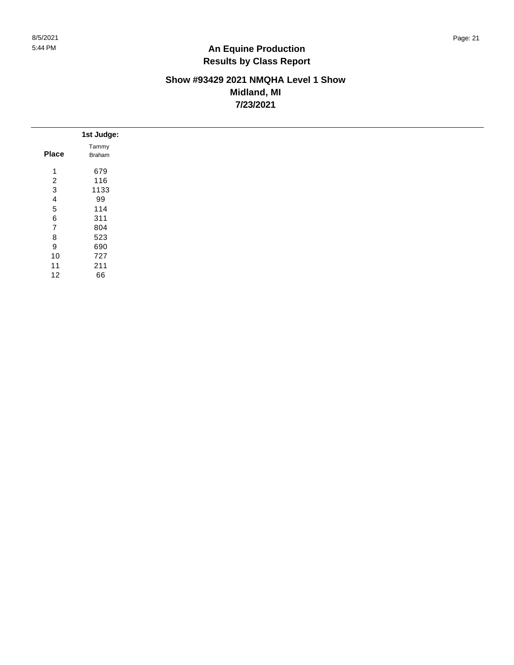### **Show #93429 2021 NMQHA Level 1 Show Midland, MI 7/23/2021**

|                | 1st Judge:      |
|----------------|-----------------|
| <b>Place</b>   | Tammy<br>Braham |
|                |                 |
| $\mathbf{1}$   | 679             |
| $\overline{c}$ | 116             |
| 3              | 1133            |
| 4              | 99              |
| 5              | 114             |
| $\,6$          | 311             |
| $\overline{7}$ | 804             |
| 8              | 523             |
| 9              | 690             |
| 10             | 727             |
| 11             | 211             |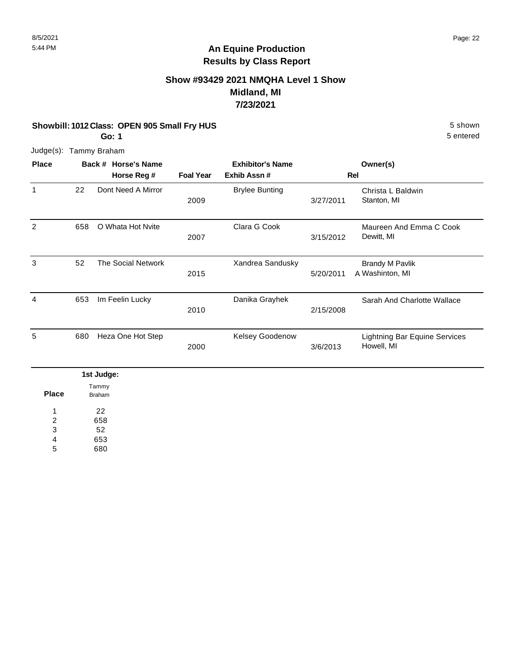### **Show #93429 2021 NMQHA Level 1 Show Midland, MI 7/23/2021**

#### **Showbill: 1012 Class: OPEN 905 Small Fry HUS** 5 Shown

**Go: 1**

Judge(s): Tammy Braham

| <b>Place</b> |     | <b>Horse's Name</b><br>Back # |                  | <b>Exhibitor's Name</b> |           | Owner(s)                                           |
|--------------|-----|-------------------------------|------------------|-------------------------|-----------|----------------------------------------------------|
|              |     | Horse Reg #                   | <b>Foal Year</b> | Exhib Assn#             |           | Rel                                                |
| 1            | 22  | Dont Need A Mirror            | 2009             | <b>Brylee Bunting</b>   | 3/27/2011 | Christa L Baldwin<br>Stanton, MI                   |
| 2            | 658 | O Whata Hot Nvite             | 2007             | Clara G Cook            | 3/15/2012 | Maureen And Emma C Cook<br>Dewitt, MI              |
| 3            | 52  | <b>The Social Network</b>     | 2015             | Xandrea Sandusky        | 5/20/2011 | <b>Brandy M Pavlik</b><br>A Washinton, MI          |
| 4            | 653 | Im Feelin Lucky               | 2010             | Danika Grayhek          | 2/15/2008 | Sarah And Charlotte Wallace                        |
| 5            | 680 | Heza One Hot Step             | 2000             | <b>Kelsey Goodenow</b>  | 3/6/2013  | <b>Lightning Bar Equine Services</b><br>Howell, MI |

|              | 1st Judge:      |
|--------------|-----------------|
| <b>Place</b> | Tammy<br>Braham |
|              | 22              |
| 2            | 658             |
| 3            | 52              |
| 4            | 653             |
| $\mathbf{r}$ | 0.00            |

680 5

5 entered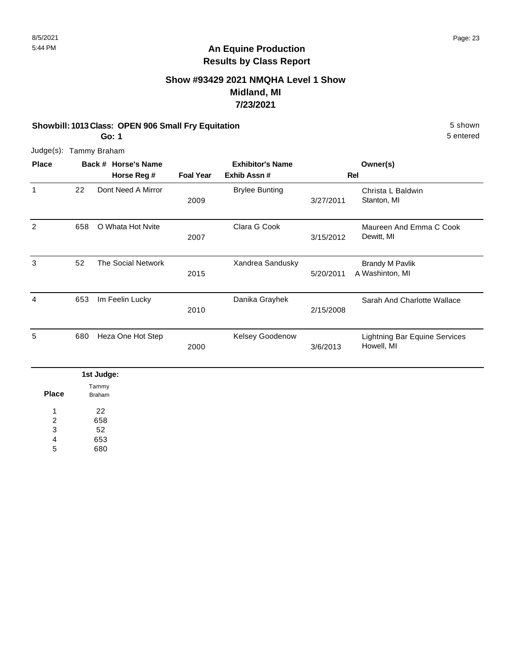### **Show #93429 2021 NMQHA Level 1 Show Midland, MI 7/23/2021**

#### **Showbill: 1013 Class: OPEN 906 Small Fry Equitation** 5 shown

**Go: 1**

5 entered

Judge(s): Tammy Braham

| <b>Place</b> |     | Back # Horse's Name |                  | <b>Exhibitor's Name</b> |           | Owner(s)                                           |
|--------------|-----|---------------------|------------------|-------------------------|-----------|----------------------------------------------------|
|              |     | Horse Reg #         | <b>Foal Year</b> | Exhib Assn#             |           | Rel                                                |
| $\mathbf{1}$ | 22  | Dont Need A Mirror  | 2009             | <b>Brylee Bunting</b>   | 3/27/2011 | Christa L Baldwin<br>Stanton, MI                   |
| 2            | 658 | O Whata Hot Nvite   | 2007             | Clara G Cook            | 3/15/2012 | Maureen And Emma C Cook<br>Dewitt, MI              |
| 3            | 52  | The Social Network  | 2015             | Xandrea Sandusky        | 5/20/2011 | <b>Brandy M Pavlik</b><br>A Washinton, MI          |
| 4            | 653 | Im Feelin Lucky     | 2010             | Danika Grayhek          | 2/15/2008 | Sarah And Charlotte Wallace                        |
| 5            | 680 | Heza One Hot Step   | 2000             | Kelsey Goodenow         | 3/6/2013  | <b>Lightning Bar Equine Services</b><br>Howell, MI |
|              |     | 1st Judge:          |                  |                         |           |                                                    |

**Place** 22 658 52 653 1 2 3 4 Tammy Braham

680 5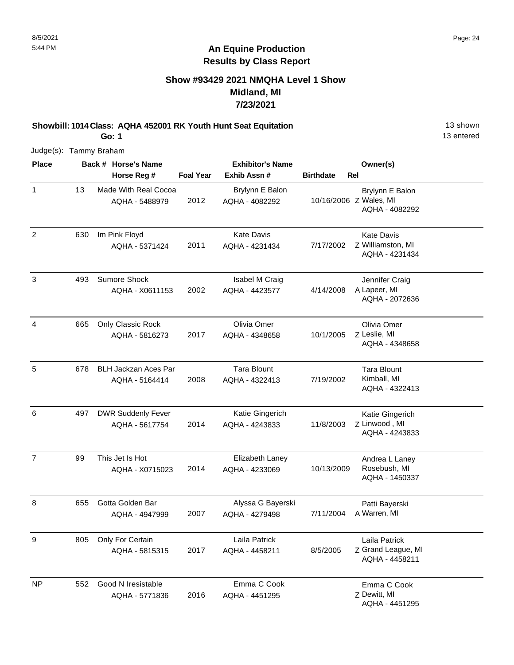### **Show #93429 2021 NMQHA Level 1 Show Midland, MI 7/23/2021**

**Showbill: 1014 Class: AQHA 452001 RK Youth Hunt Seat Equitation** 13 Shown 13 shown **Go: 1**

13 entered

| <b>Place</b>   |     | Back # Horse's Name                           |                  | <b>Exhibitor's Name</b>              |                  | Owner(s)                                                    |
|----------------|-----|-----------------------------------------------|------------------|--------------------------------------|------------------|-------------------------------------------------------------|
|                |     | Horse Reg #                                   | <b>Foal Year</b> | Exhib Assn#                          | <b>Birthdate</b> | Rel                                                         |
| 1              | 13  | Made With Real Cocoa<br>AQHA - 5488979        | 2012             | Brylynn E Balon<br>AQHA - 4082292    |                  | Brylynn E Balon<br>10/16/2006 Z Wales, MI<br>AQHA - 4082292 |
| $\overline{2}$ | 630 | Im Pink Floyd<br>AQHA - 5371424               | 2011             | <b>Kate Davis</b><br>AQHA - 4231434  | 7/17/2002        | <b>Kate Davis</b><br>Z Williamston, MI<br>AQHA - 4231434    |
| 3              | 493 | <b>Sumore Shock</b><br>AQHA - X0611153        | 2002             | Isabel M Craig<br>AQHA - 4423577     | 4/14/2008        | Jennifer Craig<br>A Lapeer, MI<br>AQHA - 2072636            |
| 4              | 665 | Only Classic Rock<br>AQHA - 5816273           | 2017             | Olivia Omer<br>AQHA - 4348658        | 10/1/2005        | Olivia Omer<br>Z Leslie, MI<br>AQHA - 4348658               |
| 5              | 678 | <b>BLH Jackzan Aces Par</b><br>AQHA - 5164414 | 2008             | <b>Tara Blount</b><br>AQHA - 4322413 | 7/19/2002        | <b>Tara Blount</b><br>Kimball, MI<br>AQHA - 4322413         |
| 6              | 497 | <b>DWR Suddenly Fever</b><br>AQHA - 5617754   | 2014             | Katie Gingerich<br>AQHA - 4243833    | 11/8/2003        | Katie Gingerich<br>Z Linwood, MI<br>AQHA - 4243833          |
| $\overline{7}$ | 99  | This Jet Is Hot<br>AQHA - X0715023            | 2014             | Elizabeth Laney<br>AQHA - 4233069    | 10/13/2009       | Andrea L Laney<br>Rosebush, MI<br>AQHA - 1450337            |
| 8              | 655 | Gotta Golden Bar<br>AQHA - 4947999            | 2007             | Alyssa G Bayerski<br>AQHA - 4279498  | 7/11/2004        | Patti Bayerski<br>A Warren, MI                              |
| 9              | 805 | Only For Certain<br>AQHA - 5815315            | 2017             | Laila Patrick<br>AQHA - 4458211      | 8/5/2005         | Laila Patrick<br>Z Grand League, MI<br>AQHA - 4458211       |
| <b>NP</b>      | 552 | Good N Iresistable<br>AQHA - 5771836          | 2016             | Emma C Cook<br>AQHA - 4451295        |                  | Emma C Cook<br>Z Dewitt, MI<br>AQHA - 4451295               |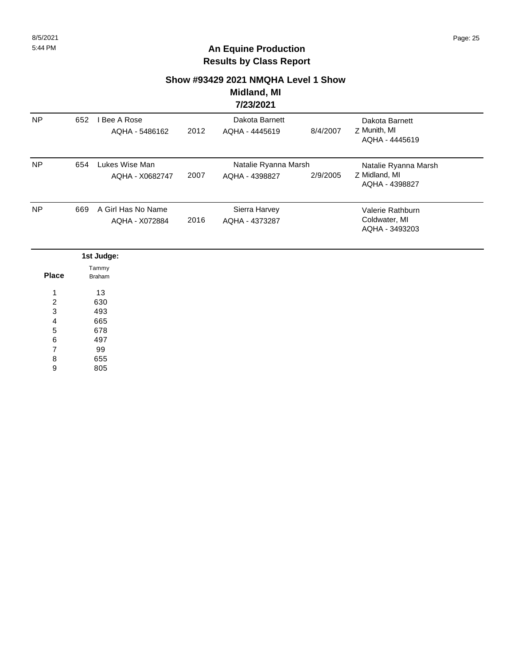#### **Show #93429 2021 NMQHA Level 1 Show**

#### **Midland, MI 7/23/2021**

|           |     |                                      |      | --------                               |          |                                                         |  |
|-----------|-----|--------------------------------------|------|----------------------------------------|----------|---------------------------------------------------------|--|
| <b>NP</b> | 652 | l Bee A Rose<br>AQHA - 5486162       | 2012 | Dakota Barnett<br>AQHA - 4445619       | 8/4/2007 | Dakota Barnett<br>Z Munith, MI<br>AQHA - 4445619        |  |
| <b>NP</b> | 654 | Lukes Wise Man<br>AQHA - X0682747    | 2007 | Natalie Ryanna Marsh<br>AQHA - 4398827 | 2/9/2005 | Natalie Ryanna Marsh<br>Z Midland, MI<br>AQHA - 4398827 |  |
| <b>NP</b> | 669 | A Girl Has No Name<br>AQHA - X072884 | 2016 | Sierra Harvey<br>AQHA - 4373287        |          | Valerie Rathburn<br>Coldwater, MI<br>AQHA - 3493203     |  |

|              | 1st Judge: |
|--------------|------------|
|              | Tammy      |
| <b>Place</b> | Braham     |
| л            | 13         |
| 2            | 630        |
| 3            | 493        |
| 4            | 665        |
| 5            | 678        |
| 6            | 497        |
| ⇁            | 99         |
| 8            | 655        |

805 9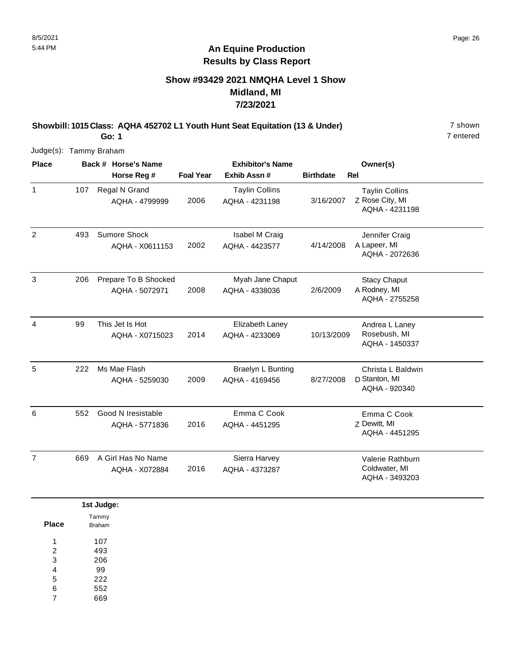### **Show #93429 2021 NMQHA Level 1 Show Midland, MI 7/23/2021**

**Showbill: 1015 Class: AQHA 452702 L1 Youth Hunt Seat Equitation (13 & Under)** 7 shown

7 entered

Judge(s): Tammy Braham

**Go: 1**

| <b>Place</b>   |     | Back # Horse's Name                    |                  | <b>Exhibitor's Name</b>                    |                  | Owner(s)                                                   |  |
|----------------|-----|----------------------------------------|------------------|--------------------------------------------|------------------|------------------------------------------------------------|--|
|                |     | Horse Reg #                            | <b>Foal Year</b> | Exhib Assn#                                | <b>Birthdate</b> | <b>Rel</b>                                                 |  |
| $\mathbf{1}$   | 107 | Regal N Grand<br>AQHA - 4799999        | 2006             | <b>Taylin Collins</b><br>AQHA - 4231198    | 3/16/2007        | <b>Taylin Collins</b><br>Z Rose City, MI<br>AQHA - 4231198 |  |
| $\overline{2}$ | 493 | Sumore Shock<br>AQHA - X0611153        | 2002             | Isabel M Craig<br>AQHA - 4423577           | 4/14/2008        | Jennifer Craig<br>A Lapeer, MI<br>AQHA - 2072636           |  |
| 3              | 206 | Prepare To B Shocked<br>AQHA - 5072971 | 2008             | Myah Jane Chaput<br>AQHA - 4338036         | 2/6/2009         | <b>Stacy Chaput</b><br>A Rodney, MI<br>AQHA - 2755258      |  |
| 4              | 99  | This Jet Is Hot<br>AQHA - X0715023     | 2014             | Elizabeth Laney<br>AQHA - 4233069          | 10/13/2009       | Andrea L Laney<br>Rosebush, MI<br>AQHA - 1450337           |  |
| 5              | 222 | Ms Mae Flash<br>AQHA - 5259030         | 2009             | <b>Braelyn L Bunting</b><br>AQHA - 4169456 | 8/27/2008        | Christa L Baldwin<br>D Stanton, MI<br>AQHA - 920340        |  |
| 6              | 552 | Good N Iresistable<br>AQHA - 5771836   | 2016             | Emma C Cook<br>AQHA - 4451295              |                  | Emma C Cook<br>Z Dewitt, MI<br>AQHA - 4451295              |  |
| $\overline{7}$ | 669 | A Girl Has No Name<br>AQHA - X072884   | 2016             | Sierra Harvey<br>AQHA - 4373287            |                  | Valerie Rathburn<br>Coldwater, MI<br>AQHA - 3493203        |  |

|       | 1st Judge:    |
|-------|---------------|
|       | Tammy         |
| Place | <b>Braham</b> |
| 1     | 107           |
| 2     | 493           |
| 3     | 206           |
| 4     | 99            |
| 5     | 222           |
| 6     | 552           |
| 7     | 669           |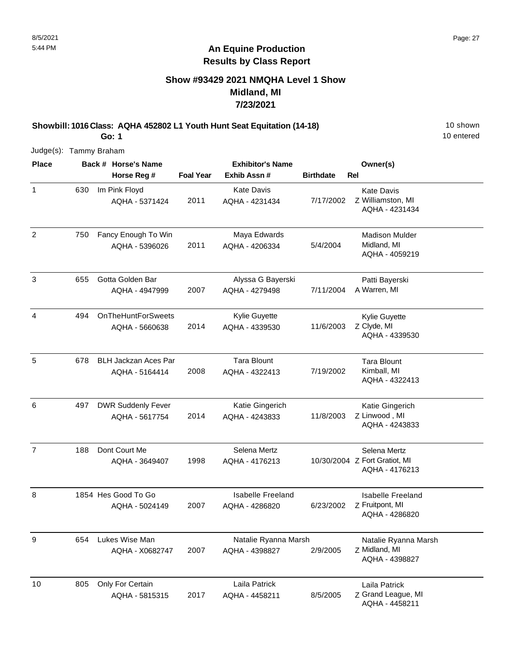### **Show #93429 2021 NMQHA Level 1 Show Midland, MI 7/23/2021**

**Showbill: 1016 Class: AQHA 452802 L1 Youth Hunt Seat Equitation (14-18)** 10 Shown **Go: 1**

10 entered

| <b>Place</b>   |     | Back # Horse's Name                           |                  | <b>Exhibitor's Name</b>                | Owner(s)         |                                                                 |  |
|----------------|-----|-----------------------------------------------|------------------|----------------------------------------|------------------|-----------------------------------------------------------------|--|
|                |     | Horse Reg #                                   | <b>Foal Year</b> | Exhib Assn#                            | <b>Birthdate</b> | <b>Rel</b>                                                      |  |
| $\mathbf{1}$   | 630 | Im Pink Floyd<br>AQHA - 5371424               | 2011             | <b>Kate Davis</b><br>AQHA - 4231434    | 7/17/2002        | <b>Kate Davis</b><br>Z Williamston, MI<br>AQHA - 4231434        |  |
| $\overline{2}$ | 750 | Fancy Enough To Win<br>AQHA - 5396026         | 2011             | Maya Edwards<br>AQHA - 4206334         | 5/4/2004         | <b>Madison Mulder</b><br>Midland, MI<br>AQHA - 4059219          |  |
| $\mathbf{3}$   | 655 | Gotta Golden Bar<br>AQHA - 4947999            | 2007             | Alyssa G Bayerski<br>AQHA - 4279498    | 7/11/2004        | Patti Bayerski<br>A Warren, MI                                  |  |
| 4              | 494 | <b>OnTheHuntForSweets</b><br>AQHA - 5660638   | 2014             | Kylie Guyette<br>AQHA - 4339530        | 11/6/2003        | Kylie Guyette<br>Z Clyde, MI<br>AQHA - 4339530                  |  |
| 5              | 678 | <b>BLH Jackzan Aces Par</b><br>AQHA - 5164414 | 2008             | <b>Tara Blount</b><br>AQHA - 4322413   | 7/19/2002        | <b>Tara Blount</b><br>Kimball, MI<br>AQHA - 4322413             |  |
| 6              | 497 | <b>DWR Suddenly Fever</b><br>AQHA - 5617754   | 2014             | Katie Gingerich<br>AQHA - 4243833      | 11/8/2003        | Katie Gingerich<br>Z Linwood, MI<br>AQHA - 4243833              |  |
| $\overline{7}$ | 188 | Dont Court Me<br>AQHA - 3649407               | 1998             | Selena Mertz<br>AQHA - 4176213         |                  | Selena Mertz<br>10/30/2004 Z Fort Gratiot, MI<br>AQHA - 4176213 |  |
| 8              |     | 1854 Hes Good To Go<br>AQHA - 5024149         | 2007             | Isabelle Freeland<br>AQHA - 4286820    | 6/23/2002        | <b>Isabelle Freeland</b><br>Z Fruitpont, MI<br>AQHA - 4286820   |  |
| 9              | 654 | Lukes Wise Man<br>AQHA - X0682747             | 2007             | Natalie Ryanna Marsh<br>AQHA - 4398827 | 2/9/2005         | Natalie Ryanna Marsh<br>Z Midland, MI<br>AQHA - 4398827         |  |
| 10             | 805 | Only For Certain<br>AQHA - 5815315            | 2017             | Laila Patrick<br>AQHA - 4458211        | 8/5/2005         | Laila Patrick<br>Z Grand League, MI<br>AQHA - 4458211           |  |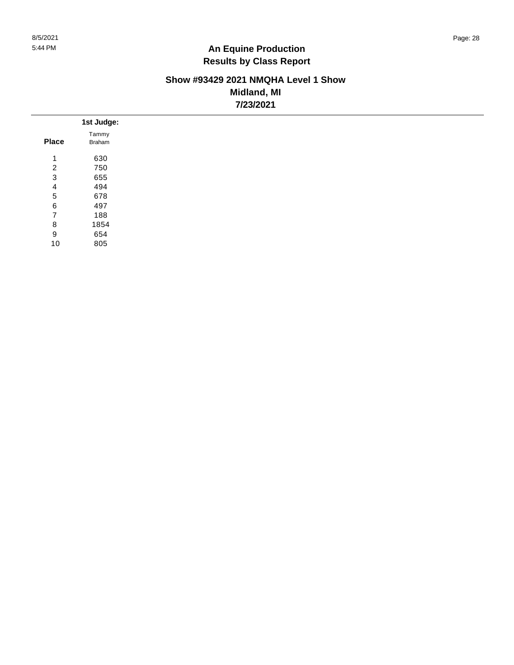#### **Show #93429 2021 NMQHA Level 1 Show Midland, MI 7/23/2021**

|                | 1st Judge:    |
|----------------|---------------|
| <b>Place</b>   | Tammy         |
|                | <b>Braham</b> |
| 1              | 630           |
| $\overline{2}$ | 750           |
| 3              | 655           |
| $\overline{4}$ | 494           |
| 5              | 678           |
| 6              | 497           |
| 7              | 188           |
| 8              | 1854          |
| 9              | 654           |
| 10             | 805           |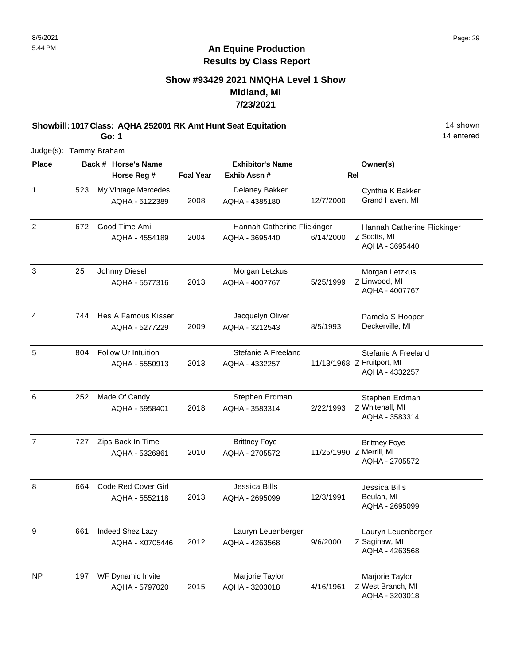### **Show #93429 2021 NMQHA Level 1 Show Midland, MI 7/23/2021**

**Showbill: 1017 Class: AQHA 252001 RK Amt Hunt Seat Equitation** 14 Shown 14 shown **Go: 1**

14 entered

| <b>Place</b>   | Back # Horse's Name |                                              | <b>Exhibitor's Name</b> |                                               | Owner(s)  |                                                                     |
|----------------|---------------------|----------------------------------------------|-------------------------|-----------------------------------------------|-----------|---------------------------------------------------------------------|
|                |                     | Horse Reg #                                  | <b>Foal Year</b>        | Exhib Assn #                                  |           | <b>Rel</b>                                                          |
| $\mathbf{1}$   | 523                 | My Vintage Mercedes<br>AQHA - 5122389        | 2008                    | Delaney Bakker<br>AQHA - 4385180              | 12/7/2000 | Cynthia K Bakker<br>Grand Haven, MI                                 |
| $\overline{2}$ | 672                 | Good Time Ami<br>AQHA - 4554189              | 2004                    | Hannah Catherine Flickinger<br>AQHA - 3695440 | 6/14/2000 | Hannah Catherine Flickinger<br>Z Scotts, MI<br>AQHA - 3695440       |
| 3              | 25                  | Johnny Diesel<br>AQHA - 5577316              | 2013                    | Morgan Letzkus<br>AQHA - 4007767              | 5/25/1999 | Morgan Letzkus<br>Z Linwood, MI<br>AQHA - 4007767                   |
| $\overline{4}$ | 744                 | Hes A Famous Kisser<br>AQHA - 5277229        | 2009                    | Jacquelyn Oliver<br>AQHA - 3212543            | 8/5/1993  | Pamela S Hooper<br>Deckerville, MI                                  |
| 5              | 804                 | <b>Follow Ur Intuition</b><br>AQHA - 5550913 | 2013                    | Stefanie A Freeland<br>AQHA - 4332257         |           | Stefanie A Freeland<br>11/13/1968 Z Fruitport, MI<br>AQHA - 4332257 |
| 6              | 252                 | Made Of Candy<br>AQHA - 5958401              | 2018                    | Stephen Erdman<br>AQHA - 3583314              | 2/22/1993 | Stephen Erdman<br>Z Whitehall, MI<br>AQHA - 3583314                 |
| $\overline{7}$ | 727                 | Zips Back In Time<br>AQHA - 5326861          | 2010                    | <b>Brittney Foye</b><br>AQHA - 2705572        |           | <b>Brittney Foye</b><br>11/25/1990 Z Merrill, MI<br>AQHA - 2705572  |
| 8              | 664                 | <b>Code Red Cover Girl</b><br>AQHA - 5552118 | 2013                    | Jessica Bills<br>AQHA - 2695099               | 12/3/1991 | Jessica Bills<br>Beulah, MI<br>AQHA - 2695099                       |
| 9              | 661                 | Indeed Shez Lazy<br>AQHA - X0705446          | 2012                    | Lauryn Leuenberger<br>AQHA - 4263568          | 9/6/2000  | Lauryn Leuenberger<br>Z Saginaw, MI<br>AQHA - 4263568               |
| <b>NP</b>      | 197                 | WF Dynamic Invite<br>AQHA - 5797020          | 2015                    | Marjorie Taylor<br>AQHA - 3203018             | 4/16/1961 | Marjorie Taylor<br>Z West Branch, MI<br>AQHA - 3203018              |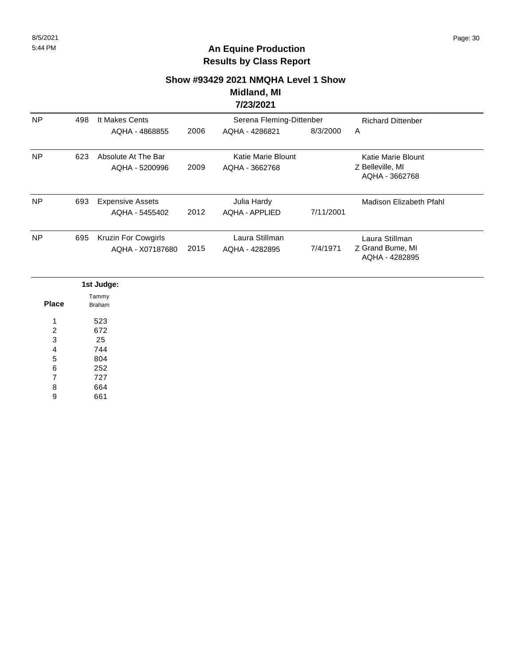## **Show #93429 2021 NMQHA Level 1 Show Midland, MI**

### **7/23/2021**

| <b>NP</b> | 498 | It Makes Cents          |      | Serena Fleming-Dittenber | <b>Richard Dittenber</b> |                                    |
|-----------|-----|-------------------------|------|--------------------------|--------------------------|------------------------------------|
|           |     | AQHA - 4868855          | 2006 | AQHA - 4286821           | 8/3/2000                 | A                                  |
| <b>NP</b> | 623 | Absolute At The Bar     |      | Katie Marie Blount       |                          | Katie Marie Blount                 |
|           |     | AQHA - 5200996          | 2009 | AQHA - 3662768           |                          | Z Belleville, MI<br>AQHA - 3662768 |
| <b>NP</b> | 693 | <b>Expensive Assets</b> |      | Julia Hardy              |                          | Madison Elizabeth Pfahl            |
|           |     | AQHA - 5455402          | 2012 | AQHA - APPLIED           | 7/11/2001                |                                    |
| <b>NP</b> | 695 | Kruzin For Cowgirls     |      | Laura Stillman           |                          | Laura Stillman                     |
|           |     | AQHA - X07187680        | 2015 | AQHA - 4282895           | 7/4/1971                 | Z Grand Bume, MI<br>AQHA - 4282895 |

|                | 1st Judge: |
|----------------|------------|
|                | Tammy      |
| <b>Place</b>   | Braham     |
| 1              | 523        |
| $\overline{2}$ | 672        |
| 3              | 25         |
| $\overline{4}$ | 744        |
| $\sqrt{5}$     | 804        |
| $\,6$          | 252        |
| $\overline{7}$ | 727        |
| 8              | 664        |
| 9              | 661        |
|                |            |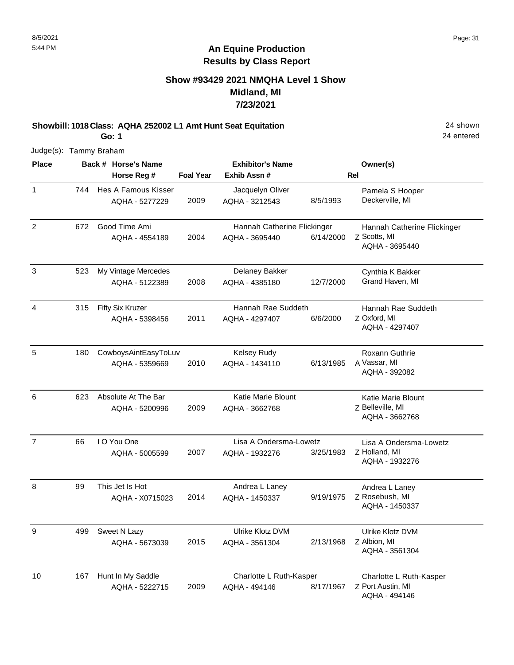### **Show #93429 2021 NMQHA Level 1 Show Midland, MI 7/23/2021**

**Showbill: 1018 Class: AQHA 252002 L1 Amt Hunt Seat Equitation** 24 shown 24 shown

**Go: 1** Judge(s): Tammy Braham

| <b>Place</b>   |     | Back # Horse's Name                   |                  | <b>Exhibitor's Name</b>            |           | Owner(s)                           |
|----------------|-----|---------------------------------------|------------------|------------------------------------|-----------|------------------------------------|
|                |     | Horse Reg #                           | <b>Foal Year</b> | Exhib Assn #                       |           | <b>Rel</b>                         |
| $\mathbf{1}$   | 744 | Hes A Famous Kisser<br>AQHA - 5277229 | 2009             | Jacquelyn Oliver<br>AQHA - 3212543 | 8/5/1993  | Pamela S Hooper<br>Deckerville, MI |
| 2              | 672 | Good Time Ami                         |                  | Hannah Catherine Flickinger        |           | Hannah Catherine Flickinger        |
|                |     | AQHA - 4554189                        | 2004             | AQHA - 3695440                     | 6/14/2000 | Z Scotts, MI<br>AQHA - 3695440     |
| 3              | 523 | My Vintage Mercedes                   |                  | Delaney Bakker                     |           | Cynthia K Bakker                   |
|                |     | AQHA - 5122389                        | 2008             | AQHA - 4385180                     | 12/7/2000 | Grand Haven, MI                    |
| $\overline{4}$ | 315 | Fifty Six Kruzer                      |                  | Hannah Rae Suddeth                 |           | Hannah Rae Suddeth                 |
|                |     | AQHA - 5398456                        | 2011             | AQHA - 4297407                     | 6/6/2000  | Z Oxford, MI<br>AQHA - 4297407     |
| 5              | 180 | CowboysAintEasyToLuv                  |                  | <b>Kelsey Rudy</b>                 |           | Roxann Guthrie                     |
|                |     | AQHA - 5359669                        | 2010             | AQHA - 1434110                     | 6/13/1985 | A Vassar, MI<br>AQHA - 392082      |
| 6              | 623 | Absolute At The Bar                   |                  | <b>Katie Marie Blount</b>          |           | Katie Marie Blount                 |
|                |     | AQHA - 5200996                        | 2009             | AQHA - 3662768                     |           | Z Belleville, MI<br>AQHA - 3662768 |
| $\overline{7}$ | 66  | I O You One                           |                  | Lisa A Ondersma-Lowetz             |           | Lisa A Ondersma-Lowetz             |
|                |     | AQHA - 5005599                        | 2007             | AQHA - 1932276                     | 3/25/1983 | Z Holland, MI<br>AQHA - 1932276    |
| 8              | 99  | This Jet Is Hot                       |                  | Andrea L Laney                     |           | Andrea L Laney                     |
|                |     | AQHA - X0715023                       | 2014             | AQHA - 1450337                     | 9/19/1975 | Z Rosebush, MI<br>AQHA - 1450337   |
| 9              | 499 | Sweet N Lazy                          |                  | Ulrike Klotz DVM                   |           | Ulrike Klotz DVM                   |
|                |     | AQHA - 5673039                        | 2015             | AQHA - 3561304                     | 2/13/1968 | Z Albion, MI<br>AQHA - 3561304     |
| 10             | 167 | Hunt In My Saddle                     |                  | Charlotte L Ruth-Kasper            |           | Charlotte L Ruth-Kasper            |
|                |     | AQHA - 5222715                        | 2009             | AQHA - 494146                      | 8/17/1967 | Z Port Austin, MI<br>AQHA - 494146 |

24 entered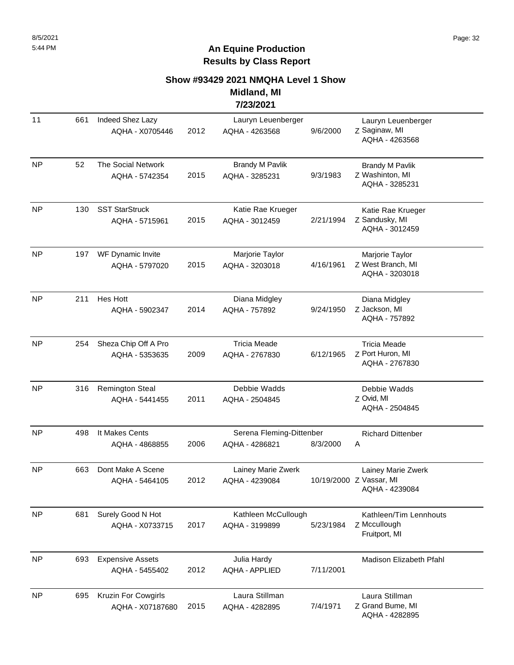#### **Show #93429 2021 NMQHA Level 1 Show Midland, MI**

#### **7/23/2021**

| 11        | 661 | Indeed Shez Lazy<br>AQHA - X0705446       | 2012 | Lauryn Leuenberger<br>AQHA - 4263568       | 9/6/2000  | Lauryn Leuenberger<br>Z Saginaw, MI<br>AQHA - 4263568           |
|-----------|-----|-------------------------------------------|------|--------------------------------------------|-----------|-----------------------------------------------------------------|
| <b>NP</b> | 52  | The Social Network<br>AQHA - 5742354      | 2015 | <b>Brandy M Pavlik</b><br>AQHA - 3285231   | 9/3/1983  | <b>Brandy M Pavlik</b><br>Z Washinton, MI<br>AQHA - 3285231     |
| <b>NP</b> | 130 | <b>SST StarStruck</b><br>AQHA - 5715961   | 2015 | Katie Rae Krueger<br>AQHA - 3012459        | 2/21/1994 | Katie Rae Krueger<br>Z Sandusky, MI<br>AQHA - 3012459           |
| <b>NP</b> | 197 | WF Dynamic Invite<br>AQHA - 5797020       | 2015 | Marjorie Taylor<br>AQHA - 3203018          | 4/16/1961 | Marjorie Taylor<br>Z West Branch, MI<br>AQHA - 3203018          |
| <b>NP</b> | 211 | Hes Hott<br>AQHA - 5902347                | 2014 | Diana Midgley<br>AQHA - 757892             | 9/24/1950 | Diana Midgley<br>Z Jackson, MI<br>AQHA - 757892                 |
| <b>NP</b> | 254 | Sheza Chip Off A Pro<br>AQHA - 5353635    | 2009 | <b>Tricia Meade</b><br>AQHA - 2767830      | 6/12/1965 | <b>Tricia Meade</b><br>Z Port Huron, MI<br>AQHA - 2767830       |
| <b>NP</b> | 316 | <b>Remington Steal</b><br>AQHA - 5441455  | 2011 | Debbie Wadds<br>AQHA - 2504845             |           | Debbie Wadds<br>Z Ovid, MI<br>AQHA - 2504845                    |
| <b>NP</b> | 498 | It Makes Cents<br>AQHA - 4868855          | 2006 | Serena Fleming-Dittenber<br>AQHA - 4286821 | 8/3/2000  | <b>Richard Dittenber</b><br>A                                   |
| <b>NP</b> | 663 | Dont Make A Scene<br>AQHA - 5464105       | 2012 | Lainey Marie Zwerk<br>AQHA - 4239084       |           | Lainey Marie Zwerk<br>10/19/2000 Z Vassar, MI<br>AQHA - 4239084 |
| <b>NP</b> | 681 | Surely Good N Hot<br>AQHA - X0733715      | 2017 | Kathleen McCullough<br>AQHA - 3199899      | 5/23/1984 | Kathleen/Tim Lennhouts<br>Z Mccullough<br>Fruitport, MI         |
| <b>NP</b> | 693 | <b>Expensive Assets</b><br>AQHA - 5455402 | 2012 | Julia Hardy<br><b>AQHA - APPLIED</b>       | 7/11/2001 | <b>Madison Elizabeth Pfahl</b>                                  |
| <b>NP</b> | 695 | Kruzin For Cowgirls<br>AQHA - X07187680   | 2015 | Laura Stillman<br>AQHA - 4282895           | 7/4/1971  | Laura Stillman<br>Z Grand Bume, MI<br>AQHA - 4282895            |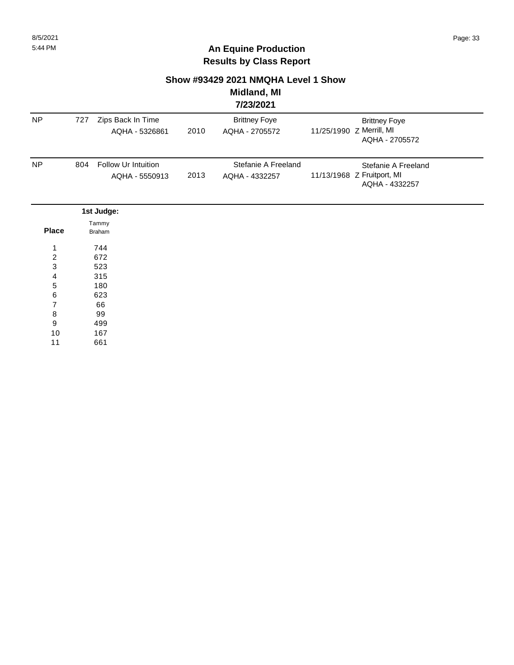#### **Show #93429 2021 NMQHA Level 1 Show Midland, MI**

# **7/23/2021**

| NP                      | 727 | Zips Back In Time<br>AQHA - 5326861   | 2010 | <b>Brittney Foye</b><br>AQHA - 2705572 | <b>Brittney Foye</b><br>11/25/1990 Z Merrill, MI<br>AQHA - 2705572  |
|-------------------------|-----|---------------------------------------|------|----------------------------------------|---------------------------------------------------------------------|
| <b>NP</b>               | 804 | Follow Ur Intuition<br>AQHA - 5550913 | 2013 | Stefanie A Freeland<br>AQHA - 4332257  | Stefanie A Freeland<br>11/13/1968 Z Fruitport, MI<br>AQHA - 4332257 |
|                         |     | 1st Judge:                            |      |                                        |                                                                     |
| <b>Place</b>            |     | Tammy<br><b>Braham</b>                |      |                                        |                                                                     |
| 1                       |     | 744                                   |      |                                        |                                                                     |
| $\overline{c}$          |     | 672                                   |      |                                        |                                                                     |
| 3                       |     | 523                                   |      |                                        |                                                                     |
| 4                       |     | 315                                   |      |                                        |                                                                     |
| 5                       |     | 180                                   |      |                                        |                                                                     |
| 6                       |     | 623                                   |      |                                        |                                                                     |
| $\overline{\mathbf{7}}$ |     | 66                                    |      |                                        |                                                                     |
| $\bf8$                  |     | 99                                    |      |                                        |                                                                     |
| 9                       |     | 499                                   |      |                                        |                                                                     |
| $10$                    |     | 167                                   |      |                                        |                                                                     |
| 11                      |     | 661                                   |      |                                        |                                                                     |
|                         |     |                                       |      |                                        |                                                                     |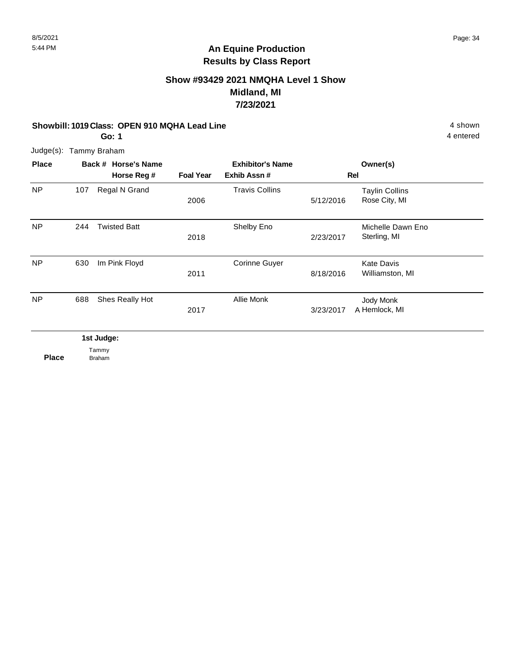### **Show #93429 2021 NMQHA Level 1 Show Midland, MI 7/23/2021**

#### **Showbill: 1019 Class: OPEN 910 MQHA Lead Line All and Contract Contract Authority Class: 4 shown**

**Go: 1**

4 entered

Judge(s): Tammy Braham

| <b>Place</b>   |     | Back # Horse's Name |                  | <b>Exhibitor's Name</b> |           | Owner(s)                               |  |
|----------------|-----|---------------------|------------------|-------------------------|-----------|----------------------------------------|--|
|                |     | Horse Reg #         | <b>Foal Year</b> | Exhib Assn#             |           | Rel                                    |  |
| <b>NP</b>      | 107 | Regal N Grand       | 2006             | <b>Travis Collins</b>   | 5/12/2016 | <b>Taylin Collins</b><br>Rose City, MI |  |
| <b>NP</b>      | 244 | <b>Twisted Batt</b> | 2018             | Shelby Eno              | 2/23/2017 | Michelle Dawn Eno<br>Sterling, MI      |  |
| <b>NP</b>      | 630 | Im Pink Floyd       | 2011             | <b>Corinne Guyer</b>    | 8/18/2016 | <b>Kate Davis</b><br>Williamston, MI   |  |
| N <sub>P</sub> | 688 | Shes Really Hot     | 2017             | Allie Monk              | 3/23/2017 | Jody Monk<br>A Hemlock, MI             |  |

**1st Judge:**  Tammy Braham

**Place**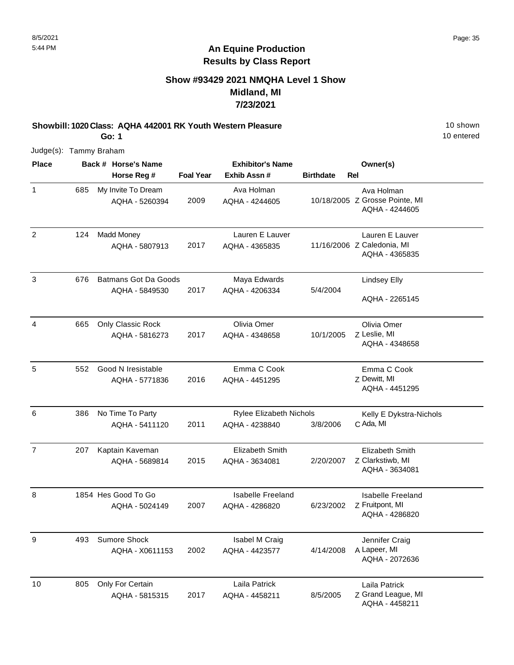### **Show #93429 2021 NMQHA Level 1 Show Midland, MI 7/23/2021**

**Showbill: 1020 Class: AQHA 442001 RK Youth Western Pleasure** 10 Shown 10 shown **Go: 1**

10 entered

| <b>Place</b>   |     | Back # Horse's Name                           |                  | <b>Exhibitor's Name</b>                    |                  | Owner(s)                                                        |
|----------------|-----|-----------------------------------------------|------------------|--------------------------------------------|------------------|-----------------------------------------------------------------|
|                |     | Horse Reg #                                   | <b>Foal Year</b> | Exhib Assn #                               | <b>Birthdate</b> | Rel                                                             |
| $\mathbf{1}$   | 685 | My Invite To Dream<br>AQHA - 5260394          | 2009             | Ava Holman<br>AQHA - 4244605               |                  | Ava Holman<br>10/18/2005 Z Grosse Pointe, MI<br>AQHA - 4244605  |
| $\overline{2}$ | 124 | <b>Madd Money</b><br>AQHA - 5807913           | 2017             | Lauren E Lauver<br>AQHA - 4365835          |                  | Lauren E Lauver<br>11/16/2006 Z Caledonia, MI<br>AQHA - 4365835 |
| 3              | 676 | <b>Batmans Got Da Goods</b><br>AQHA - 5849530 | 2017             | Maya Edwards<br>AQHA - 4206334             | 5/4/2004         | <b>Lindsey Elly</b><br>AQHA - 2265145                           |
| 4              | 665 | Only Classic Rock<br>AQHA - 5816273           | 2017             | Olivia Omer<br>AQHA - 4348658              | 10/1/2005        | Olivia Omer<br>Z Leslie, MI<br>AQHA - 4348658                   |
| 5              | 552 | Good N Iresistable<br>AQHA - 5771836          | 2016             | Emma C Cook<br>AQHA - 4451295              |                  | Emma C Cook<br>Z Dewitt, MI<br>AQHA - 4451295                   |
| 6              | 386 | No Time To Party<br>AQHA - 5411120            | 2011             | Rylee Elizabeth Nichols<br>AQHA - 4238840  | 3/8/2006         | Kelly E Dykstra-Nichols<br>C Ada, MI                            |
| $\overline{7}$ | 207 | Kaptain Kaveman<br>AQHA - 5689814             | 2015             | <b>Elizabeth Smith</b><br>AQHA - 3634081   | 2/20/2007        | Elizabeth Smith<br>Z Clarkstiwb, MI<br>AQHA - 3634081           |
| 8              |     | 1854 Hes Good To Go<br>AQHA - 5024149         | 2007             | <b>Isabelle Freeland</b><br>AQHA - 4286820 | 6/23/2002        | <b>Isabelle Freeland</b><br>Z Fruitpont, MI<br>AQHA - 4286820   |
| 9              | 493 | <b>Sumore Shock</b><br>AQHA - X0611153        | 2002             | Isabel M Craig<br>AQHA - 4423577           | 4/14/2008        | Jennifer Craig<br>A Lapeer, MI<br>AQHA - 2072636                |
| 10             | 805 | Only For Certain<br>AQHA - 5815315            | 2017             | Laila Patrick<br>AQHA - 4458211            | 8/5/2005         | Laila Patrick<br>Z Grand League, MI<br>AQHA - 4458211           |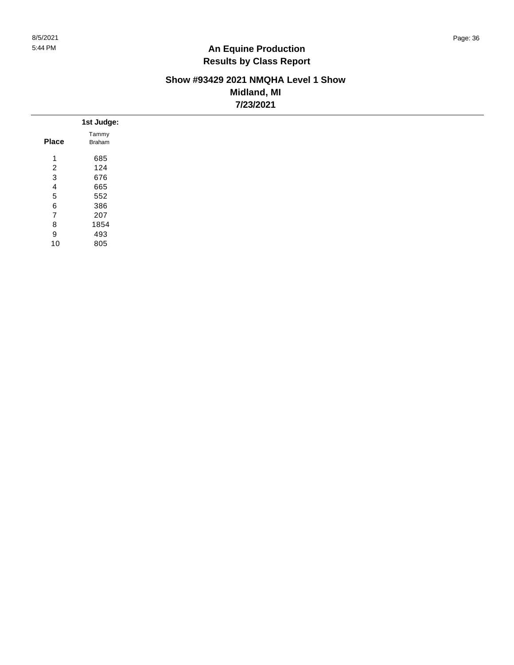#### **Show #93429 2021 NMQHA Level 1 Show Midland, MI 7/23/2021**

|                | 1st Judge: |
|----------------|------------|
|                | Tammy      |
| <b>Place</b>   | Braham     |
| $\mathbf{1}$   | 685        |
| $\overline{c}$ | 124        |
| 3              | 676        |
| 4              | 665        |
| 5              | 552        |
| 6              | 386        |
| $\overline{7}$ | 207        |
| 8              | 1854       |
| 9              | 493        |
| 10             | 805        |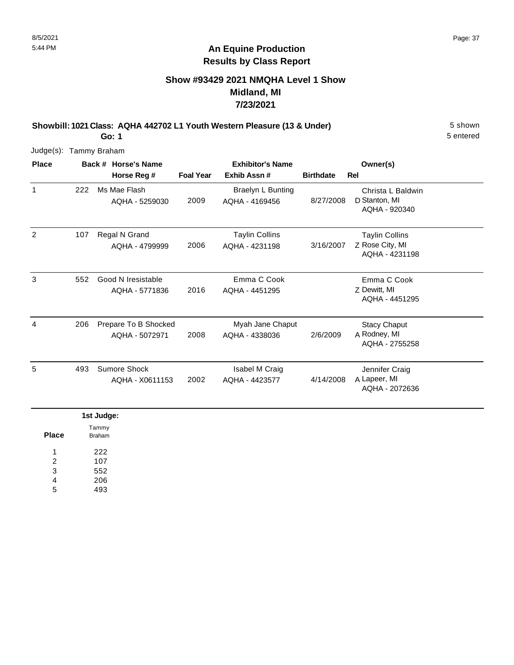### **Show #93429 2021 NMQHA Level 1 Show Midland, MI 7/23/2021**

**Showbill: 1021 Class: AQHA 442702 L1 Youth Western Pleasure (13 & Under)** 5 shown

5 entered

Judge(s): Tammy Braham

**Go: 1**

| <b>Place</b> | Back # Horse's Name |                                        | <b>Exhibitor's Name</b> |                                         |                  | Owner(s)                                                   |
|--------------|---------------------|----------------------------------------|-------------------------|-----------------------------------------|------------------|------------------------------------------------------------|
|              |                     | Horse Reg #                            | <b>Foal Year</b>        | Exhib Assn#                             | <b>Birthdate</b> | <b>Rel</b>                                                 |
| 1            | 222                 | Ms Mae Flash<br>AQHA - 5259030         | 2009                    | Braelyn L Bunting<br>AQHA - 4169456     | 8/27/2008        | Christa L Baldwin<br>D Stanton, MI<br>AQHA - 920340        |
| 2            | 107                 | Regal N Grand<br>AQHA - 4799999        | 2006                    | <b>Taylin Collins</b><br>AQHA - 4231198 | 3/16/2007        | <b>Taylin Collins</b><br>Z Rose City, MI<br>AQHA - 4231198 |
| 3            | 552                 | Good N Iresistable<br>AQHA - 5771836   | 2016                    | Emma C Cook<br>AQHA - 4451295           |                  | Emma C Cook<br>Z Dewitt, MI<br>AQHA - 4451295              |
| 4            | 206                 | Prepare To B Shocked<br>AQHA - 5072971 | 2008                    | Myah Jane Chaput<br>AQHA - 4338036      | 2/6/2009         | <b>Stacy Chaput</b><br>A Rodney, MI<br>AQHA - 2755258      |
| 5            | 493                 | Sumore Shock<br>AQHA - X0611153        | 2002                    | Isabel M Craig<br>AQHA - 4423577        | 4/14/2008        | Jennifer Craig<br>A Lapeer, MI<br>AQHA - 2072636           |
|              |                     | Ast budden                             |                         |                                         |                  |                                                            |

|       | ist Judge:             |
|-------|------------------------|
| Place | Tammy<br><b>Braham</b> |
| 1     | 222                    |
| 2     | 107                    |
| 3     | 552                    |
| 4     | 206                    |
| 5     | 493                    |
|       |                        |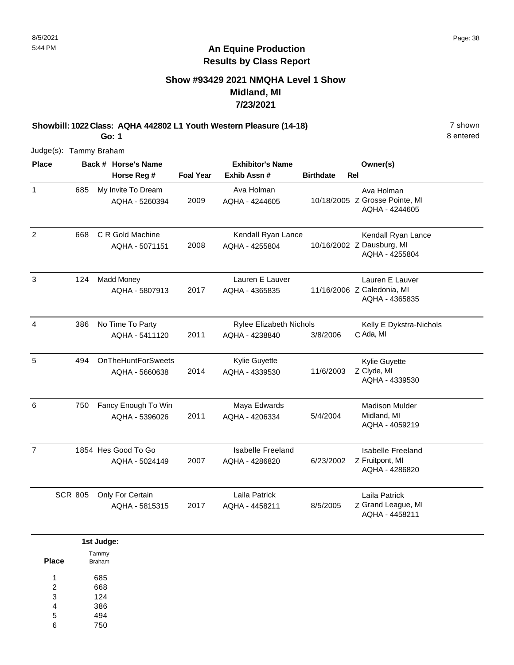### **Show #93429 2021 NMQHA Level 1 Show Midland, MI 7/23/2021**

**Showbill: 1022 Class: AQHA 442802 L1 Youth Western Pleasure (14-18)** 7 shown **Go: 1**

8 entered

| <b>Place</b>   |                | Back # Horse's Name                         |                  | <b>Exhibitor's Name</b>                          |                  | Owner(s)                                                          |
|----------------|----------------|---------------------------------------------|------------------|--------------------------------------------------|------------------|-------------------------------------------------------------------|
|                |                | Horse Reg #                                 | <b>Foal Year</b> | Exhib Assn#                                      | <b>Birthdate</b> | <b>Rel</b>                                                        |
| $\mathbf{1}$   | 685            | My Invite To Dream<br>AQHA - 5260394        | 2009             | Ava Holman<br>AQHA - 4244605                     |                  | Ava Holman<br>10/18/2005 Z Grosse Pointe, MI<br>AQHA - 4244605    |
| $\overline{2}$ | 668            | C R Gold Machine<br>AQHA - 5071151          | 2008             | Kendall Ryan Lance<br>AQHA - 4255804             |                  | Kendall Ryan Lance<br>10/16/2002 Z Dausburg, MI<br>AQHA - 4255804 |
| 3              | 124            | <b>Madd Money</b><br>AQHA - 5807913         | 2017             | Lauren E Lauver<br>AQHA - 4365835                |                  | Lauren E Lauver<br>11/16/2006 Z Caledonia, MI<br>AQHA - 4365835   |
| $\overline{4}$ | 386            | No Time To Party<br>AQHA - 5411120          | 2011             | <b>Rylee Elizabeth Nichols</b><br>AQHA - 4238840 | 3/8/2006         | Kelly E Dykstra-Nichols<br>C Ada, MI                              |
| 5              | 494            | <b>OnTheHuntForSweets</b><br>AQHA - 5660638 | 2014             | Kylie Guyette<br>AQHA - 4339530                  | 11/6/2003        | Kylie Guyette<br>Z Clyde, MI<br>AQHA - 4339530                    |
| 6              | 750            | Fancy Enough To Win<br>AQHA - 5396026       | 2011             | Maya Edwards<br>AQHA - 4206334                   | 5/4/2004         | <b>Madison Mulder</b><br>Midland, MI<br>AQHA - 4059219            |
| $\overline{7}$ |                | 1854 Hes Good To Go<br>AQHA - 5024149       | 2007             | <b>Isabelle Freeland</b><br>AQHA - 4286820       | 6/23/2002        | <b>Isabelle Freeland</b><br>Z Fruitpont, MI<br>AQHA - 4286820     |
|                | <b>SCR 805</b> | Only For Certain<br>AQHA - 5815315          | 2017             | Laila Patrick<br>AQHA - 4458211                  | 8/5/2005         | Laila Patrick<br>Z Grand League, MI<br>AQHA - 4458211             |

|                 | 1st Judge:      |
|-----------------|-----------------|
| <b>Place</b>    | Tammy<br>Braham |
| 1               | 685             |
| 2               | 668             |
| 3               | 124             |
| $\overline{4}$  | 386             |
| $5\phantom{.0}$ | 494             |
| 6               | 750             |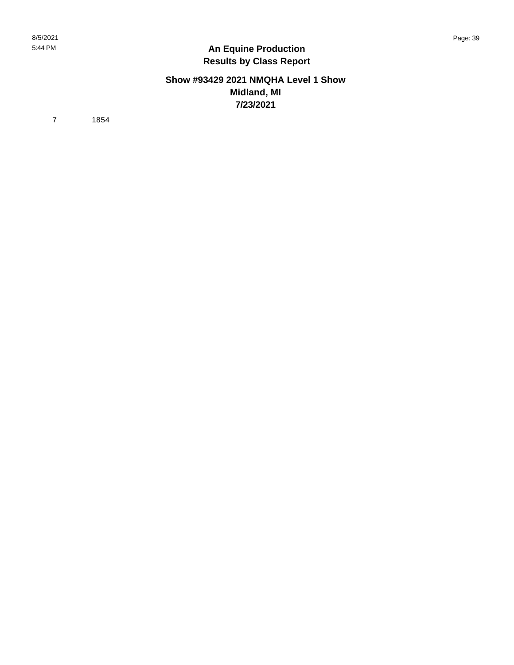#### **Show #93429 2021 NMQHA Level 1 Show Midland, MI 7/23/2021**

7 1854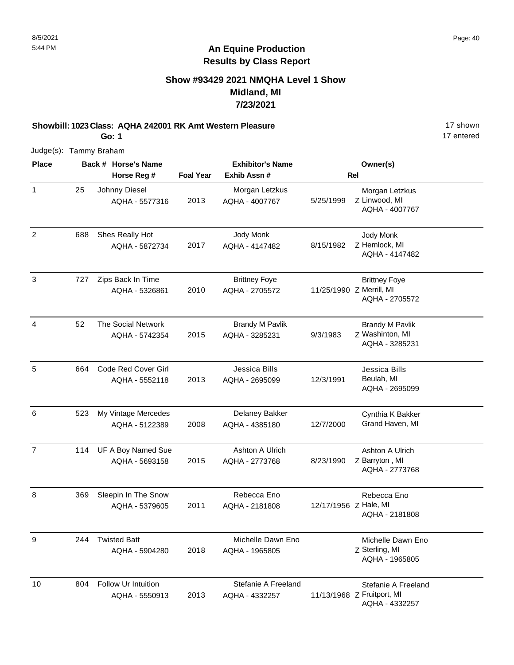### **Show #93429 2021 NMQHA Level 1 Show Midland, MI 7/23/2021**

**Showbill: 1023 Class: AQHA 242001 RK Amt Western Pleasure** 17 shown **Go: 1**

17 entered

| <b>Place</b>   |     | Back # Horse's Name                   |                  | <b>Exhibitor's Name</b>                  |                       | Owner(s)                                                            |
|----------------|-----|---------------------------------------|------------------|------------------------------------------|-----------------------|---------------------------------------------------------------------|
|                |     | Horse Reg #                           | <b>Foal Year</b> | Exhib Assn#                              |                       | Rel                                                                 |
| $\mathbf{1}$   | 25  | Johnny Diesel<br>AQHA - 5577316       | 2013             | Morgan Letzkus<br>AQHA - 4007767         | 5/25/1999             | Morgan Letzkus<br>Z Linwood, MI<br>AQHA - 4007767                   |
| $\overline{2}$ | 688 | Shes Really Hot<br>AQHA - 5872734     | 2017             | Jody Monk<br>AQHA - 4147482              | 8/15/1982             | Jody Monk<br>Z Hemlock, MI<br>AQHA - 4147482                        |
| $\mathbf{3}$   | 727 | Zips Back In Time<br>AQHA - 5326861   | 2010             | <b>Brittney Foye</b><br>AQHA - 2705572   |                       | <b>Brittney Foye</b><br>11/25/1990 Z Merrill, MI<br>AQHA - 2705572  |
| 4              | 52  | The Social Network<br>AQHA - 5742354  | 2015             | <b>Brandy M Pavlik</b><br>AQHA - 3285231 | 9/3/1983              | <b>Brandy M Pavlik</b><br>Z Washinton, MI<br>AQHA - 3285231         |
| 5              | 664 | Code Red Cover Girl<br>AQHA - 5552118 | 2013             | Jessica Bills<br>AQHA - 2695099          | 12/3/1991             | Jessica Bills<br>Beulah, MI<br>AQHA - 2695099                       |
| 6              | 523 | My Vintage Mercedes<br>AQHA - 5122389 | 2008             | Delaney Bakker<br>AQHA - 4385180         | 12/7/2000             | Cynthia K Bakker<br>Grand Haven, MI                                 |
| $\overline{7}$ | 114 | UF A Boy Named Sue<br>AQHA - 5693158  | 2015             | Ashton A Ulrich<br>AQHA - 2773768        | 8/23/1990             | Ashton A Ulrich<br>Z Barryton, MI<br>AQHA - 2773768                 |
| 8              | 369 | Sleepin In The Snow<br>AQHA - 5379605 | 2011             | Rebecca Eno<br>AQHA - 2181808            | 12/17/1956 Z Hale, MI | Rebecca Eno<br>AQHA - 2181808                                       |
| 9              | 244 | <b>Twisted Batt</b><br>AQHA - 5904280 | 2018             | Michelle Dawn Eno<br>AQHA - 1965805      |                       | Michelle Dawn Eno<br>Z Sterling, MI<br>AQHA - 1965805               |
| 10             | 804 | Follow Ur Intuition<br>AQHA - 5550913 | 2013             | Stefanie A Freeland<br>AQHA - 4332257    |                       | Stefanie A Freeland<br>11/13/1968 Z Fruitport, MI<br>AQHA - 4332257 |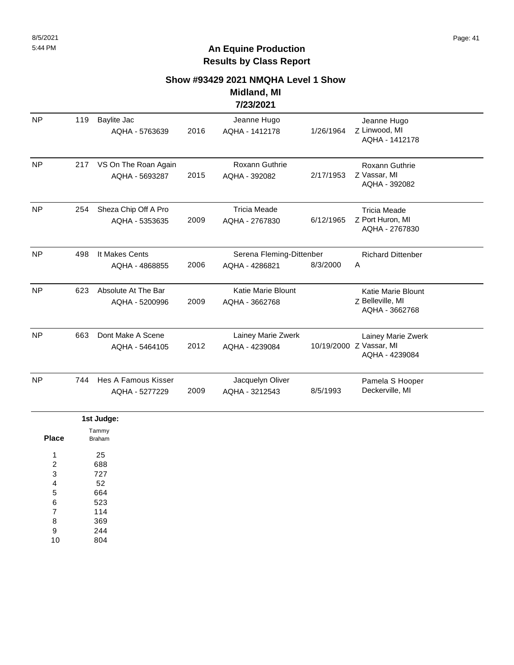#### **Show #93429 2021 NMQHA Level 1 Show**

#### **Midland, MI 7/23/2021**

| <b>NP</b> | 119 | <b>Baylite Jac</b><br>AQHA - 5763639   | 2016 | Jeanne Hugo<br>AQHA - 1412178               | 1/26/1964  | Jeanne Hugo<br>Z Linwood, MI<br>AQHA - 1412178                  |  |
|-----------|-----|----------------------------------------|------|---------------------------------------------|------------|-----------------------------------------------------------------|--|
| <b>NP</b> | 217 | VS On The Roan Again<br>AQHA - 5693287 | 2015 | Roxann Guthrie<br>AQHA - 392082             | 2/17/1953  | Roxann Guthrie<br>Z Vassar, MI<br>AQHA - 392082                 |  |
| <b>NP</b> | 254 | Sheza Chip Off A Pro<br>AQHA - 5353635 | 2009 | <b>Tricia Meade</b><br>AQHA - 2767830       | 6/12/1965  | <b>Tricia Meade</b><br>Z Port Huron, MI<br>AQHA - 2767830       |  |
| <b>NP</b> | 498 | It Makes Cents<br>AQHA - 4868855       | 2006 | Serena Fleming-Dittenber<br>AQHA - 4286821  | 8/3/2000   | <b>Richard Dittenber</b><br>A                                   |  |
| <b>NP</b> | 623 | Absolute At The Bar<br>AQHA - 5200996  | 2009 | <b>Katie Marie Blount</b><br>AQHA - 3662768 |            | <b>Katie Marie Blount</b><br>Z Belleville, MI<br>AQHA - 3662768 |  |
| <b>NP</b> | 663 | Dont Make A Scene<br>AQHA - 5464105    | 2012 | Lainey Marie Zwerk<br>AQHA - 4239084        | 10/19/2000 | Lainey Marie Zwerk<br>Z Vassar, MI<br>AQHA - 4239084            |  |
| <b>NP</b> | 744 | Hes A Famous Kisser<br>AQHA - 5277229  | 2009 | Jacquelyn Oliver<br>AQHA - 3212543          | 8/5/1993   | Pamela S Hooper<br>Deckerville, MI                              |  |
|           |     |                                        |      |                                             |            |                                                                 |  |

|                | 1st Judge:             |
|----------------|------------------------|
| <b>Place</b>   | Tammy<br><b>Braham</b> |
| 1              | 25                     |
| 2              | 688                    |
| 3              | 727                    |
| 4              | 52                     |
| 5              | 664                    |
| 6              | 523                    |
| $\overline{7}$ | 114                    |
| 8              | 369                    |
| 9              | 244                    |
| 10             | 804                    |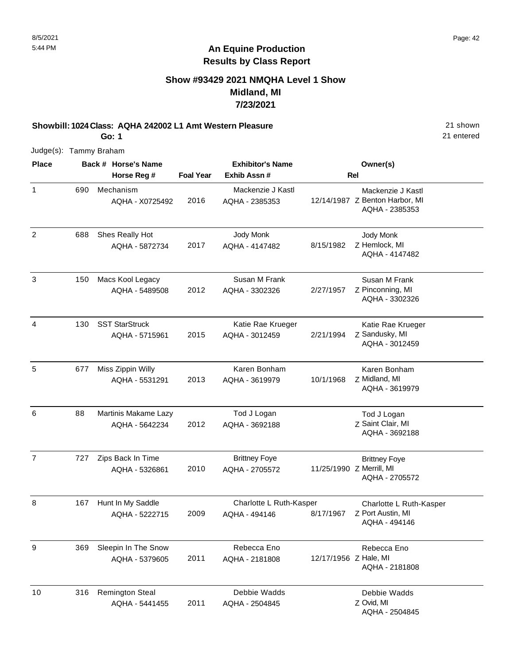### **Show #93429 2021 NMQHA Level 1 Show Midland, MI 7/23/2021**

**Showbill: 1024 Class: AQHA 242002 L1 Amt Western Pleasure** 21 shown

21 entered

Judge(s): Tammy Braham

**Go: 1**

| <b>Place</b>   |     | Back # Horse's Name                      |                  | <b>Exhibitor's Name</b>                  |                       | Owner(s)                                                              |
|----------------|-----|------------------------------------------|------------------|------------------------------------------|-----------------------|-----------------------------------------------------------------------|
|                |     | Horse Reg #                              | <b>Foal Year</b> | Exhib Assn #                             |                       | <b>Rel</b>                                                            |
| $\mathbf{1}$   | 690 | Mechanism<br>AQHA - X0725492             | 2016             | Mackenzie J Kastl<br>AQHA - 2385353      |                       | Mackenzie J Kastl<br>12/14/1987 Z Benton Harbor, MI<br>AQHA - 2385353 |
| $\overline{2}$ | 688 | Shes Really Hot<br>AQHA - 5872734        | 2017             | Jody Monk<br>AQHA - 4147482              | 8/15/1982             | Jody Monk<br>Z Hemlock, MI<br>AQHA - 4147482                          |
| $\mathfrak{Z}$ | 150 | Macs Kool Legacy<br>AQHA - 5489508       | 2012             | Susan M Frank<br>AQHA - 3302326          | 2/27/1957             | Susan M Frank<br>Z Pinconning, MI<br>AQHA - 3302326                   |
| 4              | 130 | <b>SST StarStruck</b><br>AQHA - 5715961  | 2015             | Katie Rae Krueger<br>AQHA - 3012459      | 2/21/1994             | Katie Rae Krueger<br>Z Sandusky, MI<br>AQHA - 3012459                 |
| 5              | 677 | Miss Zippin Willy<br>AQHA - 5531291      | 2013             | Karen Bonham<br>AQHA - 3619979           | 10/1/1968             | Karen Bonham<br>Z Midland, MI<br>AQHA - 3619979                       |
| 6              | 88  | Martinis Makame Lazy<br>AQHA - 5642234   | 2012             | Tod J Logan<br>AQHA - 3692188            |                       | Tod J Logan<br>Z Saint Clair, MI<br>AQHA - 3692188                    |
| $\overline{7}$ | 727 | Zips Back In Time<br>AQHA - 5326861      | 2010             | <b>Brittney Foye</b><br>AQHA - 2705572   |                       | <b>Brittney Foye</b><br>11/25/1990 Z Merrill, MI<br>AQHA - 2705572    |
| 8              | 167 | Hunt In My Saddle<br>AQHA - 5222715      | 2009             | Charlotte L Ruth-Kasper<br>AQHA - 494146 | 8/17/1967             | Charlotte L Ruth-Kasper<br>Z Port Austin, MI<br>AQHA - 494146         |
| 9              | 369 | Sleepin In The Snow<br>AQHA - 5379605    | 2011             | Rebecca Eno<br>AQHA - 2181808            | 12/17/1956 Z Hale, MI | Rebecca Eno<br>AQHA - 2181808                                         |
| 10             | 316 | <b>Remington Steal</b><br>AQHA - 5441455 | 2011             | Debbie Wadds<br>AQHA - 2504845           |                       | Debbie Wadds<br>Z Ovid, MI<br>AQHA - 2504845                          |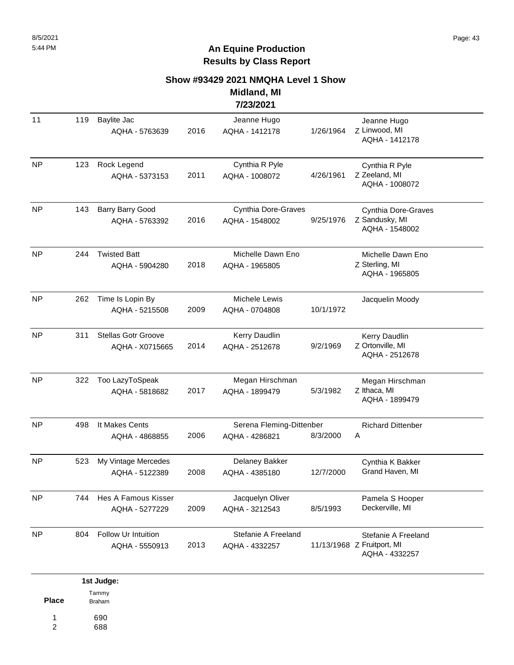#### **Show #93429 2021 NMQHA Level 1 Show**

#### **Midland, MI 7/23/2021**

|           |     |                                               |      | LVLVL I                                    |           |                                                                     |
|-----------|-----|-----------------------------------------------|------|--------------------------------------------|-----------|---------------------------------------------------------------------|
| 11        | 119 | Baylite Jac<br>AQHA - 5763639                 | 2016 | Jeanne Hugo<br>AQHA - 1412178              | 1/26/1964 | Jeanne Hugo<br>Z Linwood, MI<br>AQHA - 1412178                      |
| <b>NP</b> | 123 | Rock Legend<br>AQHA - 5373153                 | 2011 | Cynthia R Pyle<br>AQHA - 1008072           | 4/26/1961 | Cynthia R Pyle<br>Z Zeeland, MI<br>AQHA - 1008072                   |
| <b>NP</b> | 143 | Barry Barry Good<br>AQHA - 5763392            | 2016 | Cynthia Dore-Graves<br>AQHA - 1548002      | 9/25/1976 | Cynthia Dore-Graves<br>Z Sandusky, MI<br>AQHA - 1548002             |
| <b>NP</b> | 244 | <b>Twisted Batt</b><br>AQHA - 5904280         | 2018 | Michelle Dawn Eno<br>AQHA - 1965805        |           | Michelle Dawn Eno<br>Z Sterling, MI<br>AQHA - 1965805               |
| <b>NP</b> | 262 | Time Is Lopin By<br>AQHA - 5215508            | 2009 | Michele Lewis<br>AQHA - 0704808            | 10/1/1972 | Jacquelin Moody                                                     |
| <b>NP</b> | 311 | <b>Stellas Gotr Groove</b><br>AQHA - X0715665 | 2014 | Kerry Daudlin<br>AQHA - 2512678            | 9/2/1969  | Kerry Daudlin<br>Z Ortonville, MI<br>AQHA - 2512678                 |
| <b>NP</b> | 322 | Too LazyToSpeak<br>AQHA - 5818682             | 2017 | Megan Hirschman<br>AQHA - 1899479          | 5/3/1982  | Megan Hirschman<br>Z Ithaca, MI<br>AQHA - 1899479                   |
| <b>NP</b> | 498 | It Makes Cents<br>AQHA - 4868855              | 2006 | Serena Fleming-Dittenber<br>AQHA - 4286821 | 8/3/2000  | <b>Richard Dittenber</b><br>Α                                       |
| <b>NP</b> | 523 | My Vintage Mercedes<br>AQHA - 5122389         | 2008 | Delaney Bakker<br>AQHA - 4385180           | 12/7/2000 | Cynthia K Bakker<br>Grand Haven, MI                                 |
| <b>NP</b> | 744 | Hes A Famous Kisser<br>AQHA - 5277229         | 2009 | Jacquelyn Oliver<br>AQHA - 3212543         | 8/5/1993  | Pamela S Hooper<br>Deckerville, MI                                  |
| <b>NP</b> | 804 | Follow Ur Intuition<br>AQHA - 5550913         | 2013 | Stefanie A Freeland<br>AQHA - 4332257      |           | Stefanie A Freeland<br>11/13/1968 Z Fruitport, MI<br>AQHA - 4332257 |

|       | 1st Judge:    |
|-------|---------------|
|       | Tammy         |
| Place | <b>Braham</b> |
| 1     | 690           |
|       | 688           |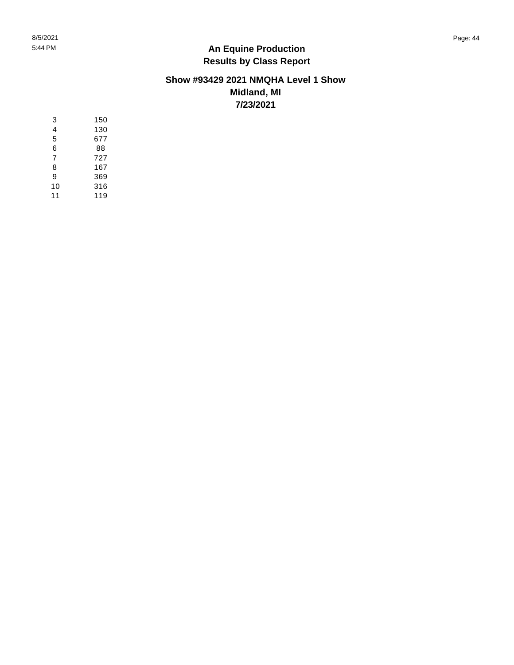8/5/2021 Page: 44 5:44 PM

### **An Equine Production Results by Class Report**

#### **Show #93429 2021 NMQHA Level 1 Show Midland, MI 7/23/2021**

| 3  | 150 |
|----|-----|
| 4  | 130 |
| 5  | 677 |
| 6  | 88  |
| 7  | 727 |
| 8  | 167 |
| 9  | 369 |
| 10 | 316 |
| 11 | 119 |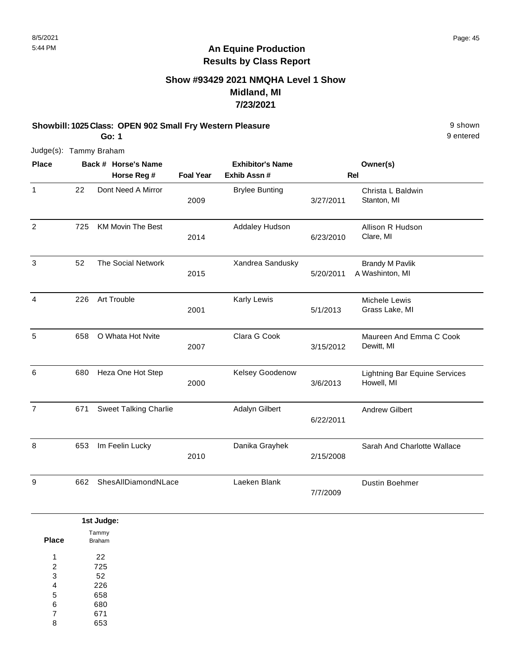### **Show #93429 2021 NMQHA Level 1 Show Midland, MI 7/23/2021**

#### **Showbill: 1025 Class: OPEN 902 Small Fry Western Pleasure** 8 **Shown** 9 shown **Go: 1**

9 entered

| <b>Place</b>   |     | Back # Horse's Name<br>Horse Reg # | <b>Foal Year</b> | <b>Exhibitor's Name</b><br>Exhib Assn# |           | Owner(s)<br>Rel                                    |
|----------------|-----|------------------------------------|------------------|----------------------------------------|-----------|----------------------------------------------------|
| $\mathbf{1}$   | 22  | Dont Need A Mirror                 | 2009             | <b>Brylee Bunting</b>                  | 3/27/2011 | Christa L Baldwin<br>Stanton, MI                   |
| $\overline{2}$ | 725 | <b>KM Movin The Best</b>           | 2014             | Addaley Hudson                         | 6/23/2010 | Allison R Hudson<br>Clare, MI                      |
| $\mathbf{3}$   | 52  | <b>The Social Network</b>          | 2015             | Xandrea Sandusky                       | 5/20/2011 | <b>Brandy M Pavlik</b><br>A Washinton, MI          |
| 4              | 226 | Art Trouble                        | 2001             | Karly Lewis                            | 5/1/2013  | Michele Lewis<br>Grass Lake, MI                    |
| 5              | 658 | O Whata Hot Nvite                  | 2007             | Clara G Cook                           | 3/15/2012 | Maureen And Emma C Cook<br>Dewitt, MI              |
| 6              | 680 | Heza One Hot Step                  | 2000             | Kelsey Goodenow                        | 3/6/2013  | <b>Lightning Bar Equine Services</b><br>Howell, MI |
| $\overline{7}$ | 671 | <b>Sweet Talking Charlie</b>       |                  | Adalyn Gilbert                         | 6/22/2011 | <b>Andrew Gilbert</b>                              |
| 8              | 653 | Im Feelin Lucky                    | 2010             | Danika Grayhek                         | 2/15/2008 | Sarah And Charlotte Wallace                        |
| 9              | 662 | ShesAllDiamondNLace                |                  | Laeken Blank                           | 7/7/2009  | <b>Dustin Boehmer</b>                              |

|                | 1st Judge:      |
|----------------|-----------------|
| <b>Place</b>   | Tammy<br>Braham |
| и              | 22              |
| $\overline{2}$ | 725             |
| 3              | 52              |
| 4              | 226             |
| 5              | 658             |
| 6              | 680             |
| $\overline{7}$ | 671             |
| 8              | 653             |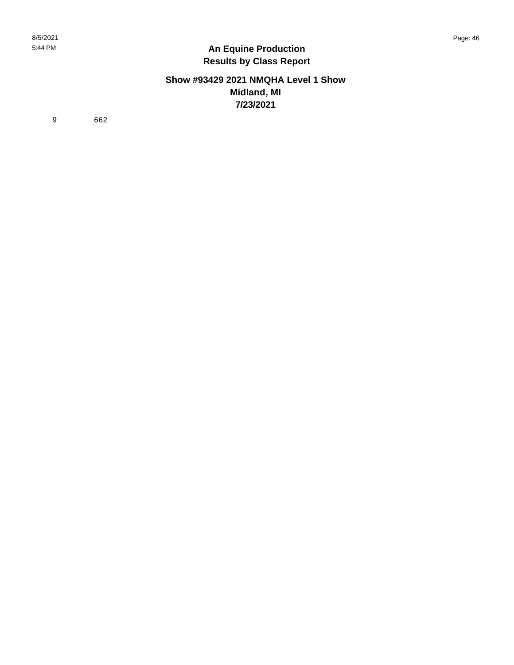#### **Show #93429 2021 NMQHA Level 1 Show Midland, MI 7/23/2021**

9 662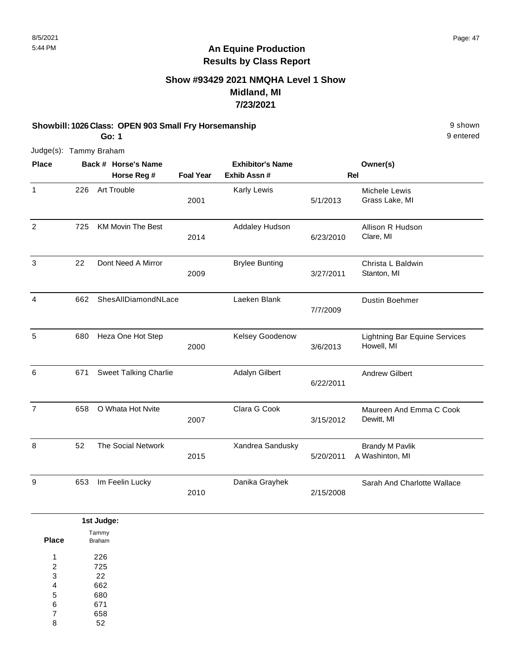### **Show #93429 2021 NMQHA Level 1 Show Midland, MI 7/23/2021**

#### **Showbill: 1026 Class: OPEN 903 Small Fry Horsemanship** 9 shown **Go: 1**

9 entered

| <b>Place</b>   |     | Back # Horse's Name<br>Horse Reg # | <b>Foal Year</b> | <b>Exhibitor's Name</b><br>Exhib Assn# |           | Owner(s)<br>Rel                                    |
|----------------|-----|------------------------------------|------------------|----------------------------------------|-----------|----------------------------------------------------|
| $\mathbf{1}$   | 226 | Art Trouble                        | 2001             | Karly Lewis                            | 5/1/2013  | Michele Lewis<br>Grass Lake, MI                    |
| $\overline{2}$ | 725 | <b>KM Movin The Best</b>           | 2014             | Addaley Hudson                         | 6/23/2010 | Allison R Hudson<br>Clare, MI                      |
| 3              | 22  | Dont Need A Mirror                 | 2009             | <b>Brylee Bunting</b>                  | 3/27/2011 | Christa L Baldwin<br>Stanton, MI                   |
| $\overline{4}$ | 662 | ShesAllDiamondNLace                |                  | Laeken Blank                           | 7/7/2009  | <b>Dustin Boehmer</b>                              |
| 5              | 680 | Heza One Hot Step                  | 2000             | Kelsey Goodenow                        | 3/6/2013  | <b>Lightning Bar Equine Services</b><br>Howell, MI |
| 6              | 671 | <b>Sweet Talking Charlie</b>       |                  | Adalyn Gilbert                         | 6/22/2011 | <b>Andrew Gilbert</b>                              |
| $\overline{7}$ | 658 | O Whata Hot Nvite                  | 2007             | Clara G Cook                           | 3/15/2012 | Maureen And Emma C Cook<br>Dewitt, MI              |
| 8              | 52  | <b>The Social Network</b>          | 2015             | Xandrea Sandusky                       | 5/20/2011 | <b>Brandy M Pavlik</b><br>A Washinton, MI          |
| 9              | 653 | Im Feelin Lucky                    | 2010             | Danika Grayhek                         | 2/15/2008 | Sarah And Charlotte Wallace                        |

|                | 1st Judge: |
|----------------|------------|
|                | Tammy      |
| <b>Place</b>   | Braham     |
| 1              | 226        |
| $\overline{2}$ | 725        |
| 3              | 22         |
| 4              | 662        |
| 5              | 680        |
| 6              | 671        |
| $\overline{ }$ | 658        |
| 8              | 52         |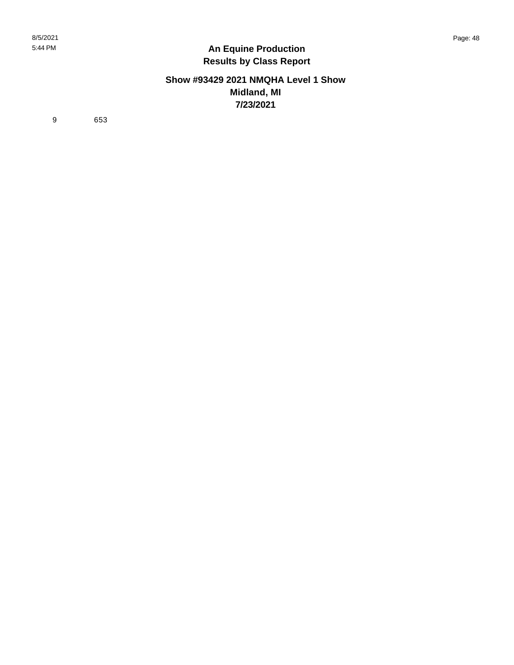#### **Show #93429 2021 NMQHA Level 1 Show Midland, MI 7/23/2021**

9 653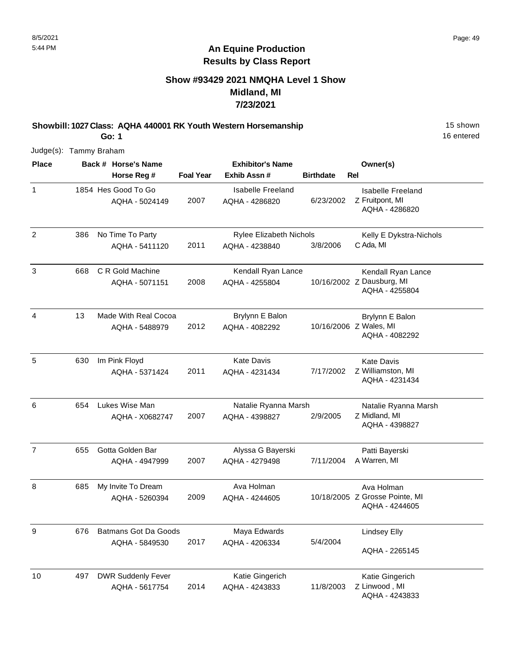### **Show #93429 2021 NMQHA Level 1 Show Midland, MI 7/23/2021**

**Showbill: 1027 Class: AQHA 440001 RK Youth Western Horsemanship** 15 Shown **Go: 1**

16 entered

| <b>Place</b>   |     | Back # Horse's Name                           |                  | <b>Exhibitor's Name</b>                |                  | Owner(s)                                                          |
|----------------|-----|-----------------------------------------------|------------------|----------------------------------------|------------------|-------------------------------------------------------------------|
|                |     | Horse Reg #                                   | <b>Foal Year</b> | Exhib Assn#                            | <b>Birthdate</b> | Rel                                                               |
| $\mathbf{1}$   |     | 1854 Hes Good To Go<br>AQHA - 5024149         | 2007             | Isabelle Freeland<br>AQHA - 4286820    | 6/23/2002        | Isabelle Freeland<br>Z Fruitpont, MI<br>AQHA - 4286820            |
| 2              | 386 | No Time To Party                              |                  | Rylee Elizabeth Nichols                |                  | Kelly E Dykstra-Nichols                                           |
|                |     | AQHA - 5411120                                | 2011             | AQHA - 4238840                         | 3/8/2006         | C Ada, MI                                                         |
| 3              | 668 | C R Gold Machine<br>AQHA - 5071151            | 2008             | Kendall Ryan Lance<br>AQHA - 4255804   |                  | Kendall Ryan Lance<br>10/16/2002 Z Dausburg, MI<br>AQHA - 4255804 |
| 4              | 13  | Made With Real Cocoa<br>AQHA - 5488979        | 2012             | Brylynn E Balon<br>AQHA - 4082292      |                  | Brylynn E Balon<br>10/16/2006 Z Wales, MI<br>AQHA - 4082292       |
| 5              | 630 | Im Pink Floyd<br>AQHA - 5371424               | 2011             | <b>Kate Davis</b><br>AQHA - 4231434    | 7/17/2002        | <b>Kate Davis</b><br>Z Williamston, MI<br>AQHA - 4231434          |
| 6              | 654 | Lukes Wise Man<br>AQHA - X0682747             | 2007             | Natalie Ryanna Marsh<br>AQHA - 4398827 | 2/9/2005         | Natalie Ryanna Marsh<br>Z Midland, MI<br>AQHA - 4398827           |
| $\overline{7}$ | 655 | Gotta Golden Bar<br>AQHA - 4947999            | 2007             | Alyssa G Bayerski<br>AQHA - 4279498    | 7/11/2004        | Patti Bayerski<br>A Warren, MI                                    |
| 8              | 685 | My Invite To Dream<br>AQHA - 5260394          | 2009             | Ava Holman<br>AQHA - 4244605           |                  | Ava Holman<br>10/18/2005 Z Grosse Pointe, MI<br>AQHA - 4244605    |
| 9              | 676 | <b>Batmans Got Da Goods</b><br>AQHA - 5849530 | 2017             | Maya Edwards<br>AQHA - 4206334         | 5/4/2004         | <b>Lindsey Elly</b><br>AQHA - 2265145                             |
| 10             | 497 | <b>DWR Suddenly Fever</b><br>AQHA - 5617754   | 2014             | Katie Gingerich<br>AQHA - 4243833      | 11/8/2003        | Katie Gingerich<br>Z Linwood, MI<br>AQHA - 4243833                |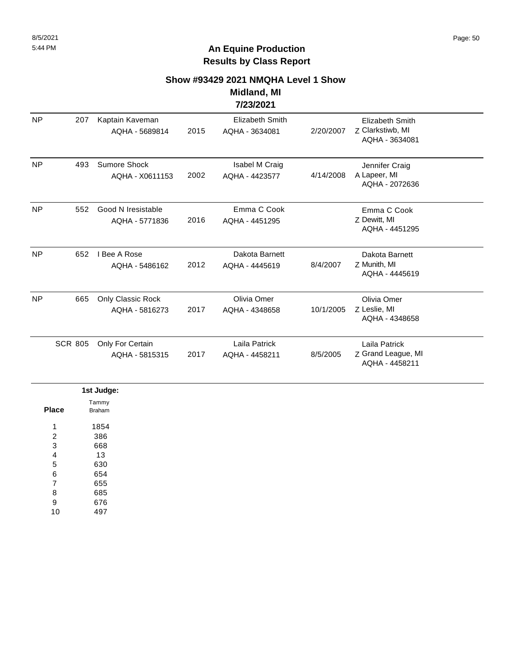# **Show #93429 2021 NMQHA Level 1 Show**

#### **Midland, MI 7/23/2021**

| <b>NP</b> | 207            | Kaptain Kaveman<br>AQHA - 5689814    | 2015 | <b>Elizabeth Smith</b><br>AQHA - 3634081 | 2/20/2007 | <b>Elizabeth Smith</b><br>Z Clarkstiwb, MI<br>AQHA - 3634081 |  |
|-----------|----------------|--------------------------------------|------|------------------------------------------|-----------|--------------------------------------------------------------|--|
| <b>NP</b> | 493            | Sumore Shock<br>AQHA - X0611153      | 2002 | Isabel M Craig<br>AQHA - 4423577         | 4/14/2008 | Jennifer Craig<br>A Lapeer, MI<br>AQHA - 2072636             |  |
| <b>NP</b> | 552            | Good N Iresistable<br>AQHA - 5771836 | 2016 | Emma C Cook<br>AQHA - 4451295            |           | Emma C Cook<br>Z Dewitt, MI<br>AQHA - 4451295                |  |
| <b>NP</b> | 652            | I Bee A Rose<br>AQHA - 5486162       | 2012 | Dakota Barnett<br>AQHA - 4445619         | 8/4/2007  | Dakota Barnett<br>Z Munith, MI<br>AQHA - 4445619             |  |
| <b>NP</b> | 665            | Only Classic Rock<br>AQHA - 5816273  | 2017 | Olivia Omer<br>AQHA - 4348658            | 10/1/2005 | Olivia Omer<br>Z Leslie, MI<br>AQHA - 4348658                |  |
|           | <b>SCR 805</b> | Only For Certain<br>AQHA - 5815315   | 2017 | Laila Patrick<br>AQHA - 4458211          | 8/5/2005  | Laila Patrick<br>Z Grand League, MI<br>AQHA - 4458211        |  |

|                         | 1st Judge:      |
|-------------------------|-----------------|
| <b>Place</b>            | Tammy<br>Braham |
| 1                       | 1854            |
| $\overline{\mathbf{c}}$ | 386             |
| 3                       | 668             |
| 4                       | 13              |
| 5                       | 630             |
| 6                       | 654             |
| $\overline{7}$          | 655             |
| 8                       | 685             |
| 9                       | 676             |
| 10                      | 497             |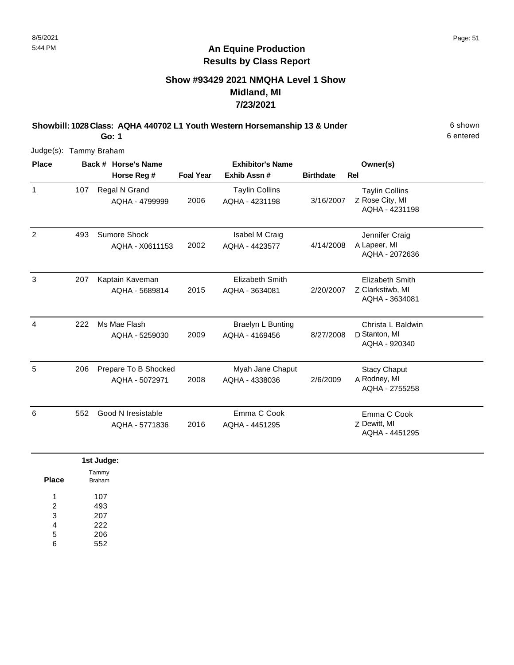### **Show #93429 2021 NMQHA Level 1 Show Midland, MI 7/23/2021**

**Showbill: 1028 Class: AQHA 440702 L1 Youth Western Horsemanship 13 & Under** 6 shown

6 entered

**Go: 1** Judge(s): Tammy Braham

| <b>Place</b> |     | Back # Horse's Name                    | <b>Exhibitor's Name</b> |                                            |                  | Owner(s)                                                   |  |
|--------------|-----|----------------------------------------|-------------------------|--------------------------------------------|------------------|------------------------------------------------------------|--|
|              |     | Horse Reg #                            | <b>Foal Year</b>        | Exhib Assn#                                | <b>Birthdate</b> | <b>Rel</b>                                                 |  |
| $\mathbf{1}$ | 107 | Regal N Grand<br>AQHA - 4799999        | 2006                    | <b>Taylin Collins</b><br>AQHA - 4231198    | 3/16/2007        | <b>Taylin Collins</b><br>Z Rose City, MI<br>AQHA - 4231198 |  |
| 2            | 493 | Sumore Shock<br>AQHA - X0611153        | 2002                    | Isabel M Craig<br>AQHA - 4423577           | 4/14/2008        | Jennifer Craig<br>A Lapeer, MI<br>AQHA - 2072636           |  |
| 3            | 207 | Kaptain Kaveman<br>AQHA - 5689814      | 2015                    | Elizabeth Smith<br>AQHA - 3634081          | 2/20/2007        | Elizabeth Smith<br>Z Clarkstiwb, MI<br>AQHA - 3634081      |  |
| 4            | 222 | Ms Mae Flash<br>AQHA - 5259030         | 2009                    | <b>Braelyn L Bunting</b><br>AQHA - 4169456 | 8/27/2008        | Christa L Baldwin<br>D Stanton, MI<br>AQHA - 920340        |  |
| 5            | 206 | Prepare To B Shocked<br>AQHA - 5072971 | 2008                    | Myah Jane Chaput<br>AQHA - 4338036         | 2/6/2009         | <b>Stacy Chaput</b><br>A Rodney, MI<br>AQHA - 2755258      |  |
| 6            | 552 | Good N Iresistable<br>AQHA - 5771836   | 2016                    | Emma C Cook<br>AQHA - 4451295              |                  | Emma C Cook<br>Z Dewitt, MI<br>AQHA - 4451295              |  |
|              |     |                                        |                         |                                            |                  |                                                            |  |

|                | 1st Judge:      |
|----------------|-----------------|
| <b>Place</b>   | Tammy<br>Braham |
| 1              | 107             |
| $\overline{2}$ | 493             |
| 3              | 207             |
| 4              | 222             |
| 5              | 206             |
| 6              | 552             |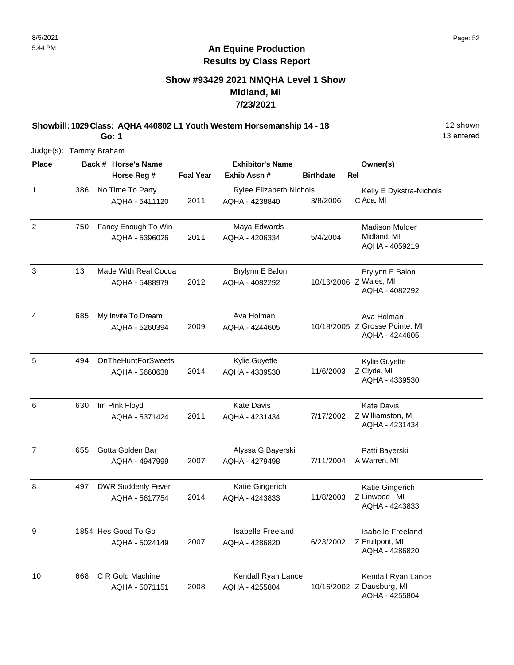### **Show #93429 2021 NMQHA Level 1 Show Midland, MI 7/23/2021**

**Showbill: 1029 Class: AQHA 440802 L1 Youth Western Horsemanship 14 - 18** 18 12 shown **Go: 1**

13 entered

| <b>Place</b>   |     | Back # Horse's Name       |                  | <b>Exhibitor's Name</b>        |                  | Owner(s)                                         |
|----------------|-----|---------------------------|------------------|--------------------------------|------------------|--------------------------------------------------|
|                |     | Horse Reg #               | <b>Foal Year</b> | Exhib Assn #                   | <b>Birthdate</b> | Rel                                              |
| $\mathbf{1}$   | 386 | No Time To Party          |                  | <b>Rylee Elizabeth Nichols</b> |                  | Kelly E Dykstra-Nichols                          |
|                |     | AQHA - 5411120            | 2011             | AQHA - 4238840                 | 3/8/2006         | C Ada, MI                                        |
| $\overline{2}$ | 750 | Fancy Enough To Win       |                  | Maya Edwards                   |                  | <b>Madison Mulder</b>                            |
|                |     | AQHA - 5396026            | 2011             | AQHA - 4206334                 | 5/4/2004         | Midland, MI<br>AQHA - 4059219                    |
| 3              | 13  | Made With Real Cocoa      |                  | Brylynn E Balon                |                  | Brylynn E Balon                                  |
|                |     | AQHA - 5488979            | 2012             | AQHA - 4082292                 |                  | 10/16/2006 Z Wales, MI<br>AQHA - 4082292         |
| 4              | 685 | My Invite To Dream        |                  | Ava Holman                     |                  | Ava Holman                                       |
|                |     | AQHA - 5260394            | 2009             | AQHA - 4244605                 |                  | 10/18/2005 Z Grosse Pointe, MI<br>AQHA - 4244605 |
| 5              | 494 | <b>OnTheHuntForSweets</b> |                  | Kylie Guyette                  |                  | Kylie Guyette                                    |
|                |     | AQHA - 5660638            | 2014             | AQHA - 4339530                 | 11/6/2003        | Z Clyde, MI<br>AQHA - 4339530                    |
| 6              | 630 | Im Pink Floyd             |                  | <b>Kate Davis</b>              |                  | <b>Kate Davis</b>                                |
|                |     | AQHA - 5371424            | 2011             | AQHA - 4231434                 | 7/17/2002        | Z Williamston, MI<br>AQHA - 4231434              |
| $\overline{7}$ | 655 | Gotta Golden Bar          |                  | Alyssa G Bayerski              |                  | Patti Bayerski                                   |
|                |     | AQHA - 4947999            | 2007             | AQHA - 4279498                 | 7/11/2004        | A Warren, MI                                     |
| 8              | 497 | <b>DWR Suddenly Fever</b> |                  | Katie Gingerich                |                  | Katie Gingerich                                  |
|                |     | AQHA - 5617754            | 2014             | AQHA - 4243833                 | 11/8/2003        | Z Linwood, MI<br>AQHA - 4243833                  |
| 9              |     | 1854 Hes Good To Go       |                  | Isabelle Freeland              |                  | <b>Isabelle Freeland</b>                         |
|                |     | AQHA - 5024149            | 2007             | AQHA - 4286820                 | 6/23/2002        | Z Fruitpont, MI<br>AQHA - 4286820                |
| 10             | 668 | C R Gold Machine          |                  | Kendall Ryan Lance             |                  | Kendall Ryan Lance                               |
|                |     | AQHA - 5071151            | 2008             | AQHA - 4255804                 |                  | 10/16/2002 Z Dausburg, MI<br>AQHA - 4255804      |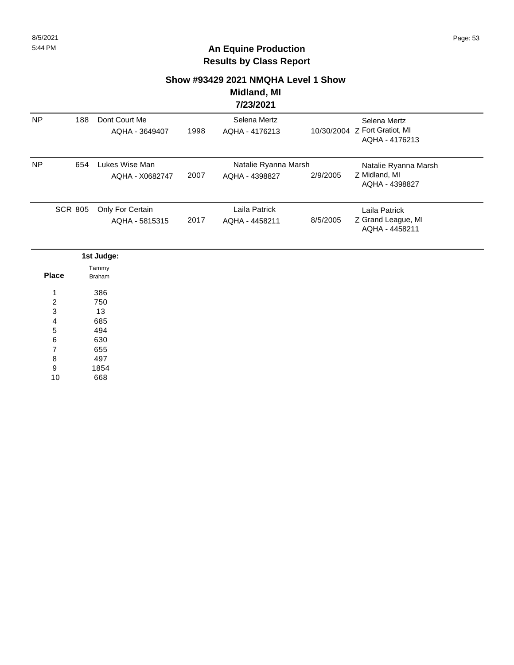#### **Show #93429 2021 NMQHA Level 1 Show**

#### **Midland, MI 7/23/2021**

| <b>NP</b> | 188            | Dont Court Me<br>AQHA - 3649407    | 1998 | Selena Mertz<br>AQHA - 4176213         |          | Selena Mertz<br>10/30/2004 Z Fort Gratiot, MI<br>AQHA - 4176213 |  |
|-----------|----------------|------------------------------------|------|----------------------------------------|----------|-----------------------------------------------------------------|--|
| <b>NP</b> | 654            | Lukes Wise Man<br>AQHA - X0682747  | 2007 | Natalie Ryanna Marsh<br>AQHA - 4398827 | 2/9/2005 | Natalie Ryanna Marsh<br>Z Midland, MI<br>AQHA - 4398827         |  |
|           | <b>SCR 805</b> | Only For Certain<br>AQHA - 5815315 | 2017 | Laila Patrick<br>AQHA - 4458211        | 8/5/2005 | Laila Patrick<br>Z Grand League, MI<br>AQHA - 4458211           |  |

|              | 1st Judge:      |
|--------------|-----------------|
| <b>Place</b> | Tammy<br>Braham |
| 1            | 386             |
| 2            | 750             |
| 3            | 13              |
| 4            | 685             |
| 5            | 494             |
| 6            | 630             |
| 7            | 655             |
| 8            | 497             |
| 9            | 1854            |
| 10           | 668             |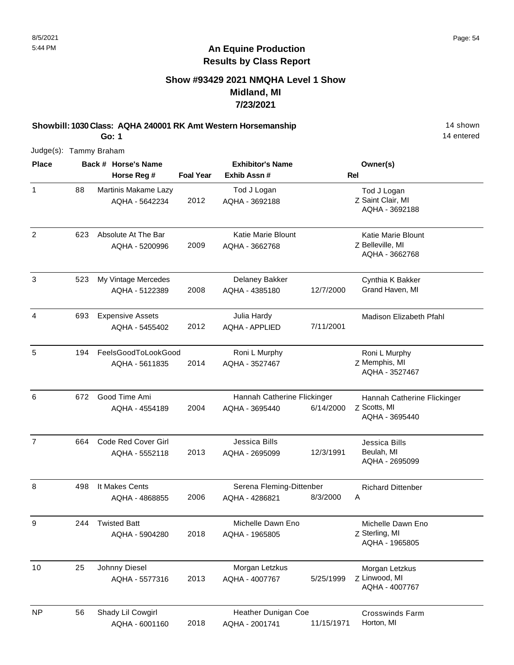### **Show #93429 2021 NMQHA Level 1 Show Midland, MI 7/23/2021**

**Showbill: 1030 Class: AQHA 240001 RK Amt Western Horsemanship** 14 shown **Go: 1**

14 entered

| <b>Place</b>   |     | Back # Horse's Name                          |                  | <b>Exhibitor's Name</b>                       |            | Owner(s)                                                      |
|----------------|-----|----------------------------------------------|------------------|-----------------------------------------------|------------|---------------------------------------------------------------|
|                |     | Horse Reg #                                  | <b>Foal Year</b> | Exhib Assn#                                   |            | Rel                                                           |
| 1              | 88  | Martinis Makame Lazy<br>AQHA - 5642234       | 2012             | Tod J Logan<br>AQHA - 3692188                 |            | Tod J Logan<br>Z Saint Clair, MI<br>AQHA - 3692188            |
| $\overline{2}$ | 623 | Absolute At The Bar<br>AQHA - 5200996        | 2009             | <b>Katie Marie Blount</b><br>AQHA - 3662768   |            | Katie Marie Blount<br>Z Belleville, MI<br>AQHA - 3662768      |
| 3              | 523 | My Vintage Mercedes<br>AQHA - 5122389        | 2008             | Delaney Bakker<br>AQHA - 4385180              | 12/7/2000  | Cynthia K Bakker<br>Grand Haven, MI                           |
| 4              | 693 | <b>Expensive Assets</b><br>AQHA - 5455402    | 2012             | Julia Hardy<br><b>AQHA - APPLIED</b>          | 7/11/2001  | Madison Elizabeth Pfahl                                       |
| 5              | 194 | FeelsGoodToLookGood<br>AQHA - 5611835        | 2014             | Roni L Murphy<br>AQHA - 3527467               |            | Roni L Murphy<br>Z Memphis, MI<br>AQHA - 3527467              |
| 6              | 672 | Good Time Ami<br>AQHA - 4554189              | 2004             | Hannah Catherine Flickinger<br>AQHA - 3695440 | 6/14/2000  | Hannah Catherine Flickinger<br>Z Scotts, MI<br>AQHA - 3695440 |
| $\overline{7}$ | 664 | <b>Code Red Cover Girl</b><br>AQHA - 5552118 | 2013             | Jessica Bills<br>AQHA - 2695099               | 12/3/1991  | Jessica Bills<br>Beulah, MI<br>AQHA - 2695099                 |
| 8              | 498 | It Makes Cents<br>AQHA - 4868855             | 2006             | Serena Fleming-Dittenber<br>AQHA - 4286821    | 8/3/2000   | <b>Richard Dittenber</b><br>Α                                 |
| 9              | 244 | <b>Twisted Batt</b><br>AQHA - 5904280        | 2018             | Michelle Dawn Eno<br>AQHA - 1965805           |            | Michelle Dawn Eno<br>Z Sterling, MI<br>AQHA - 1965805         |
| 10             | 25  | Johnny Diesel<br>AQHA - 5577316              | 2013             | Morgan Letzkus<br>AQHA - 4007767              | 5/25/1999  | Morgan Letzkus<br>Z Linwood, MI<br>AQHA - 4007767             |
| <b>NP</b>      | 56  | Shady Lil Cowgirl<br>AQHA - 6001160          | 2018             | Heather Dunigan Coe<br>AQHA - 2001741         | 11/15/1971 | <b>Crosswinds Farm</b><br>Horton, MI                          |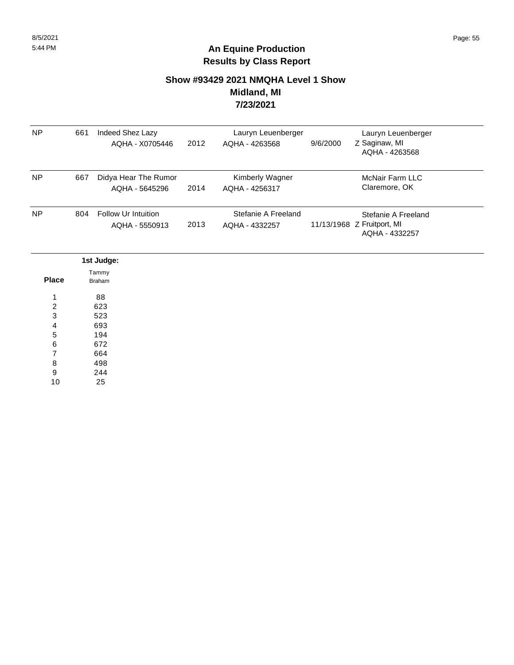### **Show #93429 2021 NMQHA Level 1 Show Midland, MI 7/23/2021**

| <b>NP</b> | 661 | Indeed Shez Lazy<br>AQHA - X0705446    | 2012 | Lauryn Leuenberger<br>AQHA - 4263568  | 9/6/2000 | Lauryn Leuenberger<br>Z Saginaw, MI<br>AQHA - 4263568               |
|-----------|-----|----------------------------------------|------|---------------------------------------|----------|---------------------------------------------------------------------|
| <b>NP</b> | 667 | Didya Hear The Rumor<br>AQHA - 5645296 | 2014 | Kimberly Wagner<br>AQHA - 4256317     |          | <b>McNair Farm LLC</b><br>Claremore, OK                             |
| <b>NP</b> | 804 | Follow Ur Intuition<br>AQHA - 5550913  | 2013 | Stefanie A Freeland<br>AQHA - 4332257 |          | Stefanie A Freeland<br>11/13/1968 Z Fruitport, MI<br>AQHA - 4332257 |

|                | 1st Judge:      |
|----------------|-----------------|
| <b>Place</b>   | Tammy<br>Braham |
| 1              | 88              |
| 2              | 623             |
| 3              | 523             |
| 4              | 693             |
| 5              | 194             |
| 6              | 672             |
| $\overline{7}$ | 664             |
| 8              | 498             |
| 9              | 244             |
| 10             | 25              |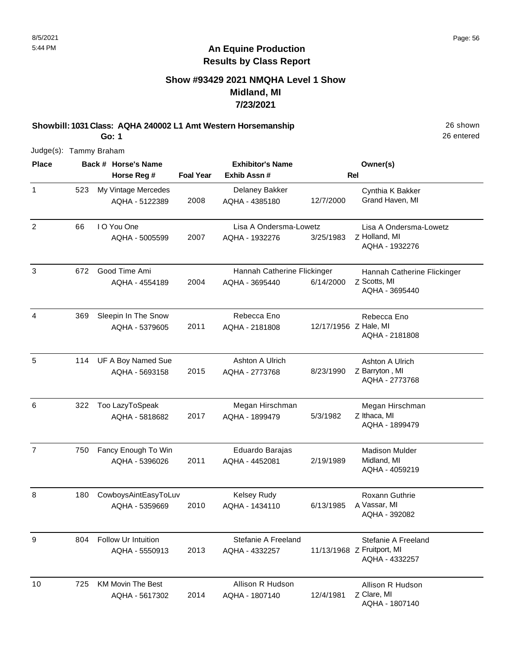### **Show #93429 2021 NMQHA Level 1 Show Midland, MI 7/23/2021**

**Showbill: 1031 Class: AQHA 240002 L1 Amt Western Horsemanship** 26 Shown **Go: 1**

26 entered

| <b>Place</b>   |     | Back # Horse's Name                        |                  | <b>Exhibitor's Name</b>                       |                       | Owner(s)                                                            |
|----------------|-----|--------------------------------------------|------------------|-----------------------------------------------|-----------------------|---------------------------------------------------------------------|
|                |     | Horse Reg #                                | <b>Foal Year</b> | Exhib Assn #                                  |                       | <b>Rel</b>                                                          |
| 1              | 523 | My Vintage Mercedes<br>AQHA - 5122389      | 2008             | Delaney Bakker<br>AQHA - 4385180              | 12/7/2000             | Cynthia K Bakker<br>Grand Haven, MI                                 |
| $\overline{2}$ | 66  | I O You One<br>AQHA - 5005599              | 2007             | Lisa A Ondersma-Lowetz<br>AQHA - 1932276      | 3/25/1983             | Lisa A Ondersma-Lowetz<br>Z Holland, MI<br>AQHA - 1932276           |
| 3              | 672 | Good Time Ami<br>AQHA - 4554189            | 2004             | Hannah Catherine Flickinger<br>AQHA - 3695440 | 6/14/2000             | Hannah Catherine Flickinger<br>Z Scotts, MI<br>AQHA - 3695440       |
| 4              | 369 | Sleepin In The Snow<br>AQHA - 5379605      | 2011             | Rebecca Eno<br>AQHA - 2181808                 | 12/17/1956 Z Hale, MI | Rebecca Eno<br>AQHA - 2181808                                       |
| 5              | 114 | UF A Boy Named Sue<br>AQHA - 5693158       | 2015             | Ashton A Ulrich<br>AQHA - 2773768             | 8/23/1990             | Ashton A Ulrich<br>Z Barryton, MI<br>AQHA - 2773768                 |
| 6              | 322 | Too LazyToSpeak<br>AQHA - 5818682          | 2017             | Megan Hirschman<br>AQHA - 1899479             | 5/3/1982              | Megan Hirschman<br>Z Ithaca, MI<br>AQHA - 1899479                   |
| $\overline{7}$ | 750 | Fancy Enough To Win<br>AQHA - 5396026      | 2011             | Eduardo Barajas<br>AQHA - 4452081             | 2/19/1989             | <b>Madison Mulder</b><br>Midland, MI<br>AQHA - 4059219              |
| 8              | 180 | CowboysAintEasyToLuv<br>AQHA - 5359669     | 2010             | <b>Kelsey Rudy</b><br>AQHA - 1434110          | 6/13/1985             | Roxann Guthrie<br>A Vassar, MI<br>AQHA - 392082                     |
| y              | 804 | Follow Ur Intuition<br>AQHA - 5550913      | 2013             | Stefanie A Freeland<br>AQHA - 4332257         |                       | Stefanie A Freeland<br>11/13/1968 Z Fruitport, MI<br>AQHA - 4332257 |
| 10             | 725 | <b>KM Movin The Best</b><br>AQHA - 5617302 | 2014             | Allison R Hudson<br>AQHA - 1807140            | 12/4/1981             | Allison R Hudson<br>Z Clare, MI<br>AQHA - 1807140                   |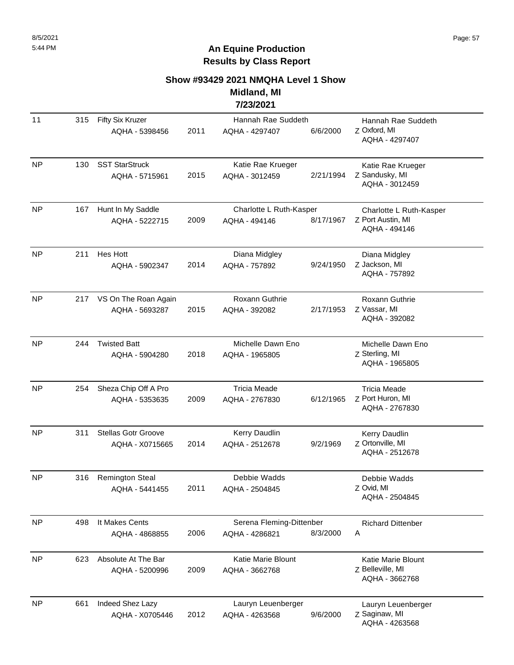### **Show #93429 2021 NMQHA Level 1 Show Midland, MI**

**7/23/2021**

| 11        | 315 | <b>Fifty Six Kruzer</b><br>AQHA - 5398456     | 2011 | Hannah Rae Suddeth<br>AQHA - 4297407       | 6/6/2000  | Hannah Rae Suddeth<br>Z Oxford, MI<br>AQHA - 4297407          |
|-----------|-----|-----------------------------------------------|------|--------------------------------------------|-----------|---------------------------------------------------------------|
| <b>NP</b> | 130 | <b>SST StarStruck</b><br>AQHA - 5715961       | 2015 | Katie Rae Krueger<br>AQHA - 3012459        | 2/21/1994 | Katie Rae Krueger<br>Z Sandusky, MI<br>AQHA - 3012459         |
| <b>NP</b> | 167 | Hunt In My Saddle<br>AQHA - 5222715           | 2009 | Charlotte L Ruth-Kasper<br>AQHA - 494146   | 8/17/1967 | Charlotte L Ruth-Kasper<br>Z Port Austin, MI<br>AQHA - 494146 |
| NP        | 211 | Hes Hott<br>AQHA - 5902347                    | 2014 | Diana Midgley<br>AQHA - 757892             | 9/24/1950 | Diana Midgley<br>Z Jackson, MI<br>AQHA - 757892               |
| NP        | 217 | VS On The Roan Again<br>AQHA - 5693287        | 2015 | Roxann Guthrie<br>AQHA - 392082            | 2/17/1953 | Roxann Guthrie<br>Z Vassar, MI<br>AQHA - 392082               |
| <b>NP</b> | 244 | <b>Twisted Batt</b><br>AQHA - 5904280         | 2018 | Michelle Dawn Eno<br>AQHA - 1965805        |           | Michelle Dawn Eno<br>Z Sterling, MI<br>AQHA - 1965805         |
| <b>NP</b> | 254 | Sheza Chip Off A Pro<br>AQHA - 5353635        | 2009 | <b>Tricia Meade</b><br>AQHA - 2767830      | 6/12/1965 | <b>Tricia Meade</b><br>Z Port Huron, MI<br>AQHA - 2767830     |
| NP        | 311 | <b>Stellas Gotr Groove</b><br>AQHA - X0715665 | 2014 | Kerry Daudlin<br>AQHA - 2512678            | 9/2/1969  | Kerry Daudlin<br>Z Ortonville, MI<br>AQHA - 2512678           |
| <b>NP</b> | 316 | <b>Remington Steal</b><br>AQHA - 5441455      | 2011 | Debbie Wadds<br>AQHA - 2504845             |           | Debbie Wadds<br>Z Ovid, MI<br>AQHA - 2504845                  |
| <b>NP</b> | 498 | It Makes Cents<br>AQHA - 4868855              | 2006 | Serena Fleming-Dittenber<br>AQHA - 4286821 | 8/3/2000  | <b>Richard Dittenber</b><br>Α                                 |
| <b>NP</b> | 623 | Absolute At The Bar<br>AQHA - 5200996         | 2009 | Katie Marie Blount<br>AQHA - 3662768       |           | Katie Marie Blount<br>Z Belleville, MI<br>AQHA - 3662768      |
| NP        | 661 | Indeed Shez Lazy<br>AQHA - X0705446           | 2012 | Lauryn Leuenberger<br>AQHA - 4263568       | 9/6/2000  | Lauryn Leuenberger<br>Z Saginaw, MI<br>AQHA - 4263568         |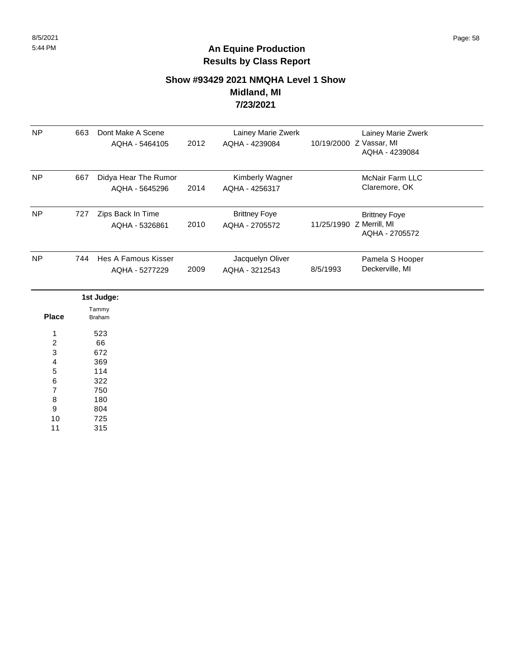#### **Show #93429 2021 NMQHA Level 1 Show Midland, MI 7/23/2021**

| <b>NP</b>               | 663 | Dont Make A Scene<br>AQHA - 5464105   | 2012 | Lainey Marie Zwerk<br>AQHA - 4239084   |          | Lainey Marie Zwerk<br>10/19/2000 Z Vassar, MI<br>AQHA - 4239084    |  |
|-------------------------|-----|---------------------------------------|------|----------------------------------------|----------|--------------------------------------------------------------------|--|
| <b>NP</b>               | 667 | Didya Hear The Rumor                  |      | Kimberly Wagner                        |          | <b>McNair Farm LLC</b>                                             |  |
|                         |     | AQHA - 5645296                        | 2014 | AQHA - 4256317                         |          | Claremore, OK                                                      |  |
| <b>NP</b>               | 727 | Zips Back In Time<br>AQHA - 5326861   | 2010 | <b>Brittney Foye</b><br>AQHA - 2705572 |          | <b>Brittney Foye</b><br>11/25/1990 Z Merrill, MI<br>AQHA - 2705572 |  |
| <b>NP</b>               | 744 | Hes A Famous Kisser<br>AQHA - 5277229 | 2009 | Jacquelyn Oliver<br>AQHA - 3212543     | 8/5/1993 | Pamela S Hooper<br>Deckerville, MI                                 |  |
|                         |     | 1st Judge:                            |      |                                        |          |                                                                    |  |
| <b>Place</b>            |     | Tammy<br><b>Braham</b>                |      |                                        |          |                                                                    |  |
| 1                       |     | 523                                   |      |                                        |          |                                                                    |  |
| $\overline{\mathbf{c}}$ |     | 66                                    |      |                                        |          |                                                                    |  |
| 3                       |     | 672                                   |      |                                        |          |                                                                    |  |
| 4                       |     | 369                                   |      |                                        |          |                                                                    |  |
| 5                       |     | 114<br>322                            |      |                                        |          |                                                                    |  |
| 6<br>$\overline{7}$     |     | 750                                   |      |                                        |          |                                                                    |  |
| 8                       |     | 180                                   |      |                                        |          |                                                                    |  |
| 9                       |     | 804                                   |      |                                        |          |                                                                    |  |
| 10                      |     | 725                                   |      |                                        |          |                                                                    |  |
| 11                      |     | 315                                   |      |                                        |          |                                                                    |  |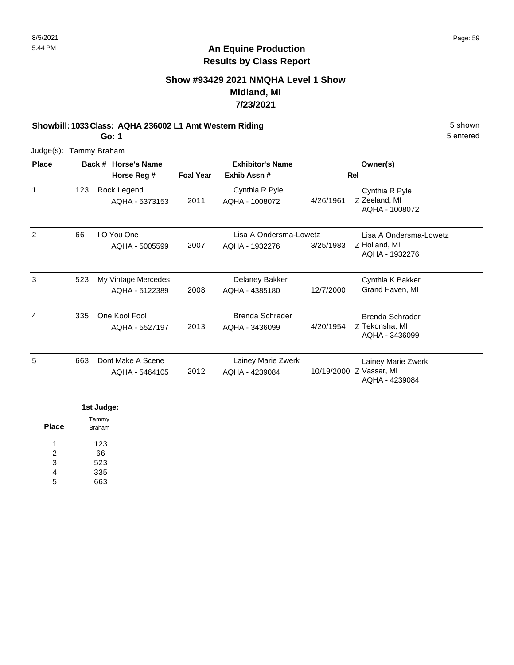### **Show #93429 2021 NMQHA Level 1 Show Midland, MI 7/23/2021**

#### **Showbill: 1033 Class: AQHA 236002 L1 Amt Western Riding 5 Shown 5 shown**

5 entered

Judge(s): Tammy Braham

**Go: 1**

| <b>Place</b> |     | Back # Horse's Name<br>Horse Reg #    | <b>Foal Year</b> | <b>Exhibitor's Name</b><br>Exhib Assn#   |            | Owner(s)<br>Rel                                            |
|--------------|-----|---------------------------------------|------------------|------------------------------------------|------------|------------------------------------------------------------|
| $\mathbf{1}$ | 123 | Rock Legend<br>AQHA - 5373153         | 2011             | Cynthia R Pyle<br>AQHA - 1008072         | 4/26/1961  | Cynthia R Pyle<br>Z Zeeland, MI<br>AQHA - 1008072          |
| 2            | 66  | I O You One<br>AQHA - 5005599         | 2007             | Lisa A Ondersma-Lowetz<br>AQHA - 1932276 | 3/25/1983  | Lisa A Ondersma-Lowetz<br>Z Holland, MI<br>AQHA - 1932276  |
| 3            | 523 | My Vintage Mercedes<br>AQHA - 5122389 | 2008             | Delaney Bakker<br>AQHA - 4385180         | 12/7/2000  | Cynthia K Bakker<br>Grand Haven, MI                        |
| 4            | 335 | One Kool Fool<br>AQHA - 5527197       | 2013             | <b>Brenda Schrader</b><br>AQHA - 3436099 | 4/20/1954  | <b>Brenda Schrader</b><br>Z Tekonsha, MI<br>AQHA - 3436099 |
| 5            | 663 | Dont Make A Scene<br>AQHA - 5464105   | 2012             | Lainey Marie Zwerk<br>AQHA - 4239084     | 10/19/2000 | Lainey Marie Zwerk<br>Z Vassar, MI<br>AQHA - 4239084       |

|              | 1st Judge: |
|--------------|------------|
| <b>Place</b> | Tammy      |
|              | Braham     |
| л            | 123        |
| 2            | 66         |
| 3            | 523        |
| 4            | 335        |
| 5            | 663        |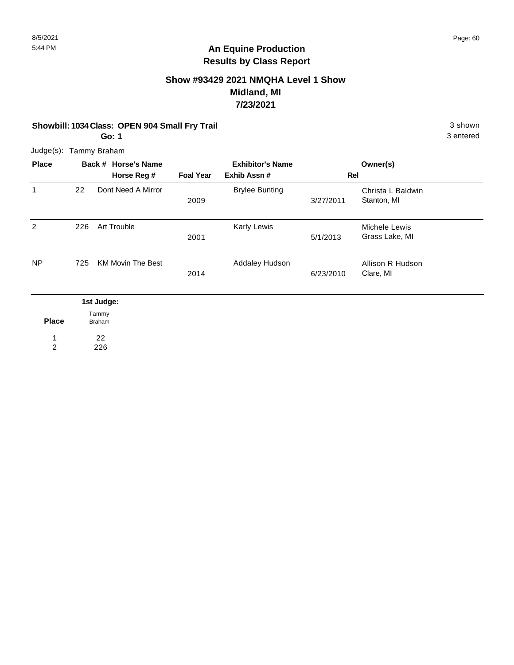### **Show #93429 2021 NMQHA Level 1 Show Midland, MI 7/23/2021**

**Showbill: 1034 Class: OPEN 904 Small Fry Trail** 3 shown

**Go: 1**

3 entered

Judge(s): Tammy Braham

| <b>Place</b>   |     | Back # Horse's Name      |                  | <b>Exhibitor's Name</b> |           | Owner(s)                         |  |
|----------------|-----|--------------------------|------------------|-------------------------|-----------|----------------------------------|--|
|                |     | Horse Reg #              | <b>Foal Year</b> | Exhib Assn#             | Rel       |                                  |  |
| 1              | 22  | Dont Need A Mirror       | 2009             | <b>Brylee Bunting</b>   | 3/27/2011 | Christa L Baldwin<br>Stanton, MI |  |
| 2              | 226 | Art Trouble              | 2001             | Karly Lewis             | 5/1/2013  | Michele Lewis<br>Grass Lake, MI  |  |
| N <sub>P</sub> | 725 | <b>KM Movin The Best</b> | 2014             | Addaley Hudson          | 6/23/2010 | Allison R Hudson<br>Clare, MI    |  |
|                |     | 1st Judge:               |                  |                         |           |                                  |  |
| <b>Place</b>   |     | Tammy<br><b>Braham</b>   |                  |                         |           |                                  |  |
|                |     | 22                       |                  |                         |           |                                  |  |

226 2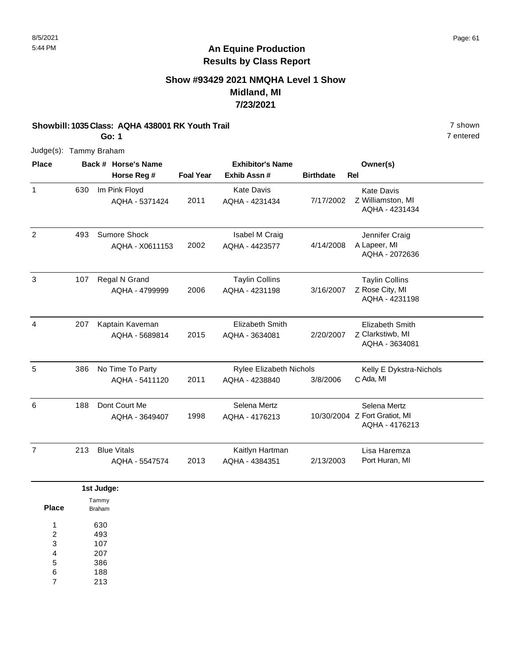### **Show #93429 2021 NMQHA Level 1 Show Midland, MI 7/23/2021**

#### **Showbill: 1035 Class: AQHA 438001 RK Youth Trail** 7 shown

**Go: 1**

7 entered

| <b>Place</b>   |     | Back # Horse's Name    |                  | <b>Exhibitor's Name</b>        |                  | Owner(s)                                        |
|----------------|-----|------------------------|------------------|--------------------------------|------------------|-------------------------------------------------|
|                |     | Horse Reg #            | <b>Foal Year</b> | Exhib Assn #                   | <b>Birthdate</b> | Rel                                             |
| $\mathbf{1}$   | 630 | Im Pink Floyd          |                  | <b>Kate Davis</b>              |                  | <b>Kate Davis</b>                               |
|                |     | AQHA - 5371424         | 2011             | AQHA - 4231434                 | 7/17/2002        | Z Williamston, MI<br>AQHA - 4231434             |
| $\overline{2}$ | 493 | Sumore Shock           |                  | Isabel M Craig                 |                  | Jennifer Craig                                  |
|                |     | AQHA - X0611153        | 2002             | AQHA - 4423577                 | 4/14/2008        | A Lapeer, MI<br>AQHA - 2072636                  |
| $\mathbf{3}$   | 107 | Regal N Grand          |                  | <b>Taylin Collins</b>          |                  | <b>Taylin Collins</b>                           |
|                |     | AQHA - 4799999         | 2006             | AQHA - 4231198                 | 3/16/2007        | Z Rose City, MI<br>AQHA - 4231198               |
| $\overline{4}$ | 207 | Kaptain Kaveman        |                  | Elizabeth Smith                |                  | Elizabeth Smith                                 |
|                |     | AQHA - 5689814         | 2015             | AQHA - 3634081                 | 2/20/2007        | Z Clarkstiwb, MI<br>AQHA - 3634081              |
| $\sqrt{5}$     | 386 | No Time To Party       |                  | <b>Rylee Elizabeth Nichols</b> |                  | Kelly E Dykstra-Nichols                         |
|                |     | AQHA - 5411120         | 2011             | AQHA - 4238840                 | 3/8/2006         | C Ada, MI                                       |
| 6              | 188 | Dont Court Me          |                  | Selena Mertz                   |                  | Selena Mertz                                    |
|                |     | AQHA - 3649407         | 1998             | AQHA - 4176213                 |                  | 10/30/2004 Z Fort Gratiot, MI<br>AQHA - 4176213 |
| $\overline{7}$ | 213 | <b>Blue Vitals</b>     |                  | Kaitlyn Hartman                |                  | Lisa Haremza                                    |
|                |     | AQHA - 5547574         | 2013             | AQHA - 4384351                 | 2/13/2003        | Port Huran, MI                                  |
|                |     | 1st Judge:             |                  |                                |                  |                                                 |
| <b>Place</b>   |     | Tammy<br><b>Braham</b> |                  |                                |                  |                                                 |
| 1              |     | 630                    |                  |                                |                  |                                                 |
| $\overline{2}$ |     | 493                    |                  |                                |                  |                                                 |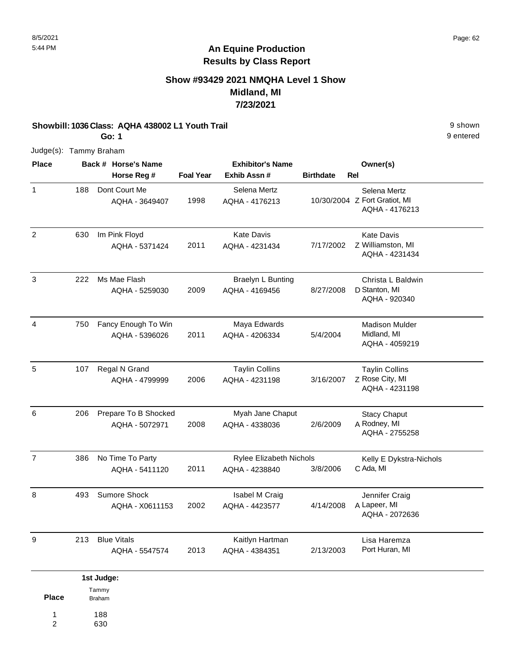### **Show #93429 2021 NMQHA Level 1 Show Midland, MI 7/23/2021**

#### **Showbill: 1036 Class: AQHA 438002 L1 Youth Trail** 9 shown

**Go: 1**

9 entered

Judge(s): Tammy Braham

188 630

1 2

| <b>Place</b>   |     | Back # Horse's Name                    |                  | <b>Exhibitor's Name</b>                   |                  | Owner(s)                                                        |
|----------------|-----|----------------------------------------|------------------|-------------------------------------------|------------------|-----------------------------------------------------------------|
|                |     | Horse Reg #                            | <b>Foal Year</b> | Exhib Assn #                              | <b>Birthdate</b> | Rel                                                             |
| $\mathbf{1}$   | 188 | Dont Court Me<br>AQHA - 3649407        | 1998             | Selena Mertz<br>AQHA - 4176213            |                  | Selena Mertz<br>10/30/2004 Z Fort Gratiot, MI<br>AQHA - 4176213 |
| $\overline{2}$ | 630 | Im Pink Floyd<br>AQHA - 5371424        | 2011             | <b>Kate Davis</b><br>AQHA - 4231434       | 7/17/2002        | <b>Kate Davis</b><br>Z Williamston, MI<br>AQHA - 4231434        |
| 3              | 222 | Ms Mae Flash<br>AQHA - 5259030         | 2009             | Braelyn L Bunting<br>AQHA - 4169456       | 8/27/2008        | Christa L Baldwin<br>D Stanton, MI<br>AQHA - 920340             |
| $\overline{4}$ | 750 | Fancy Enough To Win<br>AQHA - 5396026  | 2011             | Maya Edwards<br>AQHA - 4206334            | 5/4/2004         | <b>Madison Mulder</b><br>Midland, MI<br>AQHA - 4059219          |
| 5              | 107 | Regal N Grand<br>AQHA - 4799999        | 2006             | <b>Taylin Collins</b><br>AQHA - 4231198   | 3/16/2007        | <b>Taylin Collins</b><br>Z Rose City, MI<br>AQHA - 4231198      |
| 6              | 206 | Prepare To B Shocked<br>AQHA - 5072971 | 2008             | Myah Jane Chaput<br>AQHA - 4338036        | 2/6/2009         | <b>Stacy Chaput</b><br>A Rodney, MI<br>AQHA - 2755258           |
| $\overline{7}$ | 386 | No Time To Party<br>AQHA - 5411120     | 2011             | Rylee Elizabeth Nichols<br>AQHA - 4238840 | 3/8/2006         | Kelly E Dykstra-Nichols<br>C Ada, MI                            |
| 8              | 493 | Sumore Shock<br>AQHA - X0611153        | 2002             | Isabel M Craig<br>AQHA - 4423577          | 4/14/2008        | Jennifer Craig<br>A Lapeer, MI<br>AQHA - 2072636                |
| 9              | 213 | <b>Blue Vitals</b><br>AQHA - 5547574   | 2013             | Kaitlyn Hartman<br>AQHA - 4384351         | 2/13/2003        | Lisa Haremza<br>Port Huran, MI                                  |
|                |     | 1st Judge:                             |                  |                                           |                  |                                                                 |
| <b>Place</b>   |     | Tammy<br>Braham                        |                  |                                           |                  |                                                                 |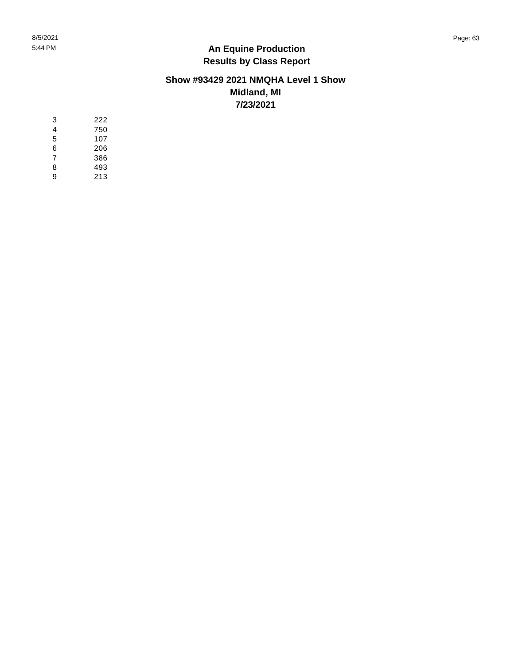#### **Show #93429 2021 NMQHA Level 1 Show Midland, MI 7/23/2021**

| 3 | 222 |
|---|-----|
| 4 | 750 |
| 5 | 107 |
| 6 | 206 |
| 7 | 386 |
| 8 | 493 |
| 9 | 213 |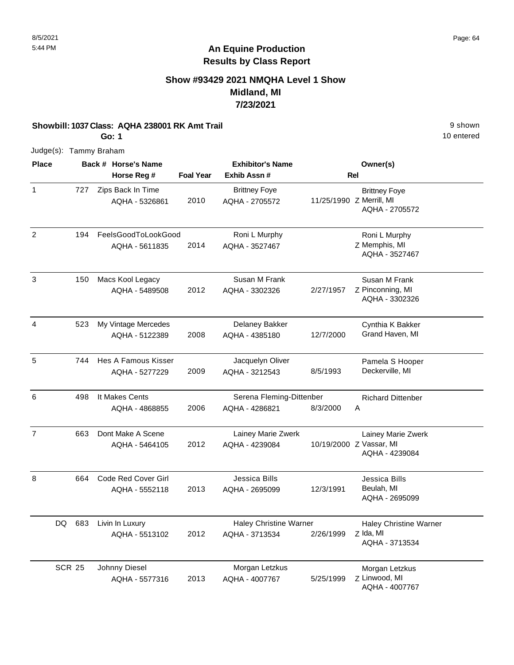### **Show #93429 2021 NMQHA Level 1 Show Midland, MI 7/23/2021**

#### **Showbill: 1037 Class: AQHA 238001 RK Amt Trail** 9 shown

**Go: 1**

10 entered

| <b>Place</b>   |               |     | Back # Horse's Name                 |                  | <b>Exhibitor's Name</b>                |                          | Owner(s)                                  |
|----------------|---------------|-----|-------------------------------------|------------------|----------------------------------------|--------------------------|-------------------------------------------|
|                |               |     | Horse Reg #                         | <b>Foal Year</b> | Exhib Assn#                            |                          | Rel                                       |
| $\mathbf{1}$   |               | 727 | Zips Back In Time<br>AQHA - 5326861 | 2010             | <b>Brittney Foye</b><br>AQHA - 2705572 | 11/25/1990 Z Merrill, MI | <b>Brittney Foye</b><br>AQHA - 2705572    |
| $\overline{2}$ |               | 194 | FeelsGoodToLookGood                 |                  | Roni L Murphy                          |                          | Roni L Murphy                             |
|                |               |     | AQHA - 5611835                      | 2014             | AQHA - 3527467                         |                          | Z Memphis, MI<br>AQHA - 3527467           |
| 3              |               | 150 | Macs Kool Legacy                    |                  | Susan M Frank                          |                          | Susan M Frank                             |
|                |               |     | AQHA - 5489508                      | 2012             | AQHA - 3302326                         | 2/27/1957                | Z Pinconning, MI<br>AQHA - 3302326        |
| $\overline{4}$ |               | 523 | My Vintage Mercedes                 |                  | Delaney Bakker                         |                          | Cynthia K Bakker                          |
|                |               |     | AQHA - 5122389                      | 2008             | AQHA - 4385180                         | 12/7/2000                | Grand Haven, MI                           |
| 5              |               | 744 | Hes A Famous Kisser                 |                  | Jacquelyn Oliver                       |                          | Pamela S Hooper                           |
|                |               |     | AQHA - 5277229                      | 2009             | AQHA - 3212543                         | 8/5/1993                 | Deckerville, MI                           |
| 6              |               | 498 | It Makes Cents                      |                  | Serena Fleming-Dittenber               |                          | <b>Richard Dittenber</b>                  |
|                |               |     | AQHA - 4868855                      | 2006             | AQHA - 4286821                         | 8/3/2000                 | Α                                         |
| $\overline{7}$ |               | 663 | Dont Make A Scene                   |                  | Lainey Marie Zwerk                     |                          | Lainey Marie Zwerk                        |
|                |               |     | AQHA - 5464105                      | 2012             | AQHA - 4239084                         |                          | 10/19/2000 Z Vassar, MI<br>AQHA - 4239084 |
| 8              |               | 664 | Code Red Cover Girl                 |                  | Jessica Bills                          |                          | Jessica Bills                             |
|                |               |     | AQHA - 5552118                      | 2013             | AQHA - 2695099                         | 12/3/1991                | Beulah, MI<br>AQHA - 2695099              |
|                | DQ            | 683 | Livin In Luxury                     |                  | <b>Haley Christine Warner</b>          |                          | <b>Haley Christine Warner</b>             |
|                |               |     | AQHA - 5513102                      | 2012             | AQHA - 3713534                         | 2/26/1999                | Z Ida, MI<br>AQHA - 3713534               |
|                | <b>SCR 25</b> |     | Johnny Diesel                       |                  | Morgan Letzkus                         |                          | Morgan Letzkus                            |
|                |               |     | AQHA - 5577316                      | 2013             | AQHA - 4007767                         | 5/25/1999                | Z Linwood, MI<br>AQHA - 4007767           |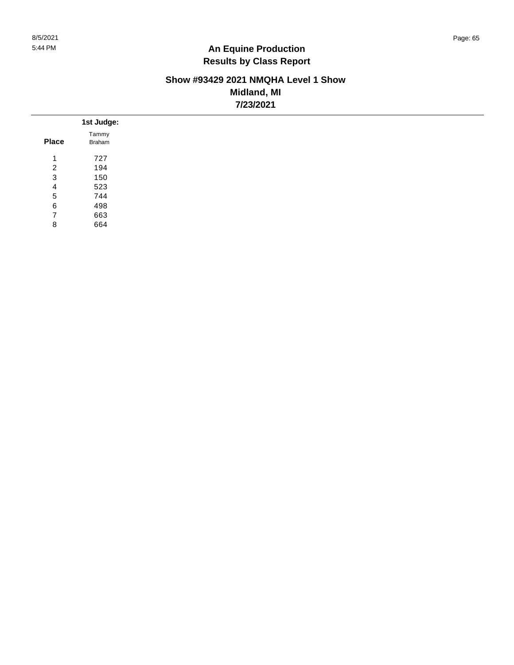#### **Show #93429 2021 NMQHA Level 1 Show Midland, MI 7/23/2021**

|                | 1st Judge: |
|----------------|------------|
|                | Tammy      |
| <b>Place</b>   | Braham     |
| 1              | 727        |
| 2              | 194        |
| 3              | 150        |
| 4              | 523        |
| 5              | 744        |
| 6              | 498        |
| $\overline{7}$ | 663        |
| 8              | 664        |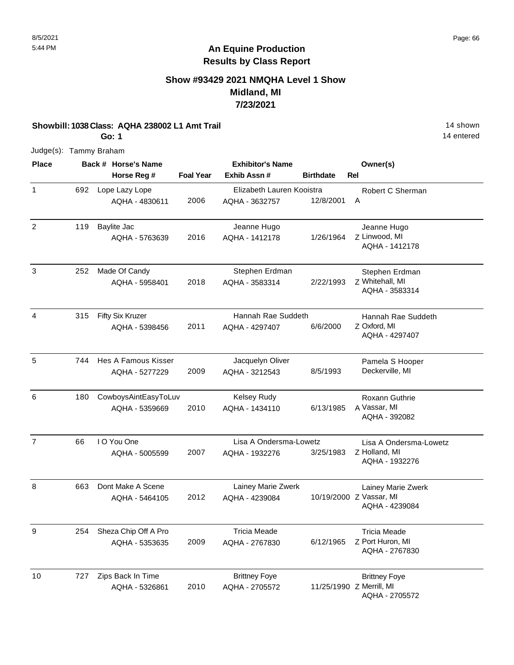### **Show #93429 2021 NMQHA Level 1 Show Midland, MI 7/23/2021**

#### **Showbill: 1038 Class: AQHA 238002 L1 Amt Trail 14 Shown 2010 14 shown**

**Go: 1**

14 entered

| <b>Place</b>   |     | Back # Horse's Name  |                  | <b>Exhibitor's Name</b>   |                          |            | Owner(s)                                  |
|----------------|-----|----------------------|------------------|---------------------------|--------------------------|------------|-------------------------------------------|
|                |     | Horse Reg #          | <b>Foal Year</b> | Exhib Assn#               | <b>Birthdate</b>         | <b>Rel</b> |                                           |
| $\mathbf{1}$   | 692 | Lope Lazy Lope       |                  | Elizabeth Lauren Kooistra |                          |            | Robert C Sherman                          |
|                |     | AQHA - 4830611       | 2006             | AQHA - 3632757            | 12/8/2001                | Α          |                                           |
| 2              | 119 | Baylite Jac          |                  | Jeanne Hugo               |                          |            | Jeanne Hugo                               |
|                |     | AQHA - 5763639       | 2016             | AQHA - 1412178            | 1/26/1964                |            | Z Linwood, MI<br>AQHA - 1412178           |
| $\mathbf{3}$   | 252 | Made Of Candy        |                  | Stephen Erdman            |                          |            | Stephen Erdman                            |
|                |     | AQHA - 5958401       | 2018             | AQHA - 3583314            | 2/22/1993                |            | Z Whitehall, MI<br>AQHA - 3583314         |
| 4              | 315 | Fifty Six Kruzer     |                  | Hannah Rae Suddeth        |                          |            | Hannah Rae Suddeth                        |
|                |     | AQHA - 5398456       | 2011             | AQHA - 4297407            | 6/6/2000                 |            | Z Oxford, MI<br>AQHA - 4297407            |
| 5              | 744 | Hes A Famous Kisser  |                  | Jacquelyn Oliver          |                          |            | Pamela S Hooper                           |
|                |     | AQHA - 5277229       | 2009             | AQHA - 3212543            | 8/5/1993                 |            | Deckerville, MI                           |
| $\,6\,$        | 180 | CowboysAintEasyToLuv |                  | <b>Kelsey Rudy</b>        |                          |            | <b>Roxann Guthrie</b>                     |
|                |     | AQHA - 5359669       | 2010             | AQHA - 1434110            | 6/13/1985                |            | A Vassar, MI<br>AQHA - 392082             |
| $\overline{7}$ | 66  | I O You One          |                  | Lisa A Ondersma-Lowetz    |                          |            | Lisa A Ondersma-Lowetz                    |
|                |     | AQHA - 5005599       | 2007             | AQHA - 1932276            | 3/25/1983                |            | Z Holland, MI<br>AQHA - 1932276           |
| 8              | 663 | Dont Make A Scene    |                  | Lainey Marie Zwerk        |                          |            | Lainey Marie Zwerk                        |
|                |     | AQHA - 5464105       | 2012             | AQHA - 4239084            |                          |            | 10/19/2000 Z Vassar, MI<br>AQHA - 4239084 |
| 9              | 254 | Sheza Chip Off A Pro |                  | <b>Tricia Meade</b>       |                          |            | <b>Tricia Meade</b>                       |
|                |     | AQHA - 5353635       | 2009             | AQHA - 2767830            | 6/12/1965                |            | Z Port Huron, MI<br>AQHA - 2767830        |
| 10             | 727 | Zips Back In Time    |                  | <b>Brittney Foye</b>      |                          |            | <b>Brittney Foye</b>                      |
|                |     | AQHA - 5326861       | 2010             | AQHA - 2705572            | 11/25/1990 Z Merrill, MI |            | AQHA - 2705572                            |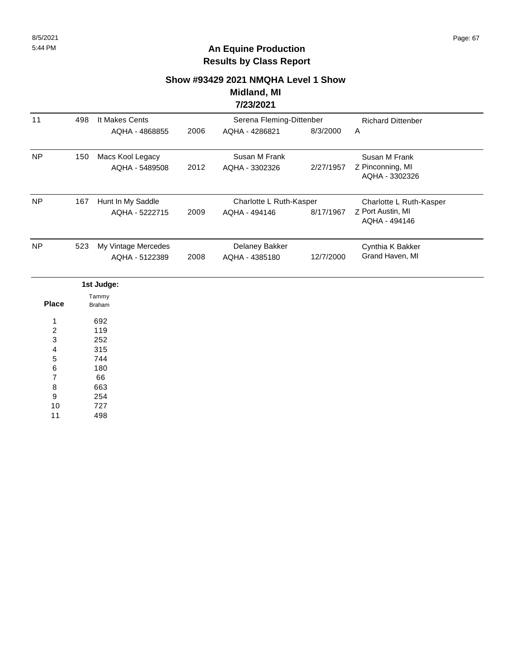## **Show #93429 2021 NMQHA Level 1 Show Midland, MI**

### **7/23/2021**

| 11        | 498 | It Makes Cents                        |      | Serena Fleming-Dittenber                 |           | <b>Richard Dittenber</b>                                      |  |
|-----------|-----|---------------------------------------|------|------------------------------------------|-----------|---------------------------------------------------------------|--|
|           |     | AQHA - 4868855                        | 2006 | AQHA - 4286821                           | 8/3/2000  | A                                                             |  |
| <b>NP</b> | 150 | Macs Kool Legacy<br>AQHA - 5489508    | 2012 | Susan M Frank<br>AQHA - 3302326          | 2/27/1957 | Susan M Frank<br>Z Pinconning, MI<br>AQHA - 3302326           |  |
| <b>NP</b> | 167 | Hunt In My Saddle<br>AQHA - 5222715   | 2009 | Charlotte L Ruth-Kasper<br>AQHA - 494146 | 8/17/1967 | Charlotte L Ruth-Kasper<br>Z Port Austin, MI<br>AQHA - 494146 |  |
| <b>NP</b> | 523 | My Vintage Mercedes<br>AQHA - 5122389 | 2008 | Delaney Bakker<br>AQHA - 4385180         | 12/7/2000 | Cynthia K Bakker<br>Grand Haven, MI                           |  |
|           |     | 1st Judge:                            |      |                                          |           |                                                               |  |

|              | 1st Juage:             |  |
|--------------|------------------------|--|
| <b>Place</b> | Tammy<br><b>Braham</b> |  |
| 1            | 692                    |  |
| 2            | 119                    |  |
| 3            | 252                    |  |
| 4            | 315                    |  |
| 5            | 744                    |  |
| 6            | 180                    |  |
| 7            | 66                     |  |
| 8            | 663                    |  |
| 9            | 254                    |  |
| 10           | 727                    |  |
| 11           | 498                    |  |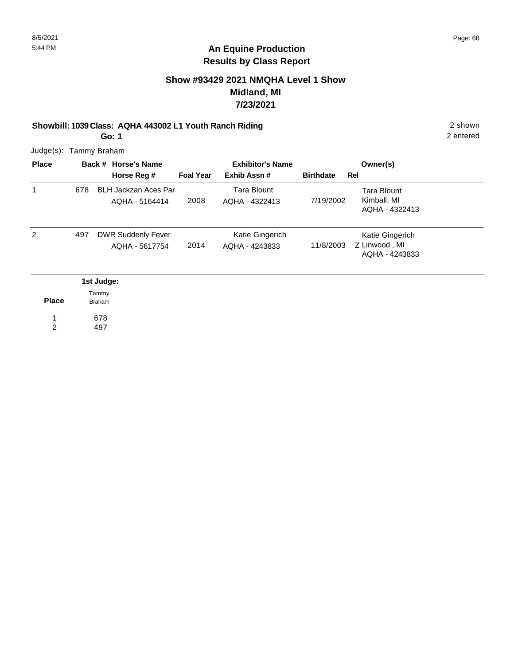### **Show #93429 2021 NMQHA Level 1 Show Midland, MI 7/23/2021**

#### **Showbill: 1039 Class: AQHA 443002 L1 Youth Ranch Riding** 2 shown

2 entered

Judge(s): Tammy Braham

**Go: 1**

| <b>Place</b> |     | Back # Horse's Name<br>Horse Reg #            | <b>Foal Year</b> | <b>Exhibitor's Name</b><br>Exhib Assn# | <b>Birthdate</b> | Owner(s)<br>Rel                                     |
|--------------|-----|-----------------------------------------------|------------------|----------------------------------------|------------------|-----------------------------------------------------|
| 1            | 678 | <b>BLH Jackzan Aces Par</b><br>AQHA - 5164414 | 2008             | <b>Tara Blount</b><br>AQHA - 4322413   | 7/19/2002        | <b>Tara Blount</b><br>Kimball, MI<br>AQHA - 4322413 |
| 2            | 497 | <b>DWR Suddenly Fever</b><br>AQHA - 5617754   | 2014             | Katie Gingerich<br>AQHA - 4243833      | 11/8/2003        | Katie Gingerich<br>Z Linwood, MI<br>AQHA - 4243833  |
|              |     | 1st Judge:                                    |                  |                                        |                  |                                                     |
| <b>Place</b> |     | Tammy<br><b>Braham</b>                        |                  |                                        |                  |                                                     |
|              |     | 678                                           |                  |                                        |                  |                                                     |

497 1 2